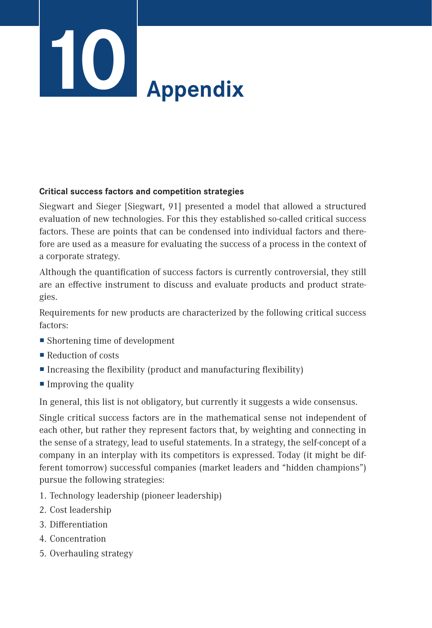# **10 Appendix**

#### **Critical success factors and competition strategies**

Siegwart and Sieger [Siegwart, 91] presented a model that allowed a structured evaluation of new technologies. For this they established so-called critical success factors. These are points that can be condensed into individual factors and therefore are used as a measure for evaluating the success of a process in the context of a corporate strategy.

Although the quantification of success factors is currently controversial, they still are an effective instrument to discuss and evaluate products and product strategies.

Requirements for new products are characterized by the following critical success factors:

- Shortening time of development
- Reduction of costs
- $\blacksquare$  Increasing the flexibility (product and manufacturing flexibility)
- $\blacksquare$  Improving the quality

In general, this list is not obligatory, but currently it suggests a wide consensus.

Single critical success factors are in the mathematical sense not independent of each other, but rather they represent factors that, by weighting and connecting in the sense of a strategy, lead to useful statements. In a strategy, the self-concept of a company in an interplay with its competitors is expressed. Today (it might be different tomorrow) successful companies (market leaders and "hidden champions") pursue the following strategies:

- 1. Technology leadership (pioneer leadership)
- 2. Cost leadership
- 3. Differentiation
- 4. Concentration
- 5. Overhauling strategy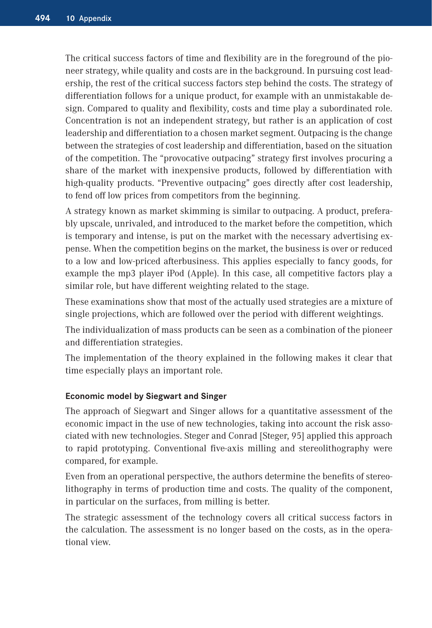The critical success factors of time and flexibility are in the foreground of the pioneer strategy, while quality and costs are in the background. In pursuing cost leadership, the rest of the critical success factors step behind the costs. The strategy of differentiation follows for a unique product, for example with an unmistakable design. Compared to quality and flexibility, costs and time play a subordinated role. Concentration is not an independent strategy, but rather is an application of cost leadership and differentiation to a chosen market segment. Outpacing is the change between the strategies of cost leadership and differentiation, based on the situation of the competition. The "provocative outpacing" strategy first involves procuring a share of the market with inexpensive products, followed by differentiation with high-quality products. "Preventive outpacing" goes directly after cost leadership, to fend off low prices from competitors from the beginning.

A strategy known as market skimming is similar to outpacing. A product, preferably upscale, unrivaled, and introduced to the market before the competition, which is temporary and intense, is put on the market with the necessary advertising expense. When the competition begins on the market, the business is over or reduced to a low and low-priced afterbusiness. This applies especially to fancy goods, for example the mp3 player iPod (Apple). In this case, all competitive factors play a similar role, but have different weighting related to the stage.

These examinations show that most of the actually used strategies are a mixture of single projections, which are followed over the period with different weightings.

The individualization of mass products can be seen as a combination of the pioneer and differentiation strategies.

The implementation of the theory explained in the following makes it clear that time especially plays an important role.

#### **Economic model by Siegwart and Singer**

The approach of Siegwart and Singer allows for a quantitative assessment of the economic impact in the use of new technologies, taking into account the risk associated with new technologies. Steger and Conrad [Steger, 95] applied this approach to rapid prototyping. Conventional five-axis milling and stereolithography were compared, for example.

Even from an operational perspective, the authors determine the benefits of stereolithography in terms of production time and costs. The quality of the component, in particular on the surfaces, from milling is better.

The strategic assessment of the technology covers all critical success factors in the calculation. The assessment is no longer based on the costs, as in the operational view.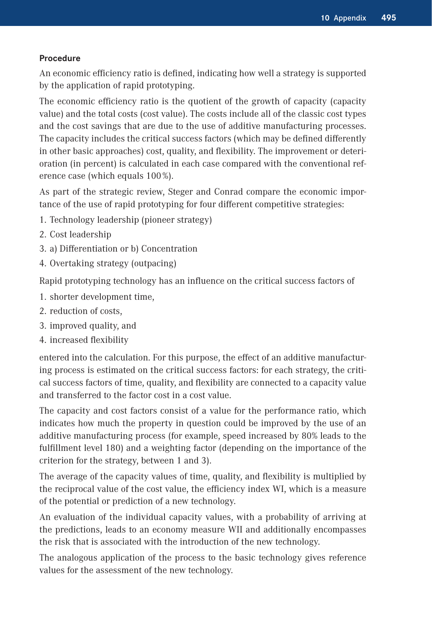#### **Procedure**

An economic efficiency ratio is defined, indicating how well a strategy is supported by the application of rapid prototyping.

The economic efficiency ratio is the quotient of the growth of capacity (capacity value) and the total costs (cost value). The costs include all of the classic cost types and the cost savings that are due to the use of additive manufacturing processes. The capacity includes the critical success factors (which may be defined differently in other basic approaches) cost, quality, and flexibility. The improvement or deterioration (in percent) is calculated in each case compared with the conventional reference case (which equals 100 %).

As part of the strategic review, Steger and Conrad compare the economic importance of the use of rapid prototyping for four different competitive strategies:

- 1. Technology leadership (pioneer strategy)
- 2. Cost leadership
- 3. a) Differentiation or b) Concentration
- 4. Overtaking strategy (outpacing)

Rapid prototyping technology has an influence on the critical success factors of

- 1. shorter development time,
- 2. reduction of costs,
- 3. improved quality, and
- 4. increased flexibility

entered into the calculation. For this purpose, the effect of an additive manufacturing process is estimated on the critical success factors: for each strategy, the critical success factors of time, quality, and flexibility are connected to a capacity value and transferred to the factor cost in a cost value.

The capacity and cost factors consist of a value for the performance ratio, which indicates how much the property in question could be improved by the use of an additive manufacturing process (for example, speed increased by 80% leads to the fulfillment level 180) and a weighting factor (depending on the importance of the criterion for the strategy, between 1 and 3).

The average of the capacity values of time, quality, and flexibility is multiplied by the reciprocal value of the cost value, the efficiency index WI, which is a measure of the potential or prediction of a new technology.

An evaluation of the individual capacity values, with a probability of arriving at the predictions, leads to an economy measure WII and additionally encompasses the risk that is associated with the introduction of the new technology.

The analogous application of the process to the basic technology gives reference values for the assessment of the new technology.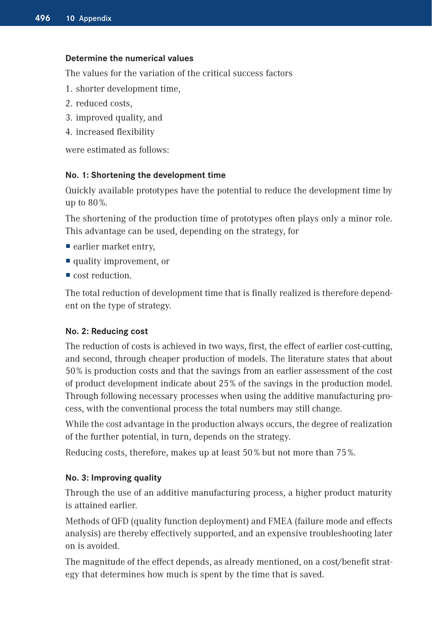#### **Determine the numerical values**

The values for the variation of the critical success factors

- 1. shorter development time,
- 2. reduced costs,
- 3. improved quality, and
- 4. increased flexibility

were estimated as follows:

#### **No. 1: Shortening the development time**

Quickly available prototypes have the potential to reduce the development time by up to 80 %.

The shortening of the production time of prototypes often plays only a minor role. This advantage can be used, depending on the strategy, for

- $\blacksquare$  earlier market entry,
- quality improvement, or
- cost reduction.

The total reduction of development time that is finally realized is therefore dependent on the type of strategy.

#### **No. 2: Reducing cost**

The reduction of costs is achieved in two ways, first, the effect of earlier cost-cutting, and second, through cheaper production of models. The literature states that about 50 % is production costs and that the savings from an earlier assessment of the cost of product development indicate about 25 % of the savings in the production model. Through following necessary processes when using the additive manufacturing process, with the conventional process the total numbers may still change.

While the cost advantage in the production always occurs, the degree of realization of the further potential, in turn, depends on the strategy.

Reducing costs, therefore, makes up at least 50 % but not more than 75 %.

#### **No. 3: Improving quality**

Through the use of an additive manufacturing process, a higher product maturity is attained earlier.

Methods of QFD (quality function deployment) and FMEA (failure mode and effects analysis) are thereby effectively supported, and an expensive troubleshooting later on is avoided.

The magnitude of the effect depends, as already mentioned, on a cost/benefit strategy that determines how much is spent by the time that is saved.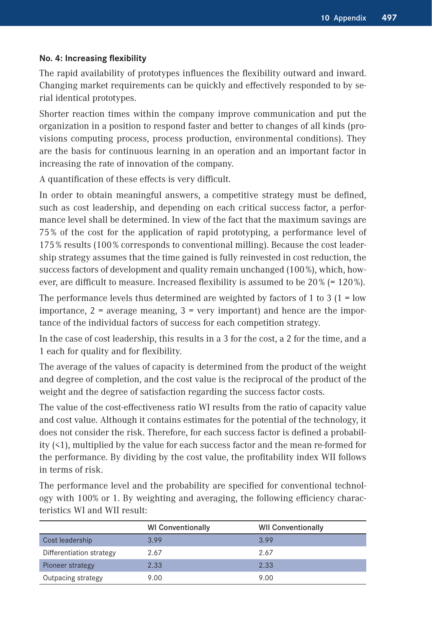#### **No. 4: Increasing flexibility**

The rapid availability of prototypes influences the flexibility outward and inward. Changing market requirements can be quickly and effectively responded to by serial identical prototypes.

Shorter reaction times within the company improve communication and put the organization in a position to respond faster and better to changes of all kinds (provisions computing process, process production, environmental conditions). They are the basis for continuous learning in an operation and an important factor in increasing the rate of innovation of the company.

A quantification of these effects is very difficult.

In order to obtain meaningful answers, a competitive strategy must be defined, such as cost leadership, and depending on each critical success factor, a performance level shall be determined. In view of the fact that the maximum savings are 75 % of the cost for the application of rapid prototyping, a performance level of 175 % results (100 % corresponds to conventional milling). Because the cost leadership strategy assumes that the time gained is fully reinvested in cost reduction, the success factors of development and quality remain unchanged (100 %), which, however, are difficult to measure. Increased flexibility is assumed to be  $20\%$  (= 120 $\%$ ).

The performance levels thus determined are weighted by factors of 1 to 3  $(1 = low$ importance,  $2 = \text{average meaning}$ ,  $3 = \text{very important}$  and hence are the importance of the individual factors of success for each competition strategy.

In the case of cost leadership, this results in a 3 for the cost, a 2 for the time, and a 1 each for quality and for flexibility.

The average of the values of capacity is determined from the product of the weight and degree of completion, and the cost value is the reciprocal of the product of the weight and the degree of satisfaction regarding the success factor costs.

The value of the cost-effectiveness ratio WI results from the ratio of capacity value and cost value. Although it contains estimates for the potential of the technology, it does not consider the risk. Therefore, for each success factor is defined a probability (<1), multiplied by the value for each success factor and the mean re-formed for the performance. By dividing by the cost value, the profitability index WII follows in terms of risk.

The performance level and the probability are specified for conventional technology with 100% or 1. By weighting and averaging, the following efficiency characteristics WI and WII result:

|                          | <b>WI Conventionally</b> | <b>WII Conventionally</b> |
|--------------------------|--------------------------|---------------------------|
| Cost leadership          | 3.99                     | 3.99                      |
| Differentiation strategy | 2.67                     | 2.67                      |
| Pioneer strategy         | 2.33                     | 2.33                      |
| Outpacing strategy       | 9.00                     | 9.00                      |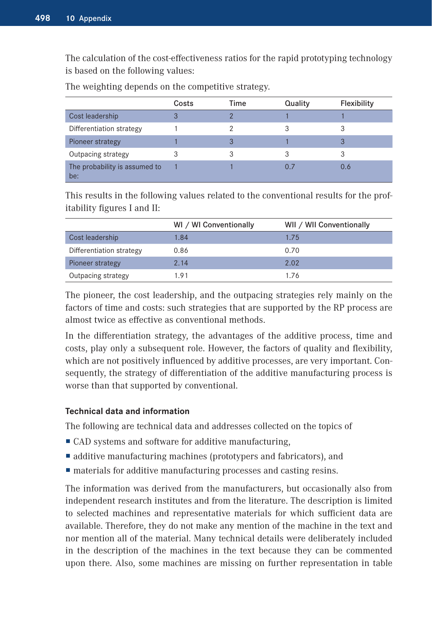The calculation of the cost-effectiveness ratios for the rapid prototyping technology is based on the following values:

|                                      | Costs | Time | Quality | Flexibility |
|--------------------------------------|-------|------|---------|-------------|
| Cost leadership                      |       |      |         |             |
| Differentiation strategy             |       |      |         |             |
| Pioneer strategy                     |       | 3    |         |             |
| Outpacing strategy                   |       | З    |         |             |
| The probability is assumed to<br>be: |       |      |         | 0.6         |

The weighting depends on the competitive strategy.

This results in the following values related to the conventional results for the profitability figures I and II:

|                          | WI / WI Conventionally | WII / WII Conventionally |
|--------------------------|------------------------|--------------------------|
| Cost leadership          | 1.84                   | 1.75                     |
| Differentiation strategy | 0.86                   | 0.70                     |
| Pioneer strategy         | 2.14                   | 2.02                     |
| Outpacing strategy       | 1.91                   | 1.76                     |

The pioneer, the cost leadership, and the outpacing strategies rely mainly on the factors of time and costs: such strategies that are supported by the RP process are almost twice as effective as conventional methods.

In the differentiation strategy, the advantages of the additive process, time and costs, play only a subsequent role. However, the factors of quality and flexibility, which are not positively influenced by additive processes, are very important. Consequently, the strategy of differentiation of the additive manufacturing process is worse than that supported by conventional.

#### **Technical data and information**

The following are technical data and addresses collected on the topics of

- CAD systems and software for additive manufacturing,
- additive manufacturing machines (prototypers and fabricators), and
- materials for additive manufacturing processes and casting resins.

The information was derived from the manufacturers, but occasionally also from independent research institutes and from the literature. The description is limited to selected machines and representative materials for which sufficient data are available. Therefore, they do not make any mention of the machine in the text and nor mention all of the material. Many technical details were deliberately included in the description of the machines in the text because they can be commented upon there. Also, some machines are missing on further representation in table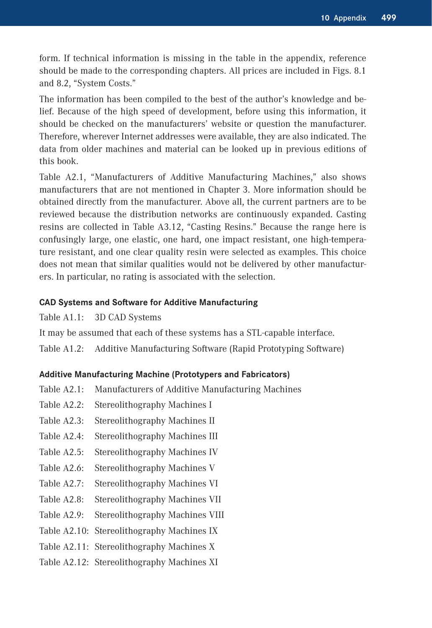form. If technical information is missing in the table in the appendix, reference should be made to the corresponding chapters. All prices are included in Figs. 8.1 and 8.2, "System Costs."

The information has been compiled to the best of the author's knowledge and belief. Because of the high speed of development, before using this information, it should be checked on the manufacturers' website or question the manufacturer. Therefore, wherever Internet addresses were available, they are also indicated. The data from older machines and material can be looked up in previous editions of this book.

Table A2.1, "Manufacturers of Additive Manufacturing Machines," also shows manufacturers that are not mentioned in Chapter 3. More information should be obtained directly from the manufacturer. Above all, the current partners are to be reviewed because the distribution networks are continuously expanded. Casting resins are collected in Table A3.12, "Casting Resins." Because the range here is confusingly large, one elastic, one hard, one impact resistant, one high-temperature resistant, and one clear quality resin were selected as examples. This choice does not mean that similar qualities would not be delivered by other manufacturers. In particular, no rating is associated with the selection.

#### **CAD Systems and Software for Additive Manufacturing**

Table A1.1: 3D CAD Systems

It may be assumed that each of these systems has a STL-capable interface.

Table A1.2: Additive Manufacturing Software (Rapid Prototyping Software)

#### **Additive Manufacturing Machine (Prototypers and Fabricators)**

- Table A2.1: Manufacturers of Additive Manufacturing Machines
- Table A2.2: Stereolithography Machines I
- Table A2.3: Stereolithography Machines II
- Table A2.4: Stereolithography Machines III
- Table A2.5: Stereolithography Machines IV
- Table A2.6: Stereolithography Machines V
- Table A2.7: Stereolithography Machines VI
- Table A2.8: Stereolithography Machines VII
- Table A2.9: Stereolithography Machines VIII
- Table A2.10: Stereolithography Machines IX
- Table A2.11: Stereolithography Machines X
- Table A2.12: Stereolithography Machines XI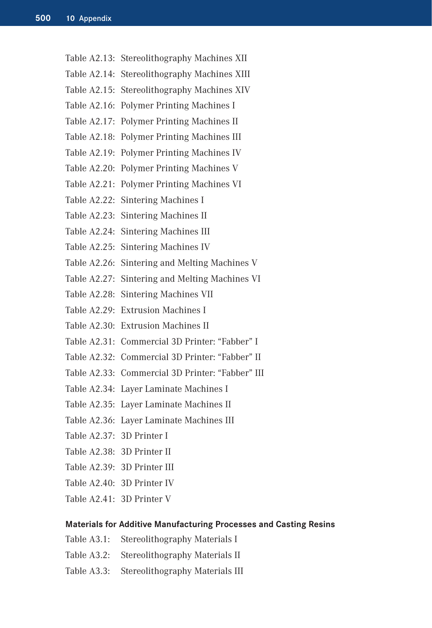- Table A2.13: Stereolithography Machines XII
- Table A2.14: Stereolithography Machines XIII
- Table A2.15: Stereolithography Machines XIV
- Table A2.16: Polymer Printing Machines I
- Table A2.17: Polymer Printing Machines II
- Table A2.18: Polymer Printing Machines III
- Table A2.19: Polymer Printing Machines IV
- Table A2.20: Polymer Printing Machines V
- Table A2.21: Polymer Printing Machines VI
- Table A2.22: Sintering Machines I
- Table A2.23: Sintering Machines II
- Table A2.24: Sintering Machines III
- Table A2.25: Sintering Machines IV
- Table A2.26: Sintering and Melting Machines V
- Table A2.27: Sintering and Melting Machines VI
- Table A2.28: Sintering Machines VII
- Table A2.29: Extrusion Machines I
- Table A2.30: Extrusion Machines II
- Table A2.31: Commercial 3D Printer: "Fabber" I
- Table A2.32: Commercial 3D Printer: "Fabber" II
- Table A2.33: Commercial 3D Printer: "Fabber" III
- Table A2.34: Layer Laminate Machines I
- Table A2.35: Layer Laminate Machines II
- Table A2.36: Layer Laminate Machines III
- Table A2.37: 3D Printer I
- Table A2.38: 3D Printer II
- Table A2.39: 3D Printer III
- Table A2.40: 3D Printer IV
- Table A2.41: 3D Printer V

#### **Materials for Additive Manufacturing Processes and Casting Resins**

- Table A3.1: Stereolithography Materials I
- Table A3.2: Stereolithography Materials II
- Table A3.3: Stereolithography Materials III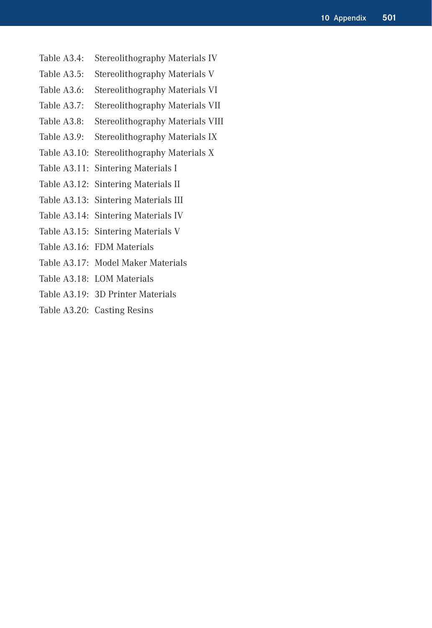- Table A3.4: Stereolithography Materials IV
- Table A3.5: Stereolithography Materials V
- Table A3.6: Stereolithography Materials VI
- Table A3.7: Stereolithography Materials VII
- Table A3.8: Stereolithography Materials VIII
- Table A3.9: Stereolithography Materials IX
- Table A3.10: Stereolithography Materials X
- Table A3.11: Sintering Materials I
- Table A3.12: Sintering Materials II
- Table A3.13: Sintering Materials III
- Table A3.14: Sintering Materials IV
- Table A3.15: Sintering Materials V
- Table A3.16: FDM Materials
- Table A3.17: Model Maker Materials
- Table A3.18: LOM Materials
- Table A3.19: 3D Printer Materials
- Table A3.20: Casting Resins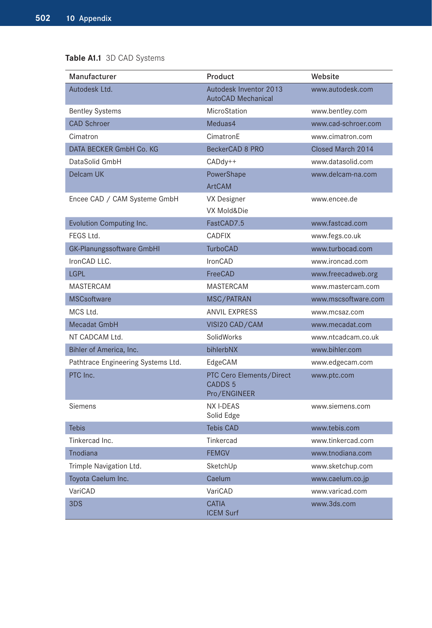# **Table A1.1** 3D CAD Systems

| Manufacturer                       | Product                                                    | Website             |
|------------------------------------|------------------------------------------------------------|---------------------|
| Autodesk Ltd.                      | Autodesk Inventor 2013<br><b>AutoCAD Mechanical</b>        | www.autodesk.com    |
| <b>Bentley Systems</b>             | MicroStation                                               | www.bentley.com     |
| <b>CAD Schroer</b>                 | Meduas4                                                    | www.cad-schroer.com |
| Cimatron                           | CimatronE                                                  | www.cimatron.com    |
| DATA BECKER GmbH Co. KG            | <b>BeckerCAD 8 PRO</b>                                     | Closed March 2014   |
| DataSolid GmbH                     | CADdy++                                                    | www.datasolid.com   |
| Delcam UK                          | PowerShape                                                 | www.delcam-na.com   |
|                                    | <b>ArtCAM</b>                                              |                     |
| Encee CAD / CAM Systeme GmbH       | VX Designer                                                | www.encee.de        |
|                                    | VX Mold&Die                                                |                     |
| Evolution Computing Inc.           | FastCAD7.5                                                 | www.fastcad.com     |
| FEGS Ltd.                          | <b>CADFIX</b>                                              | www.fegs.co.uk      |
| GK-Planungssoftware GmbHI          | <b>TurboCAD</b>                                            | www.turbocad.com    |
| IronCAD LLC.                       | IronCAD                                                    | www.ironcad.com     |
| <b>LGPL</b>                        | FreeCAD                                                    | www.freecadweb.org  |
| <b>MASTERCAM</b>                   | <b>MASTERCAM</b>                                           | www.mastercam.com   |
| <b>MSCsoftware</b>                 | MSC/PATRAN                                                 | www.mscsoftware.com |
| MCS Ltd.                           | <b>ANVIL EXPRESS</b>                                       | www.mcsaz.com       |
| Mecadat GmbH                       | VISI20 CAD/CAM                                             | www.mecadat.com     |
| NT CADCAM Ltd.                     | SolidWorks                                                 | www.ntcadcam.co.uk  |
| Bihler of America, Inc.            | bihlerbNX                                                  | www.bihler.com      |
| Pathtrace Engineering Systems Ltd. | EdgeCAM                                                    | www.edgecam.com     |
| PTC Inc.                           | PTC Cero Elements/Direct<br><b>CADDS 5</b><br>Pro/ENGINEER | www.ptc.com         |
| Siemens                            | <b>NX I-DEAS</b><br>Solid Edge                             | www.siemens.com     |
| <b>Tebis</b>                       | <b>Tebis CAD</b>                                           | www.tebis.com       |
| Tinkercad Inc.                     | Tinkercad                                                  | www.tinkercad.com   |
| Tnodiana                           | <b>FEMGV</b>                                               | www.tnodiana.com    |
| Trimple Navigation Ltd.            | SketchUp                                                   | www.sketchup.com    |
| Toyota Caelum Inc.                 | Caelum                                                     | www.caelum.co.jp    |
| VariCAD                            | VariCAD                                                    | www.varicad.com     |
| 3DS                                | <b>CATIA</b><br><b>ICEM Surf</b>                           | www.3ds.com         |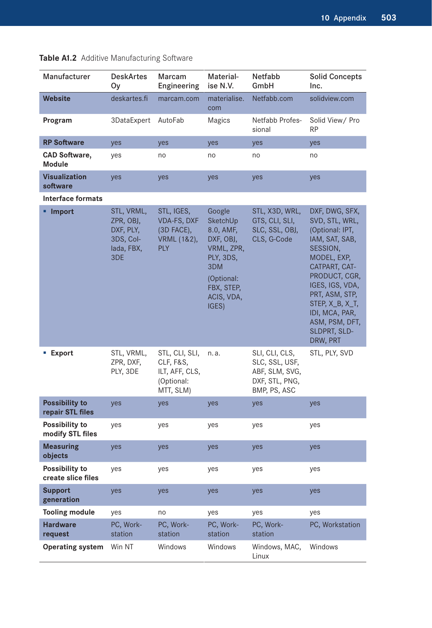| Manufacturer                              | <b>DeskArtes</b><br>Oy                                                 | Marcam<br>Engineering                                                    | Material-<br>ise N.V.                                                                                                                         | Netfabb<br>GmbH                                                                      | <b>Solid Concepts</b><br>Inc.                                                                                                                                                                                                                              |
|-------------------------------------------|------------------------------------------------------------------------|--------------------------------------------------------------------------|-----------------------------------------------------------------------------------------------------------------------------------------------|--------------------------------------------------------------------------------------|------------------------------------------------------------------------------------------------------------------------------------------------------------------------------------------------------------------------------------------------------------|
| Website                                   | deskartes.fi                                                           | marcam.com                                                               | materialise.<br>com                                                                                                                           | Netfabb.com                                                                          | solidview.com                                                                                                                                                                                                                                              |
| Program                                   | 3DataExpert                                                            | AutoFab                                                                  | Magics                                                                                                                                        | Netfabb Profes-<br>sional                                                            | Solid View/ Pro<br>RP                                                                                                                                                                                                                                      |
| <b>RP Software</b>                        | yes                                                                    | yes                                                                      | yes                                                                                                                                           | yes                                                                                  | yes                                                                                                                                                                                                                                                        |
| <b>CAD Software,</b><br>Module            | yes                                                                    | no                                                                       | no                                                                                                                                            | no                                                                                   | no                                                                                                                                                                                                                                                         |
| <b>Visualization</b><br>software          | yes                                                                    | yes                                                                      | yes                                                                                                                                           | yes                                                                                  | yes                                                                                                                                                                                                                                                        |
| Interface formats                         |                                                                        |                                                                          |                                                                                                                                               |                                                                                      |                                                                                                                                                                                                                                                            |
| <b>umport</b>                             | STL, VRML,<br>ZPR, OBJ,<br>DXF, PLY,<br>3DS, Col-<br>lada, FBX,<br>3DE | STL, IGES,<br>VDA-FS, DXF<br>$(3D$ FACE),<br>VRML (1&2),<br><b>PLY</b>   | Google<br>SketchUp<br>8.0, AMF,<br>DXF, OBJ,<br>VRML, ZPR,<br>PLY, 3DS,<br>3 <sub>DM</sub><br>(Optional:<br>FBX, STEP,<br>ACIS, VDA,<br>IGES) | STL, X3D, WRL,<br>GTS, CLI, SLI,<br>SLC, SSL, OBJ,<br>CLS, G-Code                    | DXF, DWG, SFX,<br>SVD, STL, WRL,<br>(Optional: IPT,<br>IAM, SAT, SAB,<br>SESSION,<br>MODEL, EXP,<br>CATPART, CAT-<br>PRODUCT, CGR,<br>IGES, IGS, VDA,<br>PRT, ASM, STP,<br>STEP, X_B, X_T,<br>IDI, MCA, PAR,<br>ASM, PSM, DFT,<br>SLDPRT, SLD-<br>DRW, PRT |
| <b>Export</b>                             | STL, VRML,<br>ZPR, DXF,<br>PLY, 3DE                                    | STL, CLI, SLI,<br>CLF, F&S,<br>ILT, AFF, CLS,<br>(Optional:<br>MTT, SLM) | n.a.                                                                                                                                          | SLI, CLI, CLS,<br>SLC, SSL, USF,<br>ABF, SLM, SVG,<br>DXF, STL, PNG,<br>BMP, PS, ASC | STL, PLY, SVD                                                                                                                                                                                                                                              |
| <b>Possibility to</b><br>repair STL files | yes                                                                    | yes                                                                      | yes                                                                                                                                           | yes                                                                                  | yes                                                                                                                                                                                                                                                        |
| Possibility to<br>modify STL files        | yes                                                                    | yes                                                                      | yes                                                                                                                                           | yes                                                                                  | yes                                                                                                                                                                                                                                                        |
| <b>Measuring</b><br>objects               | yes                                                                    | yes                                                                      | yes                                                                                                                                           | yes                                                                                  | yes                                                                                                                                                                                                                                                        |
| Possibility to<br>create slice files      | yes                                                                    | yes                                                                      | yes                                                                                                                                           | yes                                                                                  | yes                                                                                                                                                                                                                                                        |
| <b>Support</b><br>generation              | yes                                                                    | yes                                                                      | yes                                                                                                                                           | yes                                                                                  | yes                                                                                                                                                                                                                                                        |
| <b>Tooling module</b>                     | yes                                                                    | no                                                                       | yes                                                                                                                                           | yes                                                                                  | yes                                                                                                                                                                                                                                                        |
| <b>Hardware</b><br>request                | PC, Work-<br>station                                                   | PC, Work-<br>station                                                     | PC, Work-<br>station                                                                                                                          | PC, Work-<br>station                                                                 | PC, Workstation                                                                                                                                                                                                                                            |
| <b>Operating system</b>                   | Win NT                                                                 | Windows                                                                  | Windows                                                                                                                                       | Windows, MAC,<br>Linux                                                               | Windows                                                                                                                                                                                                                                                    |

# **Table A1.2** Additive Manufacturing Software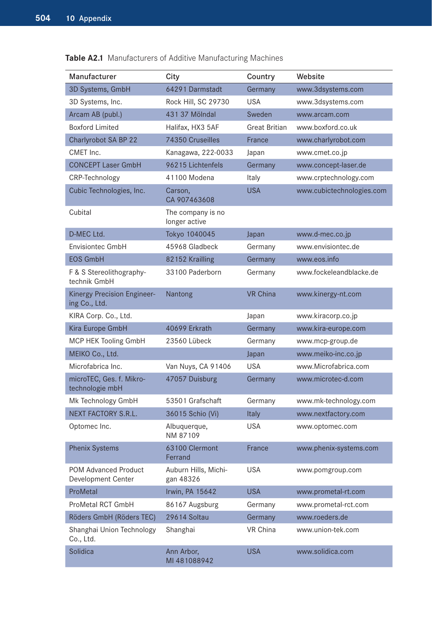| <b>Table A2.1</b> Manufacturers of Additive Manufacturing Machines |  |  |  |
|--------------------------------------------------------------------|--|--|--|
|--------------------------------------------------------------------|--|--|--|

| Manufacturer                                      | City                               | Country              | Website                   |
|---------------------------------------------------|------------------------------------|----------------------|---------------------------|
| 3D Systems, GmbH                                  | 64291 Darmstadt                    | Germany              | www.3dsystems.com         |
| 3D Systems, Inc.                                  | Rock Hill, SC 29730                | <b>USA</b>           | www.3dsystems.com         |
| Arcam AB (publ.)                                  | 431 37 Mölndal                     | Sweden               | www.arcam.com             |
| <b>Boxford Limited</b>                            | Halifax, HX3 5AF                   | <b>Great Britian</b> | www.boxford.co.uk         |
| Charlyrobot SA BP 22                              | 74350 Cruseilles                   | France               | www.charlyrobot.com       |
| CMET Inc.                                         | Kanagawa, 222-0033                 | Japan                | www.cmet.co.jp            |
| <b>CONCEPT Laser GmbH</b>                         | 96215 Lichtenfels                  | Germany              | www.concept-laser.de      |
| CRP-Technology                                    | 41100 Modena                       | Italy                | www.crptechnology.com     |
| Cubic Technologies, Inc.                          | Carson,<br>CA 907463608            | <b>USA</b>           | www.cubictechnologies.com |
| Cubital                                           | The company is no<br>longer active |                      |                           |
| D-MEC Ltd.                                        | Tokyo 1040045                      | Japan                | www.d-mec.co.jp           |
| <b>Envisiontec GmbH</b>                           | 45968 Gladbeck                     | Germany              | www.envisiontec.de        |
| <b>EOS GmbH</b>                                   | 82152 Krailling                    | Germany              | www.eos.info              |
| F & S Stereolithography-<br>technik GmbH          | 33100 Paderborn                    | Germany              | www.fockeleandblacke.de   |
| Kinergy Precision Engineer-<br>ing Co., Ltd.      | Nantong                            | <b>VR China</b>      | www.kinergy-nt.com        |
| KIRA Corp. Co., Ltd.                              |                                    | Japan                | www.kiracorp.co.jp        |
| Kira Europe GmbH                                  | 40699 Erkrath                      | Germany              | www.kira-europe.com       |
| MCP HEK Tooling GmbH                              | 23560 Lübeck                       | Germany              | www.mcp-group.de          |
| MEIKO Co., Ltd.                                   |                                    | Japan                | www.meiko-inc.co.jp       |
| Microfabrica Inc.                                 | Van Nuys, CA 91406                 | <b>USA</b>           | www.Microfabrica.com      |
| microTEC, Ges. f. Mikro-<br>technologie mbH       | 47057 Duisburg                     | Germany              | www.microtec-d.com        |
| Mk Technology GmbH                                | 53501 Grafschaft                   | Germany              | www.mk-technology.com     |
| NEXT FACTORY S.R.L.                               | 36015 Schio (Vi)                   | <b>Italy</b>         | www.nextfactory.com       |
| Optomec Inc.                                      | Albuquerque,<br>NM 87109           | <b>USA</b>           | www.optomec.com           |
| <b>Phenix Systems</b>                             | 63100 Clermont<br>Ferrand          | France               | www.phenix-systems.com    |
| <b>POM Advanced Product</b><br>Development Center | Auburn Hills, Michi-<br>gan 48326  | <b>USA</b>           | www.pomgroup.com          |
| ProMetal                                          | Irwin, PA 15642                    | <b>USA</b>           | www.prometal-rt.com       |
| ProMetal RCT GmbH                                 | 86167 Augsburg                     | Germany              | www.prometal-rct.com      |
| Röders GmbH (Röders TEC)                          | 29614 Soltau                       | Germany              | www.roeders.de            |
| Shanghai Union Technology<br>Co., Ltd.            | Shanghai                           | VR China             | www.union-tek.com         |
| Solidica                                          | Ann Arbor,<br>MI 481088942         | <b>USA</b>           | www.solidica.com          |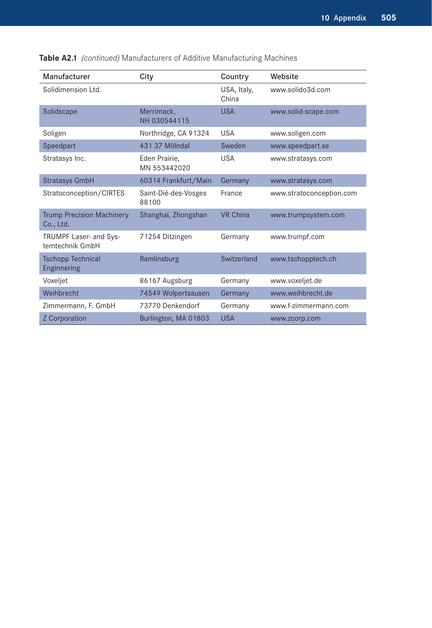| Manufacturer                                  | City                          | Country              | Website                  |
|-----------------------------------------------|-------------------------------|----------------------|--------------------------|
| Solidimension Ltd.                            |                               | USA, Italy,<br>China | www.solido3d.com         |
| Solidscape                                    | Merrimack,<br>NH 030544115    | <b>USA</b>           | www.solid-scape.com      |
| Soligen                                       | Northridge, CA 91324          | <b>USA</b>           | www.soligen.com          |
| Speedpart                                     | 431 37 Mölndal                | Sweden               | www.speedpart.se         |
| Stratasys Inc.                                | Eden Prairie,<br>MN 553442020 | <b>USA</b>           | www.stratasys.com        |
| <b>Stratasys GmbH</b>                         | 60314 Frankfurt/Main          | Germany              | www.stratasys.com        |
| Stratoconception/CIRTES                       | Saint-Dié-des-Vosges<br>88100 | France               | www.stratoconception.com |
| <b>Trump Precision Machinery</b><br>Co., Ltd. | Shanghai, Zhongshan           | <b>VR China</b>      | www.trumpsystem.com      |
| TRUMPF Laser- and Sys-<br>temtechnik GmbH     | 71254 Ditzingen               | Germany              | www.trumpf.com           |
| <b>Tschopp Technical</b><br>Enginnering       | Ramlinsburg                   | Switzerland          | www.tschopptech.ch       |
| Voxeljet                                      | 86167 Augsburg                | Germany              | www.voxeljet.de          |
| Weihbrecht                                    | 74549 Wolpertsausen           | Germany              | www.weihbrecht.de        |
| Zimmermann, F. GmbH                           | 73770 Denkendorf              | Germany              | www.f-zimmermann.com     |
| <b>Z</b> Corporation                          | Burlington, MA 01803          | <b>USA</b>           | www.zcorp.com            |

**Table A2.1** *(continued)* Manufacturers of Additive Manufacturing Machines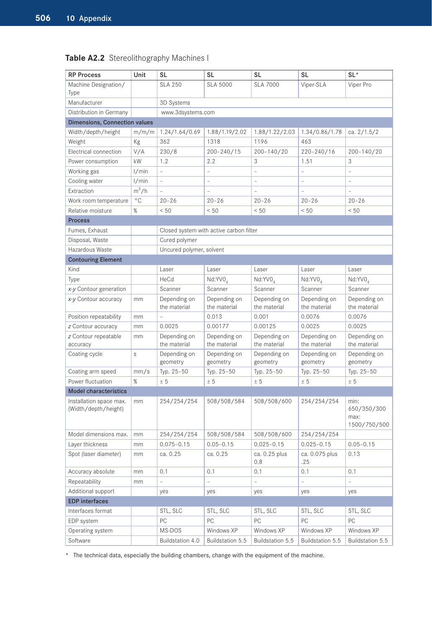| <b>RP Process</b>                               | Unit         | SL                           | SL                                      | SL                           | <b>SL</b>                    | $SL^*$                                      |  |
|-------------------------------------------------|--------------|------------------------------|-----------------------------------------|------------------------------|------------------------------|---------------------------------------------|--|
| Machine Designation/<br>Type                    |              | <b>SLA 250</b>               | <b>SLA 5000</b>                         | <b>SLA 7000</b>              | Viper-SLA                    | Viper Pro                                   |  |
| Manufacturer                                    |              | 3D Systems                   |                                         |                              |                              |                                             |  |
| Distribution in Germany                         |              | www.3dsystems.com            |                                         |                              |                              |                                             |  |
| Dimensions, Connection values                   |              |                              |                                         |                              |                              |                                             |  |
| Width/depth/height                              | m/m/m        | 1.24/1.64/0.69               | 1.88/1.19/2.02                          | 1.88/1.22/2.03               | 1.34/0.86/1.78               | ca. $2/1.5/2$                               |  |
| Weight                                          | Kg           | 362                          | 1318                                    | 1196                         | 463                          |                                             |  |
| Electrical connection                           | V/A          | 230/8                        | $200 - 240 / 15$                        | $200 - 140 / 20$             | 220-240/16                   | $200 - 140 / 20$                            |  |
| Power consumption                               | kW           | 1.2                          | 2.2                                     | 3                            | 1.51                         | 3                                           |  |
| Working gas                                     | 1/min        | $\equiv$                     | Ξ                                       | $\overline{a}$               | $\overline{a}$               | $\overline{a}$                              |  |
| Cooling water                                   | 1/min        | $\overline{\phantom{0}}$     | ÷,                                      | $\overline{a}$               | $\overline{a}$               | $\overline{a}$                              |  |
| Extraction                                      | $m^3/h$      | $\overline{a}$               | $\overline{a}$                          | $\overline{a}$               | $\overline{a}$               | $\overline{a}$                              |  |
| Work room temperature                           | $^{\circ}$ C | $20 - 26$                    | $20 - 26$                               | $20 - 26$                    | $20 - 26$                    | $20 - 26$                                   |  |
| Relative moisture                               | %            | < 50                         | < 50                                    | < 50                         | < 50                         | < 50                                        |  |
| <b>Process</b>                                  |              |                              |                                         |                              |                              |                                             |  |
| Fumes, Exhaust                                  |              |                              | Closed system with active carbon filter |                              |                              |                                             |  |
| Disposal, Waste                                 |              | Cured polymer                |                                         |                              |                              |                                             |  |
| Hazardous Waste                                 |              | Uncured polymer, solvent     |                                         |                              |                              |                                             |  |
| <b>Contouring Element</b>                       |              |                              |                                         |                              |                              |                                             |  |
| Kind                                            |              | Laser                        | Laser                                   | Laser                        | Laser                        | Laser                                       |  |
| Type                                            |              | HeCd                         | Nd:YVO                                  | Nd:YV0                       | Nd:YV0                       | Nd:YV0                                      |  |
| x-y Contour generation                          |              | Scanner                      | Scanner                                 | Scanner                      | Scanner                      | Scanner                                     |  |
| x-y Contour accuracy                            | mm           | Depending on<br>the material | Depending on<br>the material            | Depending on<br>the material | Depending on<br>the material | Depending on<br>the material                |  |
| Position repeatability                          | mm           |                              | 0.013                                   | 0.001                        | 0.0076                       | 0.0076                                      |  |
| z Contour accuracy                              | mm           | 0.0025                       | 0.00177                                 | 0.00125                      | 0.0025                       | 0.0025                                      |  |
| z Contour repeatable<br>accuracy                | mm           | Depending on<br>the material | Depending on<br>the material            | Depending on<br>the material | Depending on<br>the material | Depending on<br>the material                |  |
| Coating cycle                                   | S            | Depending on<br>geometry     | Depending on<br>geometry                | Depending on<br>geometry     | Depending on<br>geometry     | Depending on<br>geometry                    |  |
| Coating arm speed                               | mm/s         | Typ. 25-50                   | Typ. 25-50                              | Typ. 25-50                   | Typ. 25-50                   | Typ. 25-50                                  |  |
| Power fluctuation                               | %            | $\pm$ 5                      | ± 5                                     | ± 5                          | ± 5                          | $\pm$ 5                                     |  |
| <b>Model characteristics</b>                    |              |                              |                                         |                              |                              |                                             |  |
| Installation space max.<br>(Width/depth/height) | mm           | 254/254/254                  | 508/508/584                             | 508/508/600                  | 254/254/254                  | min:<br>650/350/300<br>max:<br>1500/750/500 |  |
| Model dimensions max.                           | mm           | 254/254/254                  | 508/508/584                             | 508/508/600                  | 254/254/254                  |                                             |  |
| Layer thickness                                 | mm           | $0.075 - 0.15$               | $0.05 - 0.15$                           | $0.025 - 0.15$               | $0.025 - 0.15$               | $0.05 - 0.15$                               |  |
| Spot (laser diameter)                           | mm           | ca. 0.25                     | ca. 0.25                                | ca. 0.25 plus<br>0.8         | ca. 0.075 plus<br>.25        | 0.13                                        |  |
| Accuracy absolute                               | mm           | 0.1                          | 0.1                                     | 0.1                          | 0.1                          | 0.1                                         |  |
| Repeatability                                   | mm           | $\overline{a}$               | ÷,                                      | $\overline{a}$               | $\overline{a}$               | $\overline{\phantom{0}}$                    |  |
| Additional support                              |              | yes                          | yes                                     | yes                          | yes                          | yes                                         |  |
| <b>EDP</b> interfaces                           |              |                              |                                         |                              |                              |                                             |  |
| Interfaces format                               |              | STL, SLC                     | STL, SLC                                | STL, SLC                     | STL, SLC                     | STL, SLC                                    |  |
| EDP system                                      |              | PC.                          | PC.                                     | PC                           | PC                           | PC                                          |  |
| Operating system                                |              | MS-DOS                       | Windows XP                              | Windows XP                   | Windows XP                   | Windows XP                                  |  |
| Software                                        |              | Buildstation 4.0             | Buildstation 5.5                        | Buildstation 5.5             | Buildstation 5.5             | Buildstation 5.5                            |  |

#### **Table A2.2** Stereolithography Machines I

\* The technical data, especially the building chambers, change with the equipment of the machine.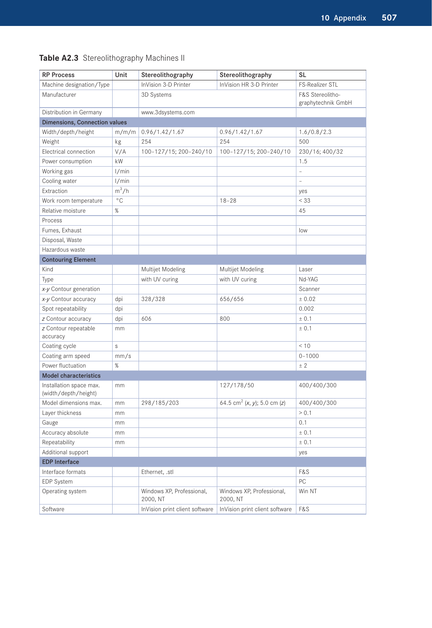| <b>Table A2.3</b> Stereolithography Machines II |
|-------------------------------------------------|
|                                                 |

| <b>RP Process</b>                               | Unit         | Stereolithography                     | Stereolithography                       |                                        |  |  |
|-------------------------------------------------|--------------|---------------------------------------|-----------------------------------------|----------------------------------------|--|--|
| Machine designation/Type                        |              | InVision 3-D Printer                  | InVision HR 3-D Printer                 | <b>FS-Realizer STL</b>                 |  |  |
| Manufacturer                                    |              | 3D Systems                            |                                         | F&S Stereolitho-<br>graphytechnik GmbH |  |  |
| Distribution in Germany                         |              | www.3dsystems.com                     |                                         |                                        |  |  |
| <b>Dimensions, Connection values</b>            |              |                                       |                                         |                                        |  |  |
| Width/depth/height                              | m/m/m        | 0.96/1.42/1.67                        | 0.96/1.42/1.67                          | 1.6/0.8/2.3                            |  |  |
| Weight                                          | kg           | 254                                   | 254                                     | 500                                    |  |  |
| Electrical connection                           | V/A          | 100-127/15; 200-240/10                | 100-127/15; 200-240/10                  | 230/16; 400/32                         |  |  |
| Power consumption                               | kW           |                                       |                                         | 1.5                                    |  |  |
| Working gas                                     | 1/min        |                                       |                                         | $\overline{a}$                         |  |  |
| Cooling water                                   | 1/min        |                                       |                                         | $\overline{a}$                         |  |  |
| Extraction                                      | $m^3/h$      |                                       |                                         | yes                                    |  |  |
| Work room temperature                           | $^{\circ}$ C |                                       | $18 - 28$                               | < 33                                   |  |  |
| Relative moisture                               | $\%$         |                                       |                                         | 45                                     |  |  |
| Process                                         |              |                                       |                                         |                                        |  |  |
| Fumes, Exhaust                                  |              |                                       |                                         | low                                    |  |  |
| Disposal, Waste                                 |              |                                       |                                         |                                        |  |  |
| Hazardous waste                                 |              |                                       |                                         |                                        |  |  |
| <b>Contouring Element</b>                       |              |                                       |                                         |                                        |  |  |
| Kind                                            |              | Multijet Modeling                     | Multijet Modeling                       | Laser                                  |  |  |
| Type                                            |              | with UV curing                        | with UV curing                          | Nd-YAG                                 |  |  |
| x-y Contour generation                          |              |                                       |                                         | Scanner                                |  |  |
| x-y Contour accuracy                            | dpi          | 328/328                               | 656/656                                 | ± 0.02                                 |  |  |
| Spot repeatability                              | dpi          |                                       |                                         | 0.002                                  |  |  |
| z Contour accuracy                              | dpi          | 606                                   | 800                                     | ± 0.1                                  |  |  |
| z Contour repeatable<br>accuracy                | mm           |                                       |                                         | ± 0.1                                  |  |  |
| Coating cycle                                   | S            |                                       |                                         | < 10                                   |  |  |
| Coating arm speed                               | mm/s         |                                       |                                         | $0 - 1000$                             |  |  |
| Power fluctuation                               | %            |                                       |                                         | ± 2                                    |  |  |
| <b>Model characteristics</b>                    |              |                                       |                                         |                                        |  |  |
| Installation space max.<br>(width/depth/height) | mm           |                                       | 127/178/50                              | 400/400/300                            |  |  |
| Model dimensions max.                           | mm           | 298/185/203                           | 64.5 cm <sup>2</sup> (x, y); 5.0 cm (z) | 400/400/300                            |  |  |
| Layer thickness                                 | mm           |                                       |                                         | > 0.1                                  |  |  |
| Gauge                                           | mm           |                                       |                                         | 0.1                                    |  |  |
| Accuracy absolute                               | mm           |                                       |                                         | ± 0.1                                  |  |  |
| Repeatability                                   | mm           |                                       |                                         | ± 0.1                                  |  |  |
| Additional support                              |              |                                       |                                         | yes                                    |  |  |
| <b>EDP Interface</b>                            |              |                                       |                                         |                                        |  |  |
| Interface formats                               |              | Ethernet, .stl                        |                                         | F&S                                    |  |  |
| <b>EDP System</b>                               |              |                                       |                                         | PC                                     |  |  |
| Operating system                                |              | Windows XP, Professional,<br>2000, NT | Windows XP, Professional,<br>2000, NT   | Win NT                                 |  |  |
| Software                                        |              | InVision print client software        | InVision print client software          | F&S                                    |  |  |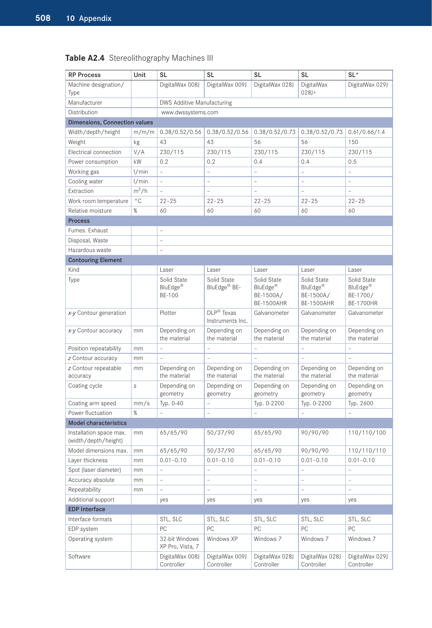| <b>RP Process</b>                               | Unit         | SL                                 | <b>SL</b>                                   | <b>SL</b>                                                             | SL                                                                    | SL*                                                                 |  |
|-------------------------------------------------|--------------|------------------------------------|---------------------------------------------|-----------------------------------------------------------------------|-----------------------------------------------------------------------|---------------------------------------------------------------------|--|
| Machine designation/<br>Type                    |              | DigitalWax 008J                    | DigitalWax 009J                             | DigitalWax 028J                                                       | <b>DigitalWax</b><br>$028J +$                                         | DigitalWax 029J                                                     |  |
| Manufacturer                                    |              |                                    | DWS Additive Manufacturing                  |                                                                       |                                                                       |                                                                     |  |
| Distribution                                    |              | www.dwssystems.com                 |                                             |                                                                       |                                                                       |                                                                     |  |
| Dimensions, Connection values                   |              |                                    |                                             |                                                                       |                                                                       |                                                                     |  |
| Width/depth/height                              | m/m/m        | 0.38/0.52/0.56                     | 0.38/0.52/0.56                              | 0.38/0.52/0.73                                                        | 0.38/0.52/0.73                                                        | 0.61/0.66/1.4                                                       |  |
| Weight                                          | kg           | 43                                 | 43                                          | 56                                                                    | 56                                                                    | 150                                                                 |  |
| Electrical connection                           | V/A          | 230/115                            | 230/115                                     | 230/115                                                               | 230/115                                                               | 230/115                                                             |  |
| Power consumption                               | kW           | 0.2                                | 0.2                                         | 0.4                                                                   | 0.4                                                                   | 0.5                                                                 |  |
| Working gas                                     | 1/min        | $\overline{a}$                     | $\overline{a}$                              | $\overline{a}$                                                        | $\overline{a}$                                                        | $\overline{a}$                                                      |  |
| Cooling water                                   | 1/min        | $\overline{a}$                     | $\overline{a}$                              | $\overline{a}$                                                        | $\overline{\phantom{0}}$                                              | $\overline{\phantom{0}}$                                            |  |
| Extraction                                      | $m^3/h$      | $\overline{a}$                     | $\overline{a}$                              | $\overline{a}$                                                        | $\overline{a}$                                                        |                                                                     |  |
| Work room temperature                           | $^{\circ}$ C | $22 - 25$                          | $22 - 25$                                   | $22 - 25$                                                             | $22 - 25$                                                             | $22 - 25$                                                           |  |
| Relative moisture                               | $\%$         | 60                                 | 60                                          | 60                                                                    | 60                                                                    | 60                                                                  |  |
| <b>Process</b>                                  |              |                                    |                                             |                                                                       |                                                                       |                                                                     |  |
| Fumes. Exhaust                                  |              |                                    |                                             |                                                                       |                                                                       |                                                                     |  |
| Disposal, Waste                                 |              | $\overline{a}$                     |                                             |                                                                       |                                                                       |                                                                     |  |
| Hazardous waste                                 |              |                                    |                                             |                                                                       |                                                                       |                                                                     |  |
| <b>Contouring Element</b>                       |              |                                    |                                             |                                                                       |                                                                       |                                                                     |  |
| Kind                                            |              | Laser                              | Laser                                       | Laser                                                                 | Laser                                                                 | Laser                                                               |  |
| Type                                            |              | Solid State<br>BluEdge®<br>BE-100  | Solid State<br>BluEdge <sup>®</sup> BE-     | Solid State<br>BluEdge <sup>®</sup><br>BE-1500A/<br><b>BE-1500AHR</b> | Solid State<br>BluEdge <sup>®</sup><br>BE-1500A/<br><b>BF-1500AHR</b> | Solid State<br>BluEdge <sup>®</sup><br>BE-1700/<br><b>BE-1700HR</b> |  |
| x-y Contour generation                          |              | Plotter                            | $DLP^{\circledR}$ Texas<br>Instruments Inc. | Galvanometer                                                          | Galvanometer                                                          | Galvanometer                                                        |  |
| x-y Contour accuracy                            | mm           | Depending on<br>the material       | Depending on<br>the material                | Depending on<br>the material                                          | Depending on<br>the material                                          | Depending on<br>the material                                        |  |
| Position repeatability                          | mm           | $\overline{a}$                     |                                             |                                                                       | $\overline{a}$                                                        |                                                                     |  |
| z Contour accuracy                              | mm           |                                    |                                             |                                                                       |                                                                       |                                                                     |  |
| z Contour repeatable<br>accuracy                | mm           | Depending on<br>the material       | Depending on<br>the material                | Depending on<br>the material                                          | Depending on<br>the material                                          | Depending on<br>the material                                        |  |
| Coating cycle                                   | S            | Depending on<br>geometry           | Depending on<br>geometry                    | Depending on<br>geometry                                              | Depending on<br>geometry                                              | Depending on<br>geometry                                            |  |
| Coating arm speed                               | mm/s         | Typ. 0-40                          | $\overline{a}$                              | Typ. 0-2200                                                           | Typ. 0-2200                                                           | Typ. 2600                                                           |  |
| Power fluctuation                               | $\%$         | $\overline{a}$                     | $\overline{a}$                              |                                                                       | $\overline{a}$                                                        |                                                                     |  |
| <b>Model characteristics</b>                    |              |                                    |                                             |                                                                       |                                                                       |                                                                     |  |
| Installation space max.<br>(width/depth/height) | mm           | 65/65/90                           | 50/37/90                                    | 65/65/90                                                              | 90/90/90                                                              | 110/110/100                                                         |  |
| Model dimensions max.                           | mm           | 65/65/90                           | 50/37/90                                    | 65/65/90                                                              | 90/90/90                                                              | 110/110/110                                                         |  |
| Layer thickness                                 | mm           | $0.01 - 0.10$                      | $0.01 - 0.10$                               | $0.01 - 0.10$                                                         | $0.01 - 0.10$                                                         | $0.01 - 0.10$                                                       |  |
| Spot (laser diameter)                           | mm           | $\overline{a}$                     | $\overline{a}$                              | $\overline{a}$                                                        | $\overline{a}$                                                        |                                                                     |  |
| Accuracy absolute                               | mm           | L,                                 |                                             |                                                                       | $\overline{\phantom{a}}$                                              |                                                                     |  |
| Repeatability                                   | mm           | $\overline{a}$                     | $\overline{\phantom{0}}$                    | $\overline{\phantom{a}}$                                              | $\overline{\phantom{0}}$                                              | $\overline{\phantom{a}}$                                            |  |
| Additional support                              |              | yes                                | yes                                         | yes                                                                   | yes                                                                   | yes                                                                 |  |
| <b>EDP Interface</b>                            |              |                                    |                                             |                                                                       |                                                                       |                                                                     |  |
| Interface formats                               |              | STL, SLC                           | STL, SLC                                    | STL, SLC                                                              | STL, SLC                                                              | STL, SLC                                                            |  |
| EDP system                                      |              | PC                                 | PC                                          | PC                                                                    | PC                                                                    | PC                                                                  |  |
| Operating system                                |              | 32-bit Windows<br>XP Pro, Vista, 7 | Windows XP                                  | Windows 7                                                             | Windows 7                                                             | Windows 7                                                           |  |
| Software                                        |              | DigitalWax 008J<br>Controller      | DigitalWax 009J<br>Controller               | DigitalWax 028J<br>Controller                                         | DigitalWax 028J<br>Controller                                         | DigitalWax 029J<br>Controller                                       |  |

### **Table A2.4** Stereolithography Machines III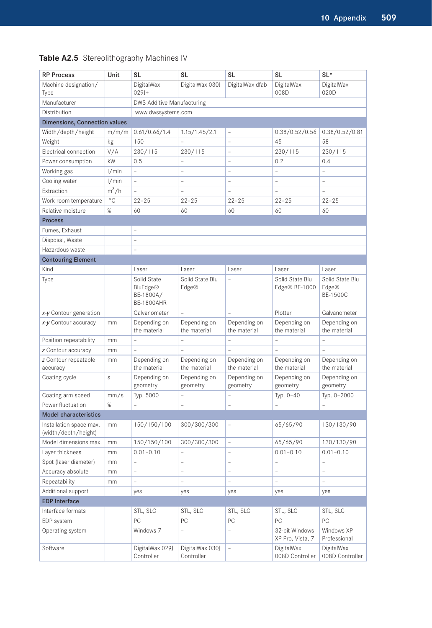# **Table A2.5** Stereolithography Machines IV

| <b>RP Process</b>                               | Unit         | <b>SL</b>                                                             | <b>SL</b>                         | <b>SL</b>                    | <b>SL</b>                          | $SL^*$                                           |  |
|-------------------------------------------------|--------------|-----------------------------------------------------------------------|-----------------------------------|------------------------------|------------------------------------|--------------------------------------------------|--|
| Machine designation/<br>Type                    |              | DigitalWax<br>$029 +$                                                 | DigitalWax 030J                   | DigitalWax dfab              | DigitalWax<br>008D                 | DigitalWax<br>020D                               |  |
| Manufacturer                                    |              |                                                                       | <b>DWS Additive Manufacturing</b> |                              |                                    |                                                  |  |
| Distribution                                    |              | www.dwssystems.com                                                    |                                   |                              |                                    |                                                  |  |
| Dimensions, Connection values                   |              |                                                                       |                                   |                              |                                    |                                                  |  |
| Width/depth/height                              | m/m/m        | 0.61/0.66/1.4                                                         | 1.15/1.45/2.1                     | $\overline{a}$               | 0.38/0.52/0.56                     | 0.38/0.52/0.81                                   |  |
| Weight                                          | kg           | 150                                                                   |                                   | $\overline{a}$               | 45                                 | 58                                               |  |
| Electrical connection                           | V/A          | 230/115                                                               | 230/115                           | $\overline{a}$               | 230/115                            | 230/115                                          |  |
| Power consumption                               | kW           | 0.5                                                                   | $\overline{\phantom{0}}$          | $\overline{\phantom{0}}$     | 0.2                                | 0.4                                              |  |
| Working gas                                     | 1/min        | $\overline{\phantom{0}}$                                              | $\overline{a}$                    | $\overline{a}$               | $\overline{a}$                     | $\overline{a}$                                   |  |
| Cooling water                                   | 1/min        | $\overline{\phantom{0}}$                                              | $\overline{a}$                    | L,                           | ÷,                                 | $\overline{a}$                                   |  |
| <b>Extraction</b>                               | $m^3/h$      | $\overline{a}$                                                        | $\overline{a}$                    | $\overline{a}$               | $\overline{a}$                     | $\overline{a}$                                   |  |
| Work room temperature                           | $^{\circ}$ C | $22 - 25$                                                             | $22 - 25$                         | $22 - 25$                    | $22 - 25$                          | $22 - 25$                                        |  |
| Relative moisture                               | $\%$         | 60                                                                    | 60                                | 60                           | 60                                 | 60                                               |  |
| <b>Process</b>                                  |              |                                                                       |                                   |                              |                                    |                                                  |  |
| Fumes, Exhaust                                  |              |                                                                       |                                   |                              |                                    |                                                  |  |
| Disposal, Waste                                 |              | $\overline{\phantom{0}}$                                              |                                   |                              |                                    |                                                  |  |
| Hazardous waste                                 |              |                                                                       |                                   |                              |                                    |                                                  |  |
| <b>Contouring Element</b>                       |              |                                                                       |                                   |                              |                                    |                                                  |  |
| Kind                                            |              | Laser                                                                 | Laser                             | Laser                        | Laser                              | Laser                                            |  |
| Type                                            |              | Solid State<br>BluEdge <sup>®</sup><br>BE-1800A/<br><b>BE-1800AHR</b> | Solid State Blu<br>Edge®          | $\overline{a}$               | Solid State Blu<br>Edge® BE-1000   | Solid State Blu<br>Edge <sup>®</sup><br>BE-1500C |  |
| x-y Contour generation                          |              | Galvanometer                                                          |                                   |                              | Plotter                            | Galvanometer                                     |  |
| x-y Contour accuracy                            | mm           | Depending on<br>the material                                          | Depending on<br>the material      | Depending on<br>the material | Depending on<br>the material       | Depending on<br>the material                     |  |
| Position repeatability                          | mm           | $\equiv$                                                              | $\overline{a}$                    | L.                           | L.                                 | L.                                               |  |
| z Contour accuracy                              | mm           |                                                                       |                                   |                              |                                    |                                                  |  |
| z Contour repeatable<br>accuracy                | mm           | Depending on<br>the material                                          | Depending on<br>the material      | Depending on<br>the material | Depending on<br>the material       | Depending on<br>the material                     |  |
| Coating cycle                                   | $\mathbb S$  | Depending on<br>geometry                                              | Depending on<br>geometry          | Depending on<br>geometry     | Depending on<br>geometry           | Depending on<br>geometry                         |  |
| Coating arm speed                               | mm/s         | Typ. 5000                                                             | $\overline{a}$                    | $\overline{a}$               | Typ. 0-40                          | Typ. 0-2000                                      |  |
| Power fluctuation                               | %            |                                                                       |                                   | $\overline{a}$               |                                    |                                                  |  |
| <b>Model characteristics</b>                    |              |                                                                       |                                   |                              |                                    |                                                  |  |
| Installation space max.<br>(width/depth/height) | mm           | 150/150/100                                                           | 300/300/300                       | ÷                            | 65/65/90                           | 130/130/90                                       |  |
| Model dimensions max.                           | mm           | 150/150/100                                                           | 300/300/300                       | $\overline{a}$               | 65/65/90                           | 130/130/90                                       |  |
| Layer thickness                                 | mm           | $0.01 - 0.10$                                                         | $\overline{a}$                    | $\overline{\phantom{0}}$     | $0.01 - 0.10$                      | $0.01 - 0.10$                                    |  |
| Spot (laser diameter)                           | mm           | $\overline{a}$                                                        | $\overline{a}$                    | $\overline{a}$               | $\overline{a}$                     | L.                                               |  |
| Accuracy absolute                               | mm           | $\overline{a}$                                                        | $\overline{a}$                    | $\overline{a}$               | L,                                 |                                                  |  |
| Repeatability                                   | mm           |                                                                       |                                   |                              |                                    |                                                  |  |
| Additional support                              |              | yes                                                                   | yes                               | yes                          | yes                                | yes                                              |  |
| <b>EDP Interface</b>                            |              |                                                                       |                                   |                              |                                    |                                                  |  |
| Interface formats                               |              | STL, SLC                                                              | STL, SLC                          | STL, SLC                     | STL, SLC                           | STL, SLC                                         |  |
| EDP system                                      |              | PC                                                                    | PC                                | PC                           | PC                                 | PC                                               |  |
| Operating system                                |              | Windows 7                                                             | $\overline{a}$                    | $\overline{a}$               | 32-bit Windows<br>XP Pro, Vista, 7 | Windows XP<br>Professional                       |  |
| Software                                        |              | DigitalWax 029J<br>Controller                                         | DigitalWax 030J<br>Controller     | $\bar{ }$                    | DigitalWax<br>008D Controller      | DigitalWax<br>008D Controller                    |  |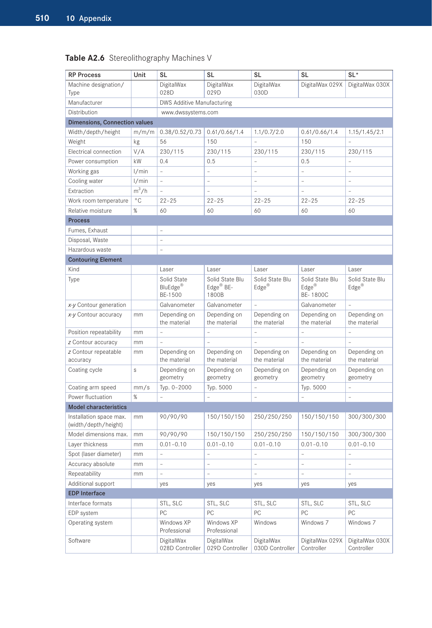| <b>RP Process</b>                               | Unit         | SL                                             | <b>SL</b>                                         | <b>SL</b>                           | <b>SL</b>                                                | $SL^*$                                |
|-------------------------------------------------|--------------|------------------------------------------------|---------------------------------------------------|-------------------------------------|----------------------------------------------------------|---------------------------------------|
| Machine designation/<br>Type                    |              | DigitalWax<br>028D                             | DigitalWax<br>029D                                | DigitalWax<br>030D                  | DigitalWax 029X                                          | DigitalWax 030X                       |
| Manufacturer                                    |              | DWS Additive Manufacturing                     |                                                   |                                     |                                                          |                                       |
| Distribution                                    |              | www.dwssystems.com                             |                                                   |                                     |                                                          |                                       |
| <b>Dimensions, Connection values</b>            |              |                                                |                                                   |                                     |                                                          |                                       |
| Width/depth/height                              | m/m/m        | 0.38/0.52/0.73                                 | 0.61/0.66/1.4                                     | 1.1/0.7/2.0                         | 0.61/0.66/1.4                                            | 1.15/1.45/2.1                         |
| Weight                                          | kg           | 56                                             | 150                                               |                                     | 150                                                      |                                       |
| Electrical connection                           | V/A          | 230/115                                        | 230/115                                           | 230/115                             | 230/115                                                  | 230/115                               |
| Power consumption                               | kW           | 0.4                                            | 0.5                                               | $\overline{a}$                      | 0.5                                                      | $\overline{a}$                        |
| Working gas                                     | l/min        | $\overline{a}$                                 | $\overline{a}$                                    |                                     | $\overline{\phantom{0}}$                                 |                                       |
| Cooling water                                   | 1/min        | $\overline{a}$                                 | $\overline{a}$                                    | $\frac{1}{2}$                       | $\overline{a}$                                           | $\overline{\phantom{0}}$              |
| Extraction                                      | $m^3/h$      | $\overline{a}$                                 | $\overline{a}$                                    | $\overline{a}$                      | $\overline{a}$                                           | $\overline{a}$                        |
| Work room temperature                           | $^{\circ}$ C | $22 - 25$                                      | $22 - 25$                                         | $22 - 25$                           | $22 - 25$                                                | $22 - 25$                             |
| Relative moisture                               | $\%$         | 60                                             | 60                                                | 60                                  | 60                                                       | 60                                    |
| <b>Process</b>                                  |              |                                                |                                                   |                                     |                                                          |                                       |
| Fumes, Exhaust                                  |              | $\overline{a}$                                 |                                                   |                                     |                                                          |                                       |
| Disposal, Waste                                 |              | $\equiv$                                       |                                                   |                                     |                                                          |                                       |
| Hazardous waste                                 |              | $\overline{a}$                                 |                                                   |                                     |                                                          |                                       |
| <b>Contouring Element</b>                       |              |                                                |                                                   |                                     |                                                          |                                       |
| Kind                                            |              | Laser                                          | Laser                                             | Laser                               | Laser                                                    | Laser                                 |
| Type                                            |              | Solid State<br>BluEdge <sup>®</sup><br>BE-1500 | Solid State Blu<br>Edge <sup>®</sup> BE-<br>1800B | Solid State Blu<br>$Edge^{\otimes}$ | Solid State Blu<br>$\mathsf{Edge}^\circledR$<br>BE-1800C | Solid State Blu<br>$Edge^{\circledR}$ |
| x-y Contour generation                          |              | Galvanometer                                   | Galvanometer                                      |                                     | Galvanometer                                             |                                       |
| x-y Contour accuracy                            | mm           | Depending on<br>the material                   | Depending on<br>the material                      | Depending on<br>the material        | Depending on<br>the material                             | Depending on<br>the material          |
| Position repeatability                          | mm           |                                                |                                                   |                                     |                                                          |                                       |
| z Contour accuracy                              | mm           | $\overline{a}$                                 |                                                   |                                     |                                                          |                                       |
| z Contour repeatable<br>accuracy                | mm           | Depending on<br>the material                   | Depending on<br>the material                      | Depending on<br>the material        | Depending on<br>the material                             | Depending on<br>the material          |
| Coating cycle                                   | S            | Depending on<br>geometry                       | Depending on<br>geometry                          | Depending on<br>geometry            | Depending on<br>geometry                                 | Depending on<br>geometry              |
| Coating arm speed                               | mm/s         | Typ. 0-2000                                    | Typ. 5000                                         | $\overline{a}$                      | Typ. 5000                                                | $\overline{a}$                        |
| Power fluctuation                               | %            |                                                |                                                   | $\overline{a}$                      |                                                          |                                       |
| <b>Model characteristics</b>                    |              |                                                |                                                   |                                     |                                                          |                                       |
| Installation space max.<br>(width/depth/height) | mm           | 90/90/90                                       | 150/150/150                                       | 250/250/250                         | 150/150/150                                              | 300/300/300                           |
| Model dimensions max.                           | mm           | 90/90/90                                       | 150/150/150                                       | 250/250/250                         | 150/150/150                                              | 300/300/300                           |
| Layer thickness                                 | mm           | $0.01 - 0.10$                                  | $0.01 - 0.10$                                     | $0.01 - 0.10$                       | $0.01 - 0.10$                                            | $0.01 - 0.10$                         |
| Spot (laser diameter)                           | mm           | $\overline{a}$                                 | $\overline{a}$                                    | $\overline{a}$                      | $\overline{a}$                                           | $\overline{a}$                        |
| Accuracy absolute                               | mm           | $\overline{a}$                                 | $\overline{a}$                                    | $\overline{a}$                      | $\overline{a}$                                           | $\overline{a}$                        |
| Repeatability                                   | mm           | $\overline{a}$                                 | $\overline{a}$                                    | $\overline{a}$                      | $\overline{a}$                                           | $\overline{a}$                        |
| Additional support                              |              | yes                                            | yes                                               | yes                                 | yes                                                      | yes                                   |
| <b>EDP Interface</b>                            |              |                                                |                                                   |                                     |                                                          |                                       |
| Interface formats                               |              | STL, SLC                                       | STL, SLC                                          | STL, SLC                            | STL, SLC                                                 | STL, SLC                              |
| EDP system                                      |              | PC                                             | PC                                                | PC                                  | PC                                                       | PC                                    |
| Operating system                                |              | Windows XP<br>Professional                     | Windows XP<br>Professional                        | Windows                             | Windows 7                                                | Windows 7                             |
| Software                                        |              | DigitalWax<br>028D Controller                  | DigitalWax<br>029D Controller                     | DigitalWax<br>030D Controller       | DigitalWax 029X<br>Controller                            | DigitalWax 030X<br>Controller         |

# **Table A2.6** Stereolithography Machines V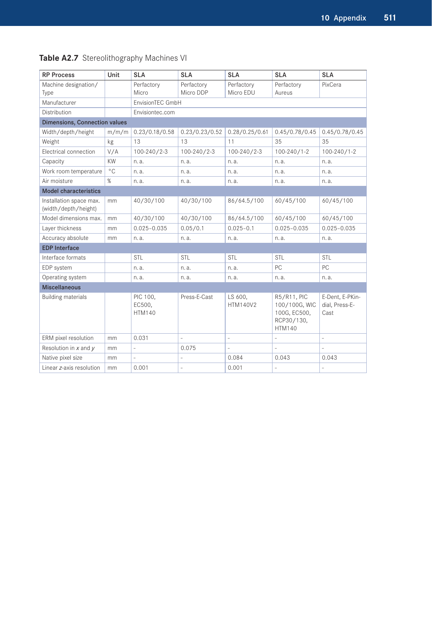| <b>RP Process</b>                               | Unit         | <b>SLA</b>                          | <b>SLA</b>               | <b>SLA</b>                 | <b>SLA</b>                                                                  | <b>SLA</b>                                |
|-------------------------------------------------|--------------|-------------------------------------|--------------------------|----------------------------|-----------------------------------------------------------------------------|-------------------------------------------|
| Machine designation/<br>Type                    |              | Perfactory<br>Micro                 | Perfactory<br>Micro DDP  | Perfactory<br>Micro EDU    | Perfactory<br>Aureus                                                        | PixCera                                   |
| Manufacturer                                    |              | <b>EnvisionTEC GmbH</b>             |                          |                            |                                                                             |                                           |
| Distribution                                    |              | Envisiontec.com                     |                          |                            |                                                                             |                                           |
| <b>Dimensions, Connection values</b>            |              |                                     |                          |                            |                                                                             |                                           |
| Width/depth/height                              | m/m/m        | 0.23/0.18/0.58                      | 0.23/0.23/0.52           | 0.28/0.25/0.61             | 0.45/0.78/0.45                                                              | 0.45/0.78/0.45                            |
| Weight                                          | kg           | 13                                  | 13                       | 11                         | 35                                                                          | 35                                        |
| Electrical connection                           | V/A          | $100 - 240 / 2 - 3$                 | $100 - 240 / 2 - 3$      | $100 - 240 / 2 - 3$        | $100 - 240 / 1 - 2$                                                         | $100 - 240 / 1 - 2$                       |
| Capacity                                        | <b>KW</b>    | n. a.                               | n.a.                     | n.a.                       | n.a.                                                                        | n.a.                                      |
| Work room temperature                           | $^{\circ}$ C | n.a.                                | n.a.                     | n.a.                       | n.a.                                                                        | n.a.                                      |
| Air moisture                                    | %            | n. a.                               | n.a.                     | n. a.                      | n.a.                                                                        | n.a.                                      |
| <b>Model characteristics</b>                    |              |                                     |                          |                            |                                                                             |                                           |
| Installation space max.<br>(width/depth/height) | mm           | 40/30/100                           | 40/30/100                | 86/64.5/100                | 60/45/100                                                                   | 60/45/100                                 |
| Model dimensions max.                           | mm           | 40/30/100                           | 40/30/100                | 86/64.5/100                | 60/45/100                                                                   | 60/45/100                                 |
| Layer thickness                                 | mm           | $0.025 - 0.035$                     | 0.05/0.1                 | $0.025 - 0.1$              | $0.025 - 0.035$                                                             | $0.025 - 0.035$                           |
| Accuracy absolute                               | mm           | n.a.                                | n.a.                     | n. a.                      | n.a.                                                                        | n.a.                                      |
| <b>EDP Interface</b>                            |              |                                     |                          |                            |                                                                             |                                           |
| Interface formats                               |              | STL                                 | STL                      | STL                        | STL                                                                         | STL                                       |
| EDP system                                      |              | n. a.                               | n.a.                     | n.a.                       | PC.                                                                         | PC.                                       |
| Operating system                                |              | n. a.                               | n.a.                     | n.a.                       | n.a.                                                                        | n.a.                                      |
| <b>Miscellaneous</b>                            |              |                                     |                          |                            |                                                                             |                                           |
| <b>Building materials</b>                       |              | PIC 100,<br>EC500,<br><b>HTM140</b> | Press-E-Cast             | LS 600,<br><b>HTM140V2</b> | R5/R11, PIC<br>100/100G, WIC<br>100G, EC500,<br>RCP30/130,<br><b>HTM140</b> | E-Dent, E-PKin-<br>dial, Press-E-<br>Cast |
| ERM pixel resolution                            | mm           | 0.031                               | $\bar{\phantom{a}}$      | ÷,                         | -                                                                           | ÷,                                        |
| Resolution in $x$ and $y$                       | mm           | $\overline{a}$                      | 0.075                    | $\overline{a}$             | $\overline{a}$                                                              | $\overline{a}$                            |
| Native pixel size                               | mm           | ÷,                                  | $\overline{\phantom{a}}$ | 0.084                      | 0.043                                                                       | 0.043                                     |
| Linear z-axis resolution                        | mm           | 0.001                               | $\overline{\phantom{a}}$ | 0.001                      | ÷.                                                                          | $\overline{a}$                            |

# **Table A2.7** Stereolithography Machines VI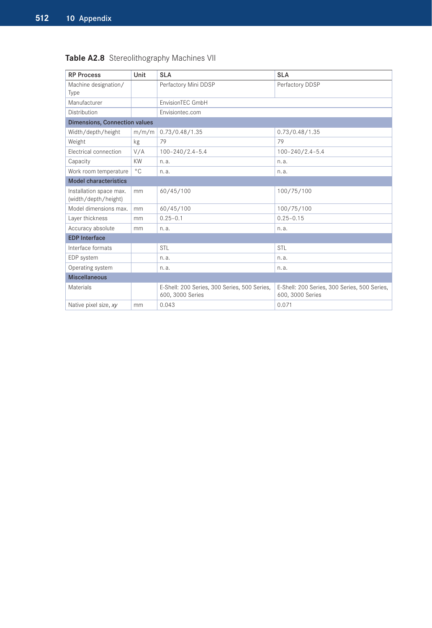| <b>RP Process</b>                               | Unit         | <b>SLA</b>                                                       | <b>SLA</b>                                                       |
|-------------------------------------------------|--------------|------------------------------------------------------------------|------------------------------------------------------------------|
| Machine designation/<br>Type                    |              | Perfactory Mini DDSP                                             | Perfactory DDSP                                                  |
| Manufacturer                                    |              | <b>EnvisionTEC GmbH</b>                                          |                                                                  |
| Distribution                                    |              | Envisiontec.com                                                  |                                                                  |
| <b>Dimensions, Connection values</b>            |              |                                                                  |                                                                  |
| Width/depth/height                              | m/m/m        | 0.73/0.48/1.35                                                   | 0.73/0.48/1.35                                                   |
| Weight                                          | kg           | 79                                                               | 79                                                               |
| <b>Electrical connection</b>                    | V/A          | $100 - 240 / 2.4 - 5.4$                                          | $100 - 240 / 2.4 - 5.4$                                          |
| Capacity                                        | <b>KW</b>    | n.a.                                                             | n. a.                                                            |
| Work room temperature                           | $^{\circ}$ C | n.a.                                                             | n.a.                                                             |
| Model characteristics                           |              |                                                                  |                                                                  |
| Installation space max.<br>(width/depth/height) | mm           | 60/45/100                                                        | 100/75/100                                                       |
| Model dimensions max.                           | mm           | 60/45/100                                                        | 100/75/100                                                       |
| Layer thickness                                 | mm           | $0.25 - 0.1$                                                     | $0.25 - 0.15$                                                    |
| Accuracy absolute                               | mm           | n.a.                                                             | n. a.                                                            |
| <b>EDP</b> Interface                            |              |                                                                  |                                                                  |
| Interface formats                               |              | <b>STI</b>                                                       | <b>STI</b>                                                       |
| EDP system                                      |              | n.a.                                                             | n.a.                                                             |
| Operating system                                |              | n.a.                                                             | n.a.                                                             |
| <b>Miscellaneous</b>                            |              |                                                                  |                                                                  |
| Materials                                       |              | E-Shell: 200 Series, 300 Series, 500 Series,<br>600, 3000 Series | E-Shell: 200 Series, 300 Series, 500 Series,<br>600, 3000 Series |
| Native pixel size, xy                           | mm           | 0.043                                                            | 0.071                                                            |

# **Table A2.8** Stereolithography Machines VII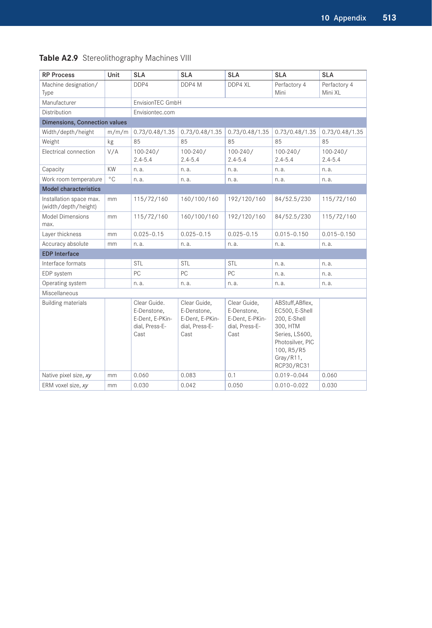| <b>RP Process</b>                               | Unit         | <b>SLA</b>                                                               | <b>SLA</b>                                                               | <b>SLA</b>                                                               | <b>SLA</b>                                                                                                                                    | <b>SLA</b>                  |
|-------------------------------------------------|--------------|--------------------------------------------------------------------------|--------------------------------------------------------------------------|--------------------------------------------------------------------------|-----------------------------------------------------------------------------------------------------------------------------------------------|-----------------------------|
| Machine designation/<br>Type                    |              | DDP4                                                                     | DDP4 M                                                                   | DDP4 XL                                                                  | Perfactory 4<br>Mini                                                                                                                          | Perfactory 4<br>Mini XL     |
| Manufacturer                                    |              | EnvisionTEC GmbH                                                         |                                                                          |                                                                          |                                                                                                                                               |                             |
| Distribution                                    |              | Envisiontec.com                                                          |                                                                          |                                                                          |                                                                                                                                               |                             |
| <b>Dimensions, Connection values</b>            |              |                                                                          |                                                                          |                                                                          |                                                                                                                                               |                             |
| Width/depth/height                              | m/m/m        | 0.73/0.48/1.35                                                           | 0.73/0.48/1.35                                                           | 0.73/0.48/1.35                                                           | 0.73/0.48/1.35                                                                                                                                | 0.73/0.48/1.35              |
| Weight                                          | kg           | 85                                                                       | 85                                                                       | 85                                                                       | 85                                                                                                                                            | 85                          |
| Electrical connection                           | V/A          | $100 - 240/$<br>$2.4 - 5.4$                                              | $100 - 240/$<br>$2.4 - 5.4$                                              | $100 - 240/$<br>$2.4 - 5.4$                                              | $100 - 240/$<br>$2.4 - 5.4$                                                                                                                   | $100 - 240/$<br>$2.4 - 5.4$ |
| Capacity                                        | KW           | n.a.                                                                     | n.a.                                                                     | n.a.                                                                     | n.a.                                                                                                                                          | n.a.                        |
| Work room temperature                           | $^{\circ}$ C | n.a.                                                                     | n.a.                                                                     | n. a.                                                                    | n.a.                                                                                                                                          | n.a.                        |
| <b>Model characteristics</b>                    |              |                                                                          |                                                                          |                                                                          |                                                                                                                                               |                             |
| Installation space max.<br>(width/depth/height) | mm           | 115/72/160                                                               | 160/100/160                                                              | 192/120/160                                                              | 84/52.5/230                                                                                                                                   | 115/72/160                  |
| Model Dimensions<br>max.                        | mm           | 115/72/160                                                               | 160/100/160                                                              | 192/120/160                                                              | 84/52.5/230                                                                                                                                   | 115/72/160                  |
| Layer thickness                                 | mm           | $0.025 - 0.15$                                                           | $0.025 - 0.15$                                                           | $0.025 - 0.15$                                                           | $0.015 - 0.150$                                                                                                                               | $0.015 - 0.150$             |
| Accuracy absolute                               | mm           | n.a.                                                                     | n.a.                                                                     | n.a.                                                                     | n.a.                                                                                                                                          | n.a.                        |
| <b>EDP Interface</b>                            |              |                                                                          |                                                                          |                                                                          |                                                                                                                                               |                             |
| Interface formats                               |              | STL                                                                      | STL                                                                      | <b>STL</b>                                                               | n.a.                                                                                                                                          | n.a.                        |
| EDP system                                      |              | PC.                                                                      | PC.                                                                      | PC.                                                                      | n.a.                                                                                                                                          | n.a.                        |
| Operating system                                |              | n. a.                                                                    | n.a.                                                                     | n.a.                                                                     | n.a.                                                                                                                                          | n.a.                        |
| Miscellaneous                                   |              |                                                                          |                                                                          |                                                                          |                                                                                                                                               |                             |
| <b>Building materials</b>                       |              | Clear Guide.<br>E-Denstone,<br>E-Dent, E-PKin-<br>dial, Press-E-<br>Cast | Clear Guide,<br>E-Denstone,<br>E-Dent, E-PKin-<br>dial, Press-E-<br>Cast | Clear Guide,<br>E-Denstone,<br>E-Dent, E-PKin-<br>dial, Press-E-<br>Cast | ABStuff, ABflex,<br>EC500, E-Shell<br>200, E-Shell<br>300, HTM<br>Series, LS600,<br>Photosilver, PIC<br>100, R5/R5<br>Gray/R11,<br>RCP30/RC31 |                             |
| Native pixel size, xy                           | mm           | 0.060                                                                    | 0.083                                                                    | 0.1                                                                      | $0.019 - 0.044$                                                                                                                               | 0.060                       |
| ERM voxel size, xv                              | mm           | 0.030                                                                    | 0.042                                                                    | 0.050                                                                    | $0.010 - 0.022$                                                                                                                               | 0.030                       |

# **Table A2.9** Stereolithography Machines VIII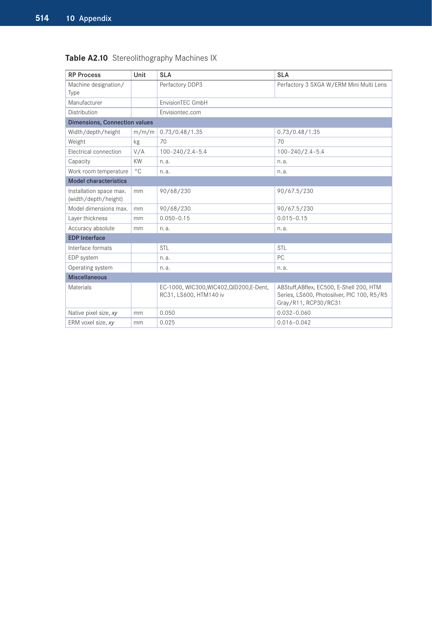| <b>RP Process</b>                               | Unit         | <b>SLA</b>                                                         | <b>SLA</b>                                                                                                    |
|-------------------------------------------------|--------------|--------------------------------------------------------------------|---------------------------------------------------------------------------------------------------------------|
| Machine designation/<br>Type                    |              | Perfactory DDP3                                                    | Perfactory 3 SXGA W/ERM Mini Multi Lens                                                                       |
| Manufacturer                                    |              | <b>EnvisionTEC GmbH</b>                                            |                                                                                                               |
| Distribution                                    |              | Envisiontec.com                                                    |                                                                                                               |
| <b>Dimensions, Connection values</b>            |              |                                                                    |                                                                                                               |
| Width/depth/height                              | m/m/m        | 0.73/0.48/1.35                                                     | 0.73/0.48/1.35                                                                                                |
| Weight                                          | kg           | 70                                                                 | 70                                                                                                            |
| <b>Electrical connection</b>                    | V/A          | $100 - 240 / 2.4 - 5.4$                                            | $100 - 240 / 2.4 - 5.4$                                                                                       |
| Capacity                                        | <b>KW</b>    | n.a.                                                               | n.a.                                                                                                          |
| Work room temperature                           | $^{\circ}$ C | n.a.                                                               | n.a.                                                                                                          |
| <b>Model characteristics</b>                    |              |                                                                    |                                                                                                               |
| Installation space max.<br>(width/depth/height) | mm           | 90/68/230                                                          | 90/67.5/230                                                                                                   |
| Model dimensions max.                           | mm           | 90/68/230                                                          | 90/67.5/230                                                                                                   |
| Layer thickness                                 | mm           | $0.050 - 0.15$                                                     | $0.015 - 0.15$                                                                                                |
| Accuracy absolute                               | mm           | n. a.                                                              | n. a.                                                                                                         |
| <b>EDP</b> Interface                            |              |                                                                    |                                                                                                               |
| Interface formats                               |              | STL                                                                | STL                                                                                                           |
| EDP system                                      |              | n.a.                                                               | PC.                                                                                                           |
| Operating system                                |              | n.a.                                                               | n.a.                                                                                                          |
| <b>Miscellaneous</b>                            |              |                                                                    |                                                                                                               |
| Materials                                       |              | EC-1000, WIC300, WIC402, QID200, E-Dent,<br>RC31, LS600, HTM140 iv | ABStuff.ABflex, EC500, E-Shell 200, HTM<br>Series, LS600, Photosilver, PIC 100, R5/R5<br>Gray/R11, RCP30/RC31 |
| Native pixel size, xy                           | mm           | 0.050                                                              | $0.032 - 0.060$                                                                                               |
| ERM voxel size, xy                              | mm           | 0.025                                                              | $0.016 - 0.042$                                                                                               |

# **Table A2.10** Stereolithography Machines IX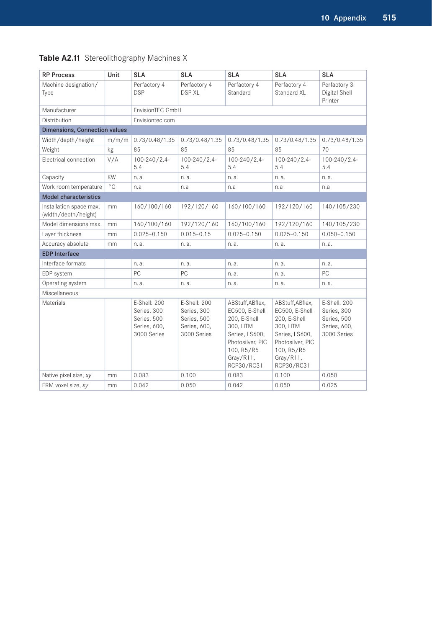| <b>RP Process</b>                               | Unit         | <b>SLA</b>                                                                | <b>SLA</b>                                                                | <b>SLA</b>                                                                                                                                    | <b>SLA</b>                                                                                                                                    | <b>SLA</b>                                                                |
|-------------------------------------------------|--------------|---------------------------------------------------------------------------|---------------------------------------------------------------------------|-----------------------------------------------------------------------------------------------------------------------------------------------|-----------------------------------------------------------------------------------------------------------------------------------------------|---------------------------------------------------------------------------|
| Machine designation/<br>Type                    |              | Perfactory 4<br><b>DSP</b>                                                | Perfactory 4<br><b>DSP XI</b>                                             | Perfactory 4<br>Standard                                                                                                                      | Perfactory 4<br>Standard XL                                                                                                                   | Perfactory 3<br>Digital Shell<br>Printer                                  |
| Manufacturer                                    |              | EnvisionTEC GmbH                                                          |                                                                           |                                                                                                                                               |                                                                                                                                               |                                                                           |
| Distribution                                    |              | Envisiontec.com                                                           |                                                                           |                                                                                                                                               |                                                                                                                                               |                                                                           |
| <b>Dimensions, Connection values</b>            |              |                                                                           |                                                                           |                                                                                                                                               |                                                                                                                                               |                                                                           |
| Width/depth/height                              | m/m/m        | 0.73/0.48/1.35                                                            | 0.73/0.48/1.35                                                            | 0.73/0.48/1.35                                                                                                                                | 0.73/0.48/1.35                                                                                                                                | 0.73/0.48/1.35                                                            |
| Weight                                          | kg           | 85                                                                        | 85                                                                        | 85                                                                                                                                            | 85                                                                                                                                            | 70                                                                        |
| Electrical connection                           | V/A          | 100-240/2.4-<br>5.4                                                       | 100-240/2.4-<br>5.4                                                       | 100-240/2.4-<br>5.4                                                                                                                           | 100-240/2.4-<br>5.4                                                                                                                           | $100 - 240 / 2.4 -$<br>5.4                                                |
| Capacity                                        | KW           | n.a.                                                                      | n.a.                                                                      | n. a.                                                                                                                                         | n.a.                                                                                                                                          | n.a.                                                                      |
| Work room temperature                           | $^{\circ}$ C | n.a                                                                       | n.a                                                                       | n.a                                                                                                                                           | n.a                                                                                                                                           | n.a                                                                       |
| <b>Model characteristics</b>                    |              |                                                                           |                                                                           |                                                                                                                                               |                                                                                                                                               |                                                                           |
| Installation space max.<br>(width/depth/height) | mm           | 160/100/160                                                               | 192/120/160                                                               | 160/100/160                                                                                                                                   | 192/120/160                                                                                                                                   | 140/105/230                                                               |
| Model dimensions max.                           | mm           | 160/100/160                                                               | 192/120/160                                                               | 160/100/160                                                                                                                                   | 192/120/160                                                                                                                                   | 140/105/230                                                               |
| Layer thickness                                 | mm           | $0.025 - 0.150$                                                           | $0.015 - 0.15$                                                            | $0.025 - 0.150$                                                                                                                               | $0.025 - 0.150$                                                                                                                               | $0.050 - 0.150$                                                           |
| Accuracy absolute                               | mm           | n.a.                                                                      | n.a.                                                                      | n. a.                                                                                                                                         | n.a.                                                                                                                                          | n.a.                                                                      |
| <b>EDP Interface</b>                            |              |                                                                           |                                                                           |                                                                                                                                               |                                                                                                                                               |                                                                           |
| Interface formats                               |              | n.a.                                                                      | n.a.                                                                      | n. a.                                                                                                                                         | n.a.                                                                                                                                          | n.a.                                                                      |
| EDP system                                      |              | PC                                                                        | PC                                                                        | n. a.                                                                                                                                         | n.a.                                                                                                                                          | PC.                                                                       |
| Operating system                                |              | n.a.                                                                      | n.a.                                                                      | n.a.                                                                                                                                          | n.a.                                                                                                                                          | n.a.                                                                      |
| Miscellaneous                                   |              |                                                                           |                                                                           |                                                                                                                                               |                                                                                                                                               |                                                                           |
| Materials                                       |              | E-Shell: 200<br>Series, 300<br>Series, 500<br>Series, 600,<br>3000 Series | E-Shell: 200<br>Series, 300<br>Series, 500<br>Series, 600,<br>3000 Series | ABStuff, ABflex,<br>EC500, E-Shell<br>200, E-Shell<br>300. HTM<br>Series, LS600,<br>Photosilver, PIC<br>100, R5/R5<br>Gray/R11,<br>RCP30/RC31 | ABStuff, ABflex,<br>EC500, E-Shell<br>200, E-Shell<br>300. HTM<br>Series, LS600,<br>Photosilver, PIC<br>100, R5/R5<br>Gray/R11,<br>RCP30/RC31 | E-Shell: 200<br>Series, 300<br>Series, 500<br>Series, 600,<br>3000 Series |
| Native pixel size, xy                           | mm           | 0.083                                                                     | 0.100                                                                     | 0.083                                                                                                                                         | 0.100                                                                                                                                         | 0.050                                                                     |
| ERM voxel size, xv                              | mm           | 0.042                                                                     | 0.050                                                                     | 0.042                                                                                                                                         | 0.050                                                                                                                                         | 0.025                                                                     |

# Table A2.11 Stereolithography Machines X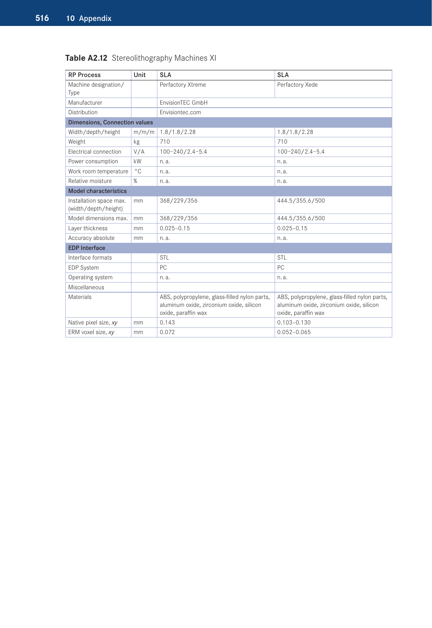| <b>RP Process</b>                               | Unit         | <b>SLA</b>                                                                                                       | <b>SLA</b>                                                                                                       |
|-------------------------------------------------|--------------|------------------------------------------------------------------------------------------------------------------|------------------------------------------------------------------------------------------------------------------|
| Machine designation/<br>Type                    |              | Perfactory Xtreme                                                                                                | Perfactory Xede                                                                                                  |
| Manufacturer                                    |              | <b>EnvisionTEC GmbH</b>                                                                                          |                                                                                                                  |
| Distribution                                    |              | Fnvisiontec.com                                                                                                  |                                                                                                                  |
| <b>Dimensions, Connection values</b>            |              |                                                                                                                  |                                                                                                                  |
| Width/depth/height                              | m/m/m        | 1.8/1.8/2.28                                                                                                     | 1.8/1.8/2.28                                                                                                     |
| Weight                                          | kg           | 710                                                                                                              | 710                                                                                                              |
| <b>Electrical connection</b>                    | V/A          | $100 - 240 / 2.4 - 5.4$                                                                                          | $100 - 240 / 2.4 - 5.4$                                                                                          |
| Power consumption                               | kW           | n.a.                                                                                                             | n.a.                                                                                                             |
| Work room temperature                           | $^{\circ}$ C | n. a.                                                                                                            | n. a.                                                                                                            |
| Relative moisture                               | %            | n. a.                                                                                                            | n.a.                                                                                                             |
| <b>Model characteristics</b>                    |              |                                                                                                                  |                                                                                                                  |
| Installation space max.<br>(width/depth/height) | mm           | 368/229/356                                                                                                      | 444.5/355.6/500                                                                                                  |
| Model dimensions max.                           | mm           | 368/229/356                                                                                                      | 444.5/355.6/500                                                                                                  |
| Layer thickness                                 | mm           | $0.025 - 0.15$                                                                                                   | $0.025 - 0.15$                                                                                                   |
| Accuracy absolute                               | mm           | n. a.                                                                                                            | n.a.                                                                                                             |
| <b>EDP</b> Interface                            |              |                                                                                                                  |                                                                                                                  |
| Interface formats                               |              | <b>STI</b>                                                                                                       | <b>STI</b>                                                                                                       |
| <b>EDP System</b>                               |              | PC                                                                                                               | PC                                                                                                               |
| Operating system                                |              | n.a.                                                                                                             | n.a.                                                                                                             |
| Miscellaneous                                   |              |                                                                                                                  |                                                                                                                  |
| Materials                                       |              | ABS, polypropylene, glass-filled nylon parts,<br>aluminum oxide, zirconium oxide, silicon<br>oxide, paraffin wax | ABS, polypropylene, glass-filled nylon parts,<br>aluminum oxide, zirconium oxide, silicon<br>oxide, paraffin wax |
| Native pixel size, xy                           | mm           | 0.143                                                                                                            | $0.103 - 0.130$                                                                                                  |
| ERM voxel size, xv                              | mm           | 0.072                                                                                                            | $0.052 - 0.065$                                                                                                  |

### **Table A2.12** Stereolithography Machines XI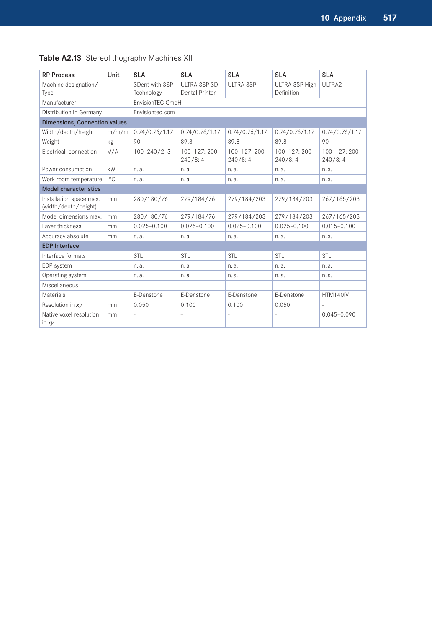| <b>RP Process</b>                               | Unit         | <b>SLA</b>                   | <b>SLA</b>                     | <b>SLA</b>               | <b>SLA</b>                   | <b>SLA</b>               |
|-------------------------------------------------|--------------|------------------------------|--------------------------------|--------------------------|------------------------------|--------------------------|
| Machine designation/<br>Type                    |              | 3Dent with 3SP<br>Technology | ULTRA 3SP 3D<br>Dental Printer | <b>ULTRA 3SP</b>         | ULTRA 3SP High<br>Definition | ULTRA2                   |
| Manufacturer                                    |              | EnvisionTEC GmbH             |                                |                          |                              |                          |
| Distribution in Germany                         |              | Envisiontec.com              |                                |                          |                              |                          |
| <b>Dimensions, Connection values</b>            |              |                              |                                |                          |                              |                          |
| Width/depth/height                              | m/m/m        | 0.74/0.76/1.17               | 0.74/0.76/1.17                 | 0.74/0.76/1.17           | 0.74/0.76/1.17               | 0.74/0.76/1.17           |
| Weight                                          | kg           | 90                           | 89.8                           | 89.8                     | 89.8                         | 90                       |
| Electrical connection                           | V/A          | $100 - 240 / 2 - 3$          | 100-127; 200-<br>240/8:4       | 100-127; 200-<br>240/8:4 | 100-127; 200-<br>240/8:4     | 100-127; 200-<br>240/8:4 |
| Power consumption                               | kW           | n.a.                         | n.a.                           | n.a.                     | n.a.                         | n.a.                     |
| Work room temperature                           | $^{\circ}$ C | n.a.                         | n.a.                           | n.a.                     | n.a.                         | n.a.                     |
| <b>Model characteristics</b>                    |              |                              |                                |                          |                              |                          |
| Installation space max.<br>(width/depth/height) | mm           | 280/180/76                   | 279/184/76                     | 279/184/203              | 279/184/203                  | 267/165/203              |
| Model dimensions max.                           | mm           | 280/180/76                   | 279/184/76                     | 279/184/203              | 279/184/203                  | 267/165/203              |
| Layer thickness                                 | mm           | $0.025 - 0.100$              | $0.025 - 0.100$                | $0.025 - 0.100$          | $0.025 - 0.100$              | $0.015 - 0.100$          |
| Accuracy absolute                               | mm           | n.a.                         | n.a.                           | n.a.                     | n.a.                         | n.a.                     |
| <b>EDP</b> Interface                            |              |                              |                                |                          |                              |                          |
| Interface formats                               |              | STL                          | STL                            | STL                      | STL                          | STL                      |
| EDP system                                      |              | n.a.                         | n.a.                           | n.a.                     | n.a.                         | n.a.                     |
| Operating system                                |              | n.a.                         | n.a.                           | n.a.                     | n.a.                         | n.a.                     |
| Miscellaneous                                   |              |                              |                                |                          |                              |                          |
| Materials                                       |              | E-Denstone                   | F-Denstone                     | E-Denstone               | E-Denstone                   | HTM140IV                 |
| Resolution in xy                                | mm           | 0.050                        | 0.100                          | 0.100                    | 0.050                        | ÷,                       |
| Native voxel resolution<br>in $xy$              | mm           | $\overline{a}$               | $\overline{a}$                 | $\overline{\phantom{a}}$ |                              | $0.045 - 0.090$          |

# **Table A2.13** Stereolithography Machines XII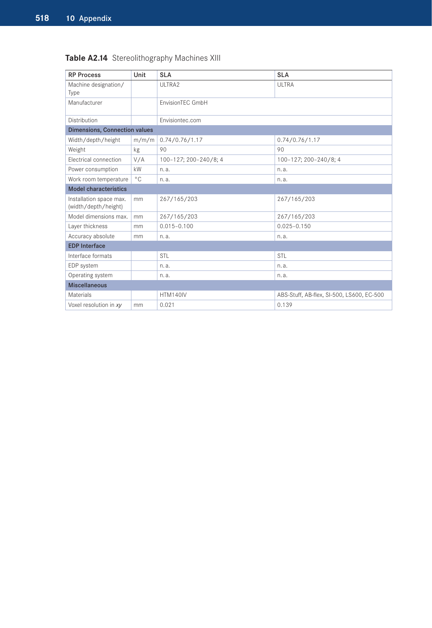| <b>RP Process</b>                               | Unit         | <b>SLA</b>              | <b>SLA</b>                                |
|-------------------------------------------------|--------------|-------------------------|-------------------------------------------|
| Machine designation/<br>Type                    |              | ULTRA2                  | <b>ULTRA</b>                              |
| Manufacturer                                    |              | <b>FnvisionTFC GmbH</b> |                                           |
| Distribution                                    |              | Fnvisiontec.com         |                                           |
| <b>Dimensions, Connection values</b>            |              |                         |                                           |
| Width/depth/height                              | m/m/m        | 0.74/0.76/1.17          | 0.74/0.76/1.17                            |
| Weight                                          | kg           | 90                      | 90                                        |
| <b>Electrical connection</b>                    | V/A          | 100-127; 200-240/8; 4   | 100-127: 200-240/8: 4                     |
| Power consumption                               | kW           | n.a.                    | n.a.                                      |
| Work room temperature                           | $^{\circ}$ C | n.a.                    | n. a.                                     |
| Model characteristics                           |              |                         |                                           |
| Installation space max.<br>(width/depth/height) | mm           | 267/165/203             | 267/165/203                               |
| Model dimensions max.                           | mm           | 267/165/203             | 267/165/203                               |
| Layer thickness                                 | mm           | $0.015 - 0.100$         | $0.025 - 0.150$                           |
| Accuracy absolute                               | mm           | n.a.                    | n.a.                                      |
| <b>EDP</b> Interface                            |              |                         |                                           |
| Interface formats                               |              | <b>STI</b>              | <b>STI</b>                                |
| EDP system                                      |              | n.a.                    | n.a.                                      |
| Operating system                                |              | n.a.                    | n.a.                                      |
| <b>Miscellaneous</b>                            |              |                         |                                           |
| Materials                                       |              | HTM140IV                | ABS-Stuff, AB-flex, SI-500, LS600, EC-500 |
| Voxel resolution in xy                          | mm           | 0.021                   | 0.139                                     |

### **Table A2.14** Stereolithography Machines XIII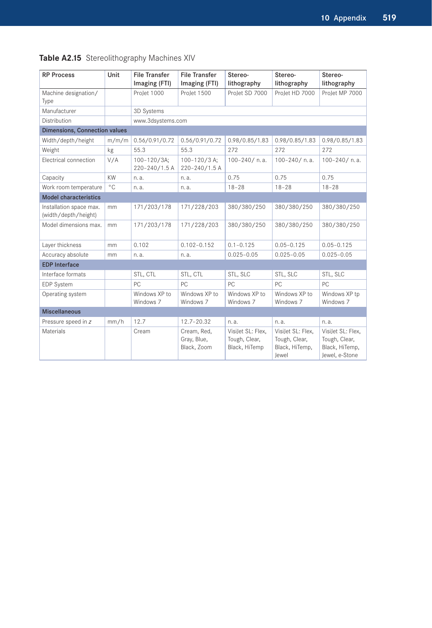| <b>RP Process</b>                               | Unit         | <b>File Transfer</b><br>Imaging (FTI) | <b>File Transfer</b><br>Imaging (FTI)     | Stereo-<br>lithography                              | Stereo-<br>lithography                                        | Stereo-<br>lithography                                                 |
|-------------------------------------------------|--------------|---------------------------------------|-------------------------------------------|-----------------------------------------------------|---------------------------------------------------------------|------------------------------------------------------------------------|
| Machine designation/<br>Type                    |              | Prolet 1000                           | ProJet 1500                               | Prolet SD 7000                                      | Prolet HD 7000                                                | Prolet MP 7000                                                         |
| Manufacturer                                    |              | 3D Systems                            |                                           |                                                     |                                                               |                                                                        |
| Distribution                                    |              | www.3dsystems.com                     |                                           |                                                     |                                                               |                                                                        |
| <b>Dimensions, Connection values</b>            |              |                                       |                                           |                                                     |                                                               |                                                                        |
| Width/depth/height                              | m/m/m        | 0.56/0.91/0.72                        | 0.56/0.91/0.72                            | 0.98/0.85/1.83                                      | 0.98/0.85/1.83                                                | 0.98/0.85/1.83                                                         |
| Weight                                          | kg           | 55.3                                  | 55.3                                      | 272                                                 | 272                                                           | 272                                                                    |
| Electrical connection                           | V/A          | $100 - 120 / 3A$ ;<br>220-240/1.5 A   | $100 - 120/3$ A;<br>220-240/1.5 A         | 100-240/ n.a.                                       | $100 - 240/$ n.a.                                             | $100 - 240/$ n.a.                                                      |
| Capacity                                        | KW           | n.a.                                  | n.a.                                      | 0.75                                                | 0.75                                                          | 0.75                                                                   |
| Work room temperature                           | $^{\circ}$ C | n. a.                                 | n.a.                                      | $18 - 28$                                           | $18 - 28$                                                     | $18 - 28$                                                              |
| <b>Model characteristics</b>                    |              |                                       |                                           |                                                     |                                                               |                                                                        |
| Installation space max.<br>(width/depth/height) | mm           | 171/203/178                           | 171/228/203                               | 380/380/250                                         | 380/380/250                                                   | 380/380/250                                                            |
| Model dimensions max.                           | mm           | 171/203/178                           | 171/228/203                               | 380/380/250                                         | 380/380/250                                                   | 380/380/250                                                            |
| Layer thickness                                 | mm           | 0.102                                 | $0.102 - 0.152$                           | $0.1 - 0.125$                                       | $0.05 - 0.125$                                                | $0.05 - 0.125$                                                         |
| Accuracy absolute                               | mm           | n. a.                                 | n.a.                                      | $0.025 - 0.05$                                      | $0.025 - 0.05$                                                | $0.025 - 0.05$                                                         |
| <b>EDP Interface</b>                            |              |                                       |                                           |                                                     |                                                               |                                                                        |
| Interface formats                               |              | STL, CTL                              | STL, CTL                                  | STL, SLC                                            | STL, SLC                                                      | STL, SLC                                                               |
| <b>EDP System</b>                               |              | PC                                    | PC.                                       | PC.                                                 | PC                                                            | PC                                                                     |
| Operating system                                |              | Windows XP to<br>Windows 7            | Windows XP to<br>Windows 7                | Windows XP to<br>Windows 7                          | Windows XP to<br>Windows 7                                    | Windows XP tp<br>Windows 7                                             |
| <b>Miscellaneous</b>                            |              |                                       |                                           |                                                     |                                                               |                                                                        |
| Pressure speed in z                             | mm/h         | 12.7                                  | 12.7-20.32                                | n.a.                                                | n.a.                                                          | n.a.                                                                   |
| Materials                                       |              | Cream                                 | Cream, Red,<br>Gray, Blue,<br>Black, Zoom | Visilet SL: Flex.<br>Tough, Clear,<br>Black, HiTemp | Visilet SL: Flex.<br>Tough, Clear,<br>Black, HiTemp,<br>lewel | Visilet SL: Flex.<br>Tough, Clear,<br>Black, HiTemp,<br>Jewel, e-Stone |

# **Table A2.15** Stereolithography Machines XIV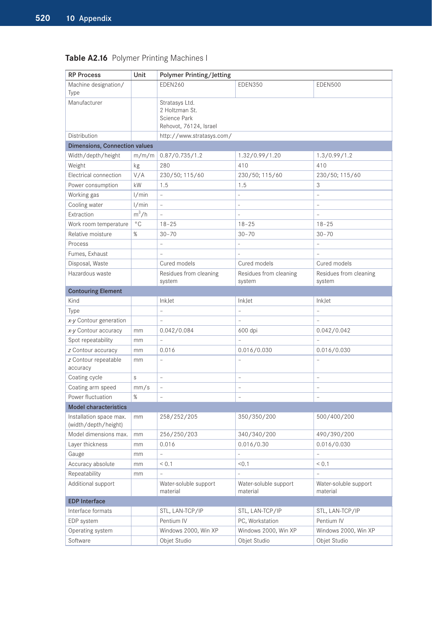| <b>RP Process</b>                               | Unit         | Polymer Printing/Jetting                                                   |                                   |                                   |
|-------------------------------------------------|--------------|----------------------------------------------------------------------------|-----------------------------------|-----------------------------------|
| Machine designation/<br>Type                    |              | <b>EDEN260</b>                                                             | EDEN350                           | EDEN500                           |
| Manufacturer                                    |              | Stratasys Ltd.<br>2 Holtzman St.<br>Science Park<br>Rehovot, 76124, Israel |                                   |                                   |
| Distribution                                    |              | http://www.stratasys.com/                                                  |                                   |                                   |
| Dimensions, Connection values                   |              |                                                                            |                                   |                                   |
| Width/depth/height                              | m/m/m        | 0.87/0.735/1.2                                                             | 1.32/0.99/1.20                    | 1.3/0.99/1.2                      |
| Weight                                          | kg           | 280                                                                        | 410                               | 410                               |
| Electrical connection                           | V/A          | 230/50; 115/60                                                             | 230/50; 115/60                    | 230/50; 115/60                    |
| Power consumption                               | kW           | 1.5                                                                        | 1.5                               | 3                                 |
| Working gas                                     | 1/min        | $\overline{a}$                                                             | $\overline{a}$                    | $\overline{\phantom{0}}$          |
| Cooling water                                   | 1/min        | $\overline{a}$                                                             | $\overline{a}$                    | ÷,                                |
| Extraction                                      | $m^3/h$      | $\overline{a}$                                                             | $\overline{a}$                    | $\overline{a}$                    |
| Work room temperature                           | $^{\circ}$ C | $18 - 25$                                                                  | $18 - 25$                         | $18 - 25$                         |
| Relative moisture                               | %            | $30 - 70$                                                                  | $30 - 70$                         | $30 - 70$                         |
| Process                                         |              | $\overline{a}$                                                             | $\overline{a}$                    | $\overline{a}$                    |
| Fumes, Exhaust                                  |              |                                                                            |                                   |                                   |
| Disposal, Waste                                 |              | Cured models                                                               | Cured models                      | Cured models                      |
| Hazardous waste                                 |              | Residues from cleaning<br>system                                           | Residues from cleaning<br>system  | Residues from cleaning<br>system  |
| <b>Contouring Element</b>                       |              |                                                                            |                                   |                                   |
| Kind                                            |              | <b>InkJet</b>                                                              | <b>InkJet</b>                     | <b>InkJet</b>                     |
| Type                                            |              |                                                                            |                                   |                                   |
| x-y Contour generation                          |              | $\overline{a}$                                                             | $\overline{a}$                    |                                   |
| x-y Contour accuracy                            | mm           | 0.042/0.084                                                                | 600 dpi                           | 0.042/0.042                       |
| Spot repeatability                              | mm           | $\overline{a}$                                                             | $\overline{a}$                    | $\overline{a}$                    |
| z Contour accuracy                              | mm           | 0.016                                                                      | 0.016/0.030                       | 0.016/0.030                       |
| z Contour repeatable<br>accuracy                | mm           | $\overline{a}$                                                             | $\overline{a}$                    | $\overline{a}$                    |
| Coating cycle                                   | $\mathbf{s}$ | $\overline{a}$                                                             | $\overline{a}$                    | L.                                |
| Coating arm speed                               | mm/s         | $\overline{a}$                                                             | $\overline{a}$                    | $\overline{a}$                    |
| Power fluctuation                               | %            | $\overline{a}$                                                             | $\overline{a}$                    | $\overline{a}$                    |
| <b>Model characteristics</b>                    |              |                                                                            |                                   |                                   |
| Installation space max.<br>(width/depth/height) | mm           | 258/252/205                                                                | 350/350/200                       | 500/400/200                       |
| Model dimensions max.                           | mm           | 256/250/203                                                                | 340/340/200                       | 490/390/200                       |
| Layer thickness                                 | mm           | 0.016                                                                      | 0.016/0.30                        | 0.016/0.030                       |
| Gauge                                           | mm           | $\overline{a}$                                                             | $\overline{a}$                    | $\overline{a}$                    |
| Accuracy absolute                               | mm           | ${}_{0.1}$                                                                 | < 0.1                             | ${}_{0.1}$                        |
| Repeatability                                   | mm           |                                                                            |                                   |                                   |
| Additional support                              |              | Water-soluble support<br>material                                          | Water-soluble support<br>material | Water-soluble support<br>material |
| <b>EDP Interface</b>                            |              |                                                                            |                                   |                                   |
| Interface formats                               |              | STL, LAN-TCP/IP                                                            | STL, LAN-TCP/IP                   | STL, LAN-TCP/IP                   |
| EDP system                                      |              | Pentium IV                                                                 | PC, Workstation                   | Pentium IV                        |
| Operating system                                |              | Windows 2000, Win XP                                                       | Windows 2000, Win XP              | Windows 2000, Win XP              |
| Software                                        |              | Objet Studio                                                               | Objet Studio                      | Objet Studio                      |

### **Table A2.16** Polymer Printing Machines I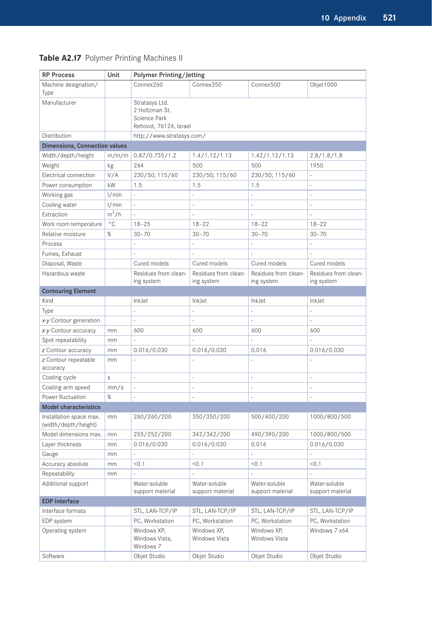| <b>RP Process</b>                               | Unit         | Polymer Printing/Jetting                                                   |                                    |                                    |                                    |  |
|-------------------------------------------------|--------------|----------------------------------------------------------------------------|------------------------------------|------------------------------------|------------------------------------|--|
| Machine designation/<br>Type                    |              | Connex260                                                                  | Connex350                          | Connex500                          | Objet1000                          |  |
| Manufacturer                                    |              | Stratasys Ltd.<br>2 Holtzman St.<br>Science Park<br>Rehovot, 76124, Israel |                                    |                                    |                                    |  |
| Distribution                                    |              | http://www.stratasys.com/                                                  |                                    |                                    |                                    |  |
| Dimensions, Connection values                   |              |                                                                            |                                    |                                    |                                    |  |
| Width/depth/height                              | m/m/m        | 0.87/0.735/1.2                                                             | 1.4/1.12/1.13                      | 1.42/1.12/1.13                     | 2.8/1.8/1.8                        |  |
| Weight                                          | kg           | 264                                                                        | 500                                | 500                                | 1950                               |  |
| Electrical connection                           | V/A          | 230/50; 115/60                                                             | 230/50; 115/60                     | 230/50; 115/60                     | $\overline{a}$                     |  |
| Power consumption                               | kW           | 1.5                                                                        | 1.5                                | 1.5                                | L,                                 |  |
| Working gas                                     | 1/min        | $\overline{a}$                                                             | $\overline{a}$                     | $\overline{a}$                     | L,                                 |  |
| Cooling water                                   | 1/min        | $\overline{a}$                                                             | $\overline{a}$                     | ٠                                  | ×,                                 |  |
| Extraction                                      | $m^3/h$      | $\overline{a}$                                                             | $\overline{a}$                     | L.                                 | ÷                                  |  |
| Work room temperature                           | $^{\circ}$ C | $18 - 25$                                                                  | $18 - 22$                          | $18 - 22$                          | $18 - 22$                          |  |
| Relative moisture                               | %            | $30 - 70$                                                                  | $30 - 70$                          | $30 - 70$                          | $30 - 70$                          |  |
| Process                                         |              |                                                                            | $\overline{a}$                     | $\overline{a}$                     | L,                                 |  |
| Fumes, Exhaust                                  |              |                                                                            |                                    |                                    |                                    |  |
| Disposal, Waste                                 |              | Cured models                                                               | Cured models                       | Cured models                       | Cured models                       |  |
| Hazardous waste                                 |              | Residues from clean-<br>ing system                                         | Residues from clean-<br>ing system | Residues from clean-<br>ing system | Residues from clean-<br>ing system |  |
| <b>Contouring Element</b>                       |              |                                                                            |                                    |                                    |                                    |  |
| Kind                                            |              | <b>InkJet</b>                                                              | <b>InkJet</b>                      | <b>InkJet</b>                      | <b>InkJet</b>                      |  |
| Type                                            |              | $\overline{a}$                                                             | $\overline{a}$                     |                                    |                                    |  |
| $x-y$ Contour generation                        |              | $\overline{a}$                                                             | $\overline{a}$                     | $\overline{a}$                     | $\overline{\phantom{0}}$           |  |
| x-y Contour accuracy                            | mm           | 600                                                                        | 600                                | 600                                | 600                                |  |
| Spot repeatability                              | mm           |                                                                            |                                    |                                    |                                    |  |
| z Contour accuracy                              | mm           | 0.016/0.030                                                                | 0.016/0.030                        | 0.016                              | 0.016/0.030                        |  |
| z Contour repeatable<br>accuracy                | mm           |                                                                            |                                    |                                    |                                    |  |
| Coating cycle                                   | S            | $\overline{a}$                                                             | $\overline{a}$                     | $\overline{a}$                     |                                    |  |
| Coating arm speed                               | mm/s         | $\overline{a}$                                                             | L.                                 | ٠                                  | ×,                                 |  |
| Power fluctuation                               | %            |                                                                            | $\overline{a}$                     |                                    |                                    |  |
| <b>Model characteristics</b>                    |              |                                                                            |                                    |                                    |                                    |  |
| Installation space max.<br>(width/depth/height) | mm           | 260/260/200                                                                | 350/350/200                        | 500/400/200                        | 1000/800/500                       |  |
| Model dimensions max.                           | mm           | 255/252/200                                                                | 342/342/200                        | 490/390/200                        | 1000/800/500                       |  |
| Layer thickness                                 | mm           | 0.016/0.030                                                                | 0.016/0.030                        | 0.016                              | 0.016/0.030                        |  |
| Gauge                                           | mm           | $\overline{a}$                                                             |                                    | $\overline{a}$                     | $\overline{a}$                     |  |
| Accuracy absolute                               | mm           | < 0.1                                                                      | < 0.1                              | < 0.1                              | < 0.1                              |  |
| Repeatability                                   | mm           | L,                                                                         | $\overline{a}$                     | L.                                 | ÷                                  |  |
| Additional support                              |              | Water-soluble<br>support material                                          | Water-soluble<br>support material  | Water-soluble<br>support material  | Water-soluble<br>support material  |  |
| <b>EDP Interface</b>                            |              |                                                                            |                                    |                                    |                                    |  |
| Interface formats                               |              | STL, LAN-TCP/IP                                                            | STL, LAN-TCP/IP                    | STL, LAN-TCP/IP                    | STL, LAN-TCP/IP                    |  |
| EDP system                                      |              | PC, Workstation                                                            | PC, Workstation                    | PC, Workstation                    | PC, Workstation                    |  |
| Operating system                                |              | Windows XP,<br>Windows Vista,<br>Windows 7                                 | Windows XP,<br>Windows Vista       | Windows XP,<br>Windows Vista       | Windows 7 x64                      |  |
| Software                                        |              | Objet Studio                                                               | Objet Studio                       | Objet Studio                       | Objet Studio                       |  |

# **Table A2.17** Polymer Printing Machines II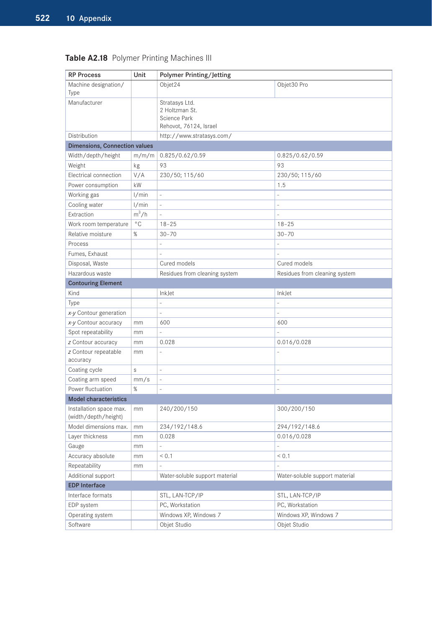| Machine designation/<br>Objet24<br>Objet30 Pro<br>Type<br>Manufacturer<br>Stratasys Ltd.<br>2 Holtzman St.<br>Science Park<br>Rehovot, 76124, Israel<br>Distribution<br>http://www.stratasys.com/<br><b>Dimensions, Connection values</b><br>Width/depth/height<br>0.825/0.62/0.59<br>m/m/m<br>0.825/0.62/0.59<br>Weight<br>93<br>93<br>kg<br>Electrical connection<br>230/50; 115/60<br>V/A<br>230/50; 115/60<br>Power consumption<br>kW<br>1.5<br>Working gas<br>1/min<br>$\overline{a}$<br>÷,<br>Cooling water<br>1/min<br>$\overline{\phantom{0}}$<br>$\overline{a}$<br>$m^3/h$<br>Extraction<br>$\frac{1}{2}$<br>$\overline{a}$<br>$^{\circ}$ C<br>$18 - 25$<br>Work room temperature<br>$18 - 25$<br>$30 - 70$<br>$30 - 70$<br>Relative moisture<br>%<br>Process<br>$\overline{a}$<br>$\overline{a}$<br>Fumes, Exhaust<br>Disposal, Waste<br>Cured models<br>Cured models<br>Hazardous waste<br>Residues from cleaning system<br>Residues from cleaning system<br><b>Contouring Element</b><br>Kind<br><b>InkJet</b><br><b>InkJet</b><br>Type<br>$\overline{a}$<br>$\overline{a}$<br>x-y Contour generation<br>$\frac{1}{2}$<br>$\overline{a}$<br>x-y Contour accuracy<br>600<br>600<br>mm<br>Spot repeatability<br>mm<br>$\overline{a}$<br>z Contour accuracy<br>0.028<br>0.016/0.028<br>mm<br>z Contour repeatable<br>mm<br>$\overline{a}$<br>accuracy<br>Coating cycle<br>S<br>$\overline{a}$<br>$\overline{a}$<br>Coating arm speed<br>mm/s<br>$\overline{a}$<br>$\overline{a}$<br>$\%$<br>Power fluctuation<br>$\overline{\phantom{0}}$<br><b>Model characteristics</b><br>Installation space max.<br>240/200/150<br>300/200/150<br>mm<br>(width/depth/height)<br>Model dimensions max.<br>mm |
|----------------------------------------------------------------------------------------------------------------------------------------------------------------------------------------------------------------------------------------------------------------------------------------------------------------------------------------------------------------------------------------------------------------------------------------------------------------------------------------------------------------------------------------------------------------------------------------------------------------------------------------------------------------------------------------------------------------------------------------------------------------------------------------------------------------------------------------------------------------------------------------------------------------------------------------------------------------------------------------------------------------------------------------------------------------------------------------------------------------------------------------------------------------------------------------------------------------------------------------------------------------------------------------------------------------------------------------------------------------------------------------------------------------------------------------------------------------------------------------------------------------------------------------------------------------------------------------------------------------------------------------------------------------------------------------------------------|
|                                                                                                                                                                                                                                                                                                                                                                                                                                                                                                                                                                                                                                                                                                                                                                                                                                                                                                                                                                                                                                                                                                                                                                                                                                                                                                                                                                                                                                                                                                                                                                                                                                                                                                          |
|                                                                                                                                                                                                                                                                                                                                                                                                                                                                                                                                                                                                                                                                                                                                                                                                                                                                                                                                                                                                                                                                                                                                                                                                                                                                                                                                                                                                                                                                                                                                                                                                                                                                                                          |
|                                                                                                                                                                                                                                                                                                                                                                                                                                                                                                                                                                                                                                                                                                                                                                                                                                                                                                                                                                                                                                                                                                                                                                                                                                                                                                                                                                                                                                                                                                                                                                                                                                                                                                          |
|                                                                                                                                                                                                                                                                                                                                                                                                                                                                                                                                                                                                                                                                                                                                                                                                                                                                                                                                                                                                                                                                                                                                                                                                                                                                                                                                                                                                                                                                                                                                                                                                                                                                                                          |
|                                                                                                                                                                                                                                                                                                                                                                                                                                                                                                                                                                                                                                                                                                                                                                                                                                                                                                                                                                                                                                                                                                                                                                                                                                                                                                                                                                                                                                                                                                                                                                                                                                                                                                          |
|                                                                                                                                                                                                                                                                                                                                                                                                                                                                                                                                                                                                                                                                                                                                                                                                                                                                                                                                                                                                                                                                                                                                                                                                                                                                                                                                                                                                                                                                                                                                                                                                                                                                                                          |
|                                                                                                                                                                                                                                                                                                                                                                                                                                                                                                                                                                                                                                                                                                                                                                                                                                                                                                                                                                                                                                                                                                                                                                                                                                                                                                                                                                                                                                                                                                                                                                                                                                                                                                          |
|                                                                                                                                                                                                                                                                                                                                                                                                                                                                                                                                                                                                                                                                                                                                                                                                                                                                                                                                                                                                                                                                                                                                                                                                                                                                                                                                                                                                                                                                                                                                                                                                                                                                                                          |
|                                                                                                                                                                                                                                                                                                                                                                                                                                                                                                                                                                                                                                                                                                                                                                                                                                                                                                                                                                                                                                                                                                                                                                                                                                                                                                                                                                                                                                                                                                                                                                                                                                                                                                          |
|                                                                                                                                                                                                                                                                                                                                                                                                                                                                                                                                                                                                                                                                                                                                                                                                                                                                                                                                                                                                                                                                                                                                                                                                                                                                                                                                                                                                                                                                                                                                                                                                                                                                                                          |
|                                                                                                                                                                                                                                                                                                                                                                                                                                                                                                                                                                                                                                                                                                                                                                                                                                                                                                                                                                                                                                                                                                                                                                                                                                                                                                                                                                                                                                                                                                                                                                                                                                                                                                          |
|                                                                                                                                                                                                                                                                                                                                                                                                                                                                                                                                                                                                                                                                                                                                                                                                                                                                                                                                                                                                                                                                                                                                                                                                                                                                                                                                                                                                                                                                                                                                                                                                                                                                                                          |
|                                                                                                                                                                                                                                                                                                                                                                                                                                                                                                                                                                                                                                                                                                                                                                                                                                                                                                                                                                                                                                                                                                                                                                                                                                                                                                                                                                                                                                                                                                                                                                                                                                                                                                          |
|                                                                                                                                                                                                                                                                                                                                                                                                                                                                                                                                                                                                                                                                                                                                                                                                                                                                                                                                                                                                                                                                                                                                                                                                                                                                                                                                                                                                                                                                                                                                                                                                                                                                                                          |
|                                                                                                                                                                                                                                                                                                                                                                                                                                                                                                                                                                                                                                                                                                                                                                                                                                                                                                                                                                                                                                                                                                                                                                                                                                                                                                                                                                                                                                                                                                                                                                                                                                                                                                          |
|                                                                                                                                                                                                                                                                                                                                                                                                                                                                                                                                                                                                                                                                                                                                                                                                                                                                                                                                                                                                                                                                                                                                                                                                                                                                                                                                                                                                                                                                                                                                                                                                                                                                                                          |
|                                                                                                                                                                                                                                                                                                                                                                                                                                                                                                                                                                                                                                                                                                                                                                                                                                                                                                                                                                                                                                                                                                                                                                                                                                                                                                                                                                                                                                                                                                                                                                                                                                                                                                          |
|                                                                                                                                                                                                                                                                                                                                                                                                                                                                                                                                                                                                                                                                                                                                                                                                                                                                                                                                                                                                                                                                                                                                                                                                                                                                                                                                                                                                                                                                                                                                                                                                                                                                                                          |
|                                                                                                                                                                                                                                                                                                                                                                                                                                                                                                                                                                                                                                                                                                                                                                                                                                                                                                                                                                                                                                                                                                                                                                                                                                                                                                                                                                                                                                                                                                                                                                                                                                                                                                          |
|                                                                                                                                                                                                                                                                                                                                                                                                                                                                                                                                                                                                                                                                                                                                                                                                                                                                                                                                                                                                                                                                                                                                                                                                                                                                                                                                                                                                                                                                                                                                                                                                                                                                                                          |
|                                                                                                                                                                                                                                                                                                                                                                                                                                                                                                                                                                                                                                                                                                                                                                                                                                                                                                                                                                                                                                                                                                                                                                                                                                                                                                                                                                                                                                                                                                                                                                                                                                                                                                          |
|                                                                                                                                                                                                                                                                                                                                                                                                                                                                                                                                                                                                                                                                                                                                                                                                                                                                                                                                                                                                                                                                                                                                                                                                                                                                                                                                                                                                                                                                                                                                                                                                                                                                                                          |
|                                                                                                                                                                                                                                                                                                                                                                                                                                                                                                                                                                                                                                                                                                                                                                                                                                                                                                                                                                                                                                                                                                                                                                                                                                                                                                                                                                                                                                                                                                                                                                                                                                                                                                          |
|                                                                                                                                                                                                                                                                                                                                                                                                                                                                                                                                                                                                                                                                                                                                                                                                                                                                                                                                                                                                                                                                                                                                                                                                                                                                                                                                                                                                                                                                                                                                                                                                                                                                                                          |
|                                                                                                                                                                                                                                                                                                                                                                                                                                                                                                                                                                                                                                                                                                                                                                                                                                                                                                                                                                                                                                                                                                                                                                                                                                                                                                                                                                                                                                                                                                                                                                                                                                                                                                          |
|                                                                                                                                                                                                                                                                                                                                                                                                                                                                                                                                                                                                                                                                                                                                                                                                                                                                                                                                                                                                                                                                                                                                                                                                                                                                                                                                                                                                                                                                                                                                                                                                                                                                                                          |
|                                                                                                                                                                                                                                                                                                                                                                                                                                                                                                                                                                                                                                                                                                                                                                                                                                                                                                                                                                                                                                                                                                                                                                                                                                                                                                                                                                                                                                                                                                                                                                                                                                                                                                          |
|                                                                                                                                                                                                                                                                                                                                                                                                                                                                                                                                                                                                                                                                                                                                                                                                                                                                                                                                                                                                                                                                                                                                                                                                                                                                                                                                                                                                                                                                                                                                                                                                                                                                                                          |
|                                                                                                                                                                                                                                                                                                                                                                                                                                                                                                                                                                                                                                                                                                                                                                                                                                                                                                                                                                                                                                                                                                                                                                                                                                                                                                                                                                                                                                                                                                                                                                                                                                                                                                          |
|                                                                                                                                                                                                                                                                                                                                                                                                                                                                                                                                                                                                                                                                                                                                                                                                                                                                                                                                                                                                                                                                                                                                                                                                                                                                                                                                                                                                                                                                                                                                                                                                                                                                                                          |
|                                                                                                                                                                                                                                                                                                                                                                                                                                                                                                                                                                                                                                                                                                                                                                                                                                                                                                                                                                                                                                                                                                                                                                                                                                                                                                                                                                                                                                                                                                                                                                                                                                                                                                          |
|                                                                                                                                                                                                                                                                                                                                                                                                                                                                                                                                                                                                                                                                                                                                                                                                                                                                                                                                                                                                                                                                                                                                                                                                                                                                                                                                                                                                                                                                                                                                                                                                                                                                                                          |
|                                                                                                                                                                                                                                                                                                                                                                                                                                                                                                                                                                                                                                                                                                                                                                                                                                                                                                                                                                                                                                                                                                                                                                                                                                                                                                                                                                                                                                                                                                                                                                                                                                                                                                          |
|                                                                                                                                                                                                                                                                                                                                                                                                                                                                                                                                                                                                                                                                                                                                                                                                                                                                                                                                                                                                                                                                                                                                                                                                                                                                                                                                                                                                                                                                                                                                                                                                                                                                                                          |
| 234/192/148.6<br>294/192/148.6                                                                                                                                                                                                                                                                                                                                                                                                                                                                                                                                                                                                                                                                                                                                                                                                                                                                                                                                                                                                                                                                                                                                                                                                                                                                                                                                                                                                                                                                                                                                                                                                                                                                           |
| Layer thickness<br>0.028<br>0.016/0.028<br>mm                                                                                                                                                                                                                                                                                                                                                                                                                                                                                                                                                                                                                                                                                                                                                                                                                                                                                                                                                                                                                                                                                                                                                                                                                                                                                                                                                                                                                                                                                                                                                                                                                                                            |
| Gauge<br>$\overline{a}$<br>mm                                                                                                                                                                                                                                                                                                                                                                                                                                                                                                                                                                                                                                                                                                                                                                                                                                                                                                                                                                                                                                                                                                                                                                                                                                                                                                                                                                                                                                                                                                                                                                                                                                                                            |
| ${}_{0.1}$<br>< 0.1<br>Accuracy absolute<br>mm                                                                                                                                                                                                                                                                                                                                                                                                                                                                                                                                                                                                                                                                                                                                                                                                                                                                                                                                                                                                                                                                                                                                                                                                                                                                                                                                                                                                                                                                                                                                                                                                                                                           |
| Repeatability<br>mm<br>$\overline{a}$                                                                                                                                                                                                                                                                                                                                                                                                                                                                                                                                                                                                                                                                                                                                                                                                                                                                                                                                                                                                                                                                                                                                                                                                                                                                                                                                                                                                                                                                                                                                                                                                                                                                    |
| Additional support<br>Water-soluble support material<br>Water-soluble support material                                                                                                                                                                                                                                                                                                                                                                                                                                                                                                                                                                                                                                                                                                                                                                                                                                                                                                                                                                                                                                                                                                                                                                                                                                                                                                                                                                                                                                                                                                                                                                                                                   |
| <b>EDP</b> Interface                                                                                                                                                                                                                                                                                                                                                                                                                                                                                                                                                                                                                                                                                                                                                                                                                                                                                                                                                                                                                                                                                                                                                                                                                                                                                                                                                                                                                                                                                                                                                                                                                                                                                     |
| Interface formats<br>STL, LAN-TCP/IP<br>STL, LAN-TCP/IP                                                                                                                                                                                                                                                                                                                                                                                                                                                                                                                                                                                                                                                                                                                                                                                                                                                                                                                                                                                                                                                                                                                                                                                                                                                                                                                                                                                                                                                                                                                                                                                                                                                  |
| EDP system<br>PC, Workstation<br>PC, Workstation                                                                                                                                                                                                                                                                                                                                                                                                                                                                                                                                                                                                                                                                                                                                                                                                                                                                                                                                                                                                                                                                                                                                                                                                                                                                                                                                                                                                                                                                                                                                                                                                                                                         |
| Windows XP, Windows 7<br>Windows XP, Windows 7<br>Operating system                                                                                                                                                                                                                                                                                                                                                                                                                                                                                                                                                                                                                                                                                                                                                                                                                                                                                                                                                                                                                                                                                                                                                                                                                                                                                                                                                                                                                                                                                                                                                                                                                                       |
| Software<br>Objet Studio<br>Objet Studio                                                                                                                                                                                                                                                                                                                                                                                                                                                                                                                                                                                                                                                                                                                                                                                                                                                                                                                                                                                                                                                                                                                                                                                                                                                                                                                                                                                                                                                                                                                                                                                                                                                                 |

# **Table A2.18** Polymer Printing Machines III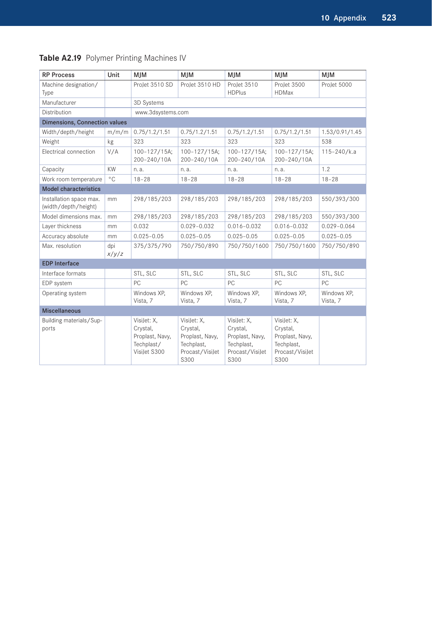| <b>RP Process</b>                               | Unit         | <b>MIM</b>                                                               | <b>MIM</b>                                                                          | <b>MIM</b>                                                                          | <b>MIM</b>                                                                          | <b>MIM</b>              |
|-------------------------------------------------|--------------|--------------------------------------------------------------------------|-------------------------------------------------------------------------------------|-------------------------------------------------------------------------------------|-------------------------------------------------------------------------------------|-------------------------|
| Machine designation/<br>Type                    |              | Prolet 3510 SD                                                           | Prolet 3510 HD                                                                      | Prolet 3510<br><b>HDPlus</b>                                                        | Prolet 3500<br><b>HDMax</b>                                                         | Prolet 5000             |
| Manufacturer                                    |              | 3D Systems                                                               |                                                                                     |                                                                                     |                                                                                     |                         |
| Distribution                                    |              | www.3dsystems.com                                                        |                                                                                     |                                                                                     |                                                                                     |                         |
| <b>Dimensions, Connection values</b>            |              |                                                                          |                                                                                     |                                                                                     |                                                                                     |                         |
| Width/depth/height                              | m/m/m        | 0.75/1.2/1.51                                                            | 0.75/1.2/1.51                                                                       | 0.75/1.2/1.51                                                                       | 0.75/1.2/1.51                                                                       | 1.53/0.91/1.45          |
| Weight                                          | kg           | 323                                                                      | 323                                                                                 | 323                                                                                 | 323                                                                                 | 538                     |
| Electrical connection                           | V/A          | 100-127/15A;<br>200-240/10A                                              | 100-127/15A;<br>200-240/10A                                                         | 100-127/15A;<br>200-240/10A                                                         | 100-127/15A;<br>200-240/10A                                                         | $115 - 240/k.a$         |
| Capacity                                        | <b>KW</b>    | n.a.                                                                     | n.a.                                                                                | n.a.                                                                                | n.a.                                                                                | 1.2                     |
| Work room temperature                           | $^{\circ}$ C | $18 - 28$                                                                | $18 - 28$                                                                           | $18 - 28$                                                                           | $18 - 28$                                                                           | $18 - 28$               |
| <b>Model characteristics</b>                    |              |                                                                          |                                                                                     |                                                                                     |                                                                                     |                         |
| Installation space max.<br>(width/depth/height) | mm           | 298/185/203                                                              | 298/185/203                                                                         | 298/185/203                                                                         | 298/185/203                                                                         | 550/393/300             |
| Model dimensions max.                           | mm           | 298/185/203                                                              | 298/185/203                                                                         | 298/185/203                                                                         | 298/185/203                                                                         | 550/393/300             |
| Layer thickness                                 | mm           | 0.032                                                                    | $0.029 - 0.032$                                                                     | $0.016 - 0.032$                                                                     | $0.016 - 0.032$                                                                     | $0.029 - 0.064$         |
| Accuracy absolute                               | mm           | $0.025 - 0.05$                                                           | $0.025 - 0.05$                                                                      | $0.025 - 0.05$                                                                      | $0.025 - 0.05$                                                                      | $0.025 - 0.05$          |
| Max. resolution                                 | dpi<br>x/y/z | 375/375/790                                                              | 750/750/890                                                                         | 750/750/1600                                                                        | 750/750/1600                                                                        | 750/750/890             |
| <b>EDP Interface</b>                            |              |                                                                          |                                                                                     |                                                                                     |                                                                                     |                         |
| Interface formats                               |              | STL, SLC                                                                 | STL, SLC                                                                            | STL, SLC                                                                            | STL, SLC                                                                            | STL, SLC                |
| EDP system                                      |              | PC.                                                                      | PC.                                                                                 | PC.                                                                                 | PC.                                                                                 | PC                      |
| Operating system                                |              | Windows XP,<br>Vista, 7                                                  | Windows XP,<br>Vista, 7                                                             | Windows XP,<br>Vista, 7                                                             | Windows XP,<br>Vista, 7                                                             | Windows XP,<br>Vista, 7 |
| <b>Miscellaneous</b>                            |              |                                                                          |                                                                                     |                                                                                     |                                                                                     |                         |
| Building materials/Sup-<br>ports                |              | Visilet: X.<br>Crystal,<br>Proplast, Navy,<br>Techplast/<br>VisiJet S300 | Visilet: X.<br>Crystal,<br>Proplast, Navy,<br>Techplast,<br>Procast/VisiJet<br>S300 | Visilet: X.<br>Crystal,<br>Proplast, Navy,<br>Techplast,<br>Procast/VisiJet<br>S300 | Visilet: X.<br>Crystal,<br>Proplast, Navy,<br>Techplast,<br>Procast/VisiJet<br>S300 |                         |

# **Table A2.19** Polymer Printing Machines IV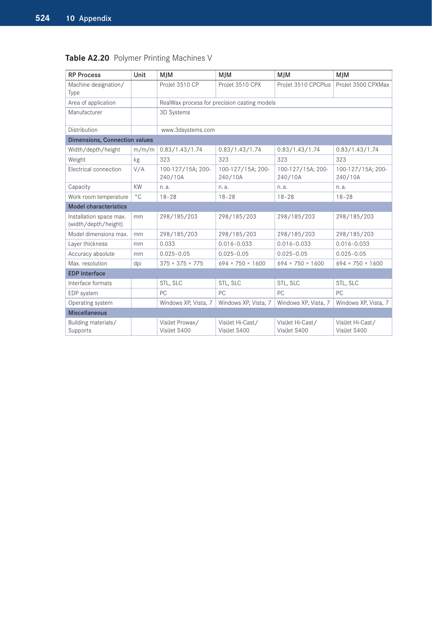| <b>RP Process</b>                               | Unit         | <b>MIM</b>                      | <b>MIM</b>                                   | <b>MIM</b>                       | <b>MIM</b>                       |
|-------------------------------------------------|--------------|---------------------------------|----------------------------------------------|----------------------------------|----------------------------------|
| Machine designation/<br>Type                    |              | Prolet 3510 CP                  | Prolet 3510 CPX                              | Prolet 3510 CPCPlus              | Prolet 3500 CPXMax               |
| Area of application                             |              |                                 | RealWax process for precision casting models |                                  |                                  |
| Manufacturer                                    |              | 3D Systems                      |                                              |                                  |                                  |
| <b>Distribution</b>                             |              | www.3dsystems.com               |                                              |                                  |                                  |
| <b>Dimensions, Connection values</b>            |              |                                 |                                              |                                  |                                  |
| Width/depth/height                              | m/m/m        | 0.83/1.43/1.74                  | 0.83/1.43/1.74                               | 0.83/1.43/1.74                   | 0.83/1.43/1.74                   |
| Weight                                          | kg           | 323                             | 323                                          | 323                              | 323                              |
| Electrical connection                           | V/A          | 100-127/15A: 200-<br>240/10A    | 100-127/15A; 200-<br>240/10A                 | 100-127/15A: 200-<br>240/10A     | 100-127/15A: 200-<br>240/10A     |
| Capacity                                        | <b>KW</b>    | n.a.                            | n.a.                                         | n.a.                             | n.a.                             |
| Work room temperature                           | $^{\circ}$ C | $18 - 28$                       | $18 - 28$                                    | $18 - 28$                        | $18 - 28$                        |
| <b>Model characteristics</b>                    |              |                                 |                                              |                                  |                                  |
| Installation space max.<br>(width/depth/height) | mm           | 298/185/203                     | 298/185/203                                  | 298/185/203                      | 298/185/203                      |
| Model dimensions max.                           | mm           | 298/185/203                     | 298/185/203                                  | 298/185/203                      | 298/185/203                      |
| Layer thickness                                 | mm           | 0.033                           | $0.016 - 0.033$                              | $0.016 - 0.033$                  | $0.016 - 0.033$                  |
| Accuracy absolute                               | mm           | $0.025 - 0.05$                  | $0.025 - 0.05$                               | $0.025 - 0.05$                   | $0.025 - 0.05$                   |
| Max. resolution                                 | dpi          | $375 \times 375 \times 775$     | $694 \times 750 \times 1600$                 | $694 \times 750 \times 1600$     | $694 \times 750 \times 1600$     |
| <b>EDP</b> Interface                            |              |                                 |                                              |                                  |                                  |
| Interface formats                               |              | STL, SLC                        | STL, SLC                                     | STL, SLC                         | STL, SLC                         |
| EDP system                                      |              | PC.                             | PC.                                          | PC.                              | PC.                              |
| Operating system                                |              | Windows XP, Vista, 7            | Windows XP, Vista, 7                         | Windows XP, Vista, 7             | Windows XP, Vista, 7             |
| <b>Miscellaneous</b>                            |              |                                 |                                              |                                  |                                  |
| Building materials/<br>Supports                 |              | VisiJet Prowax/<br>Visilet S400 | VisiJet Hi-Cast/<br>Visilet S400             | VisiJet Hi-Cast/<br>Visilet S400 | VisiJet Hi-Cast/<br>Visilet S400 |

# **Table A2.20** Polymer Printing Machines V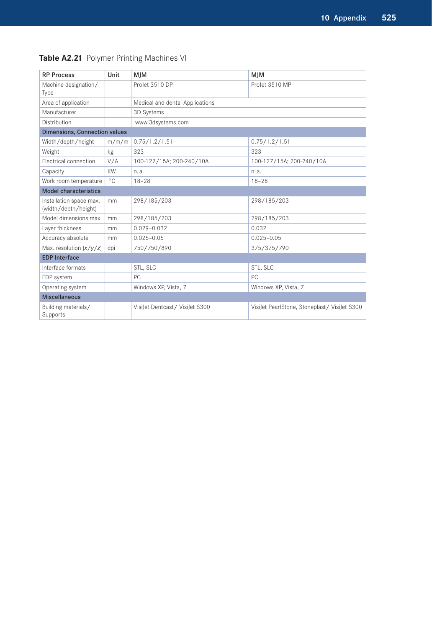| <b>RP Process</b>                               | Unit         | <b>MIM</b>                      | <b>MIM</b>                                    |
|-------------------------------------------------|--------------|---------------------------------|-----------------------------------------------|
| Machine designation/<br>Type                    |              | Prolet 3510 DP                  | Prolet 3510 MP                                |
| Area of application                             |              | Medical and dental Applications |                                               |
| Manufacturer                                    |              | 3D Systems                      |                                               |
| Distribution                                    |              | www.3dsystems.com               |                                               |
| <b>Dimensions, Connection values</b>            |              |                                 |                                               |
| Width/depth/height                              | m/m/m        | 0.75/1.2/1.51                   | 0.75/1.2/1.51                                 |
| Weight                                          | kg           | 323                             | 323                                           |
| Electrical connection                           | V/A          | 100-127/15A; 200-240/10A        | 100-127/15A; 200-240/10A                      |
| Capacity                                        | <b>KW</b>    | n.a.                            | n.a.                                          |
| Work room temperature                           | $^{\circ}$ C | $18 - 28$                       | $18 - 28$                                     |
| <b>Model characteristics</b>                    |              |                                 |                                               |
| Installation space max.<br>(width/depth/height) | mm           | 298/185/203                     | 298/185/203                                   |
| Model dimensions max.                           | mm           | 298/185/203                     | 298/185/203                                   |
| Layer thickness                                 | mm           | $0.029 - 0.032$                 | 0.032                                         |
| Accuracy absolute                               | mm           | $0.025 - 0.05$                  | $0.025 - 0.05$                                |
| Max. resolution $(x/y/z)$                       | dpi          | 750/750/890                     | 375/375/790                                   |
| <b>EDP</b> Interface                            |              |                                 |                                               |
| Interface formats                               |              | STL, SLC                        | STL, SLC                                      |
| EDP system                                      |              | PC                              | PC.                                           |
| Operating system                                |              | Windows XP, Vista, 7            | Windows XP, Vista, 7                          |
| Miscellaneous                                   |              |                                 |                                               |
| Building materials/<br>Supports                 |              | VisiJet Dentcast/ VisiJet S300  | VisiJet PearlStone, Stoneplast / VisiJet S300 |

# **Table A2.21** Polymer Printing Machines VI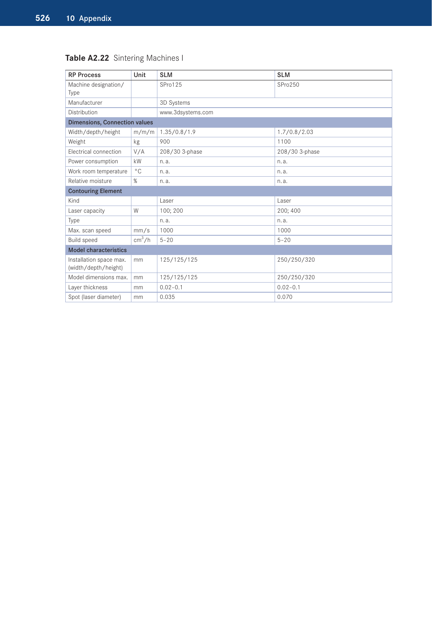| <b>RP Process</b>                               | Unit               | <b>SLM</b>        | <b>SLM</b>     |
|-------------------------------------------------|--------------------|-------------------|----------------|
| Machine designation/<br>Type                    |                    | SPro125           | SPro250        |
| Manufacturer                                    |                    | 3D Systems        |                |
| Distribution                                    |                    | www.3dsystems.com |                |
| <b>Dimensions, Connection values</b>            |                    |                   |                |
| Width/depth/height                              | m/m/m              | 1.35/0.8/1.9      | 1.7/0.8/2.03   |
| Weight                                          | kg                 | 900               | 1100           |
| <b>Electrical connection</b>                    | V/A                | 208/30 3-phase    | 208/30 3-phase |
| Power consumption                               | kW                 | n.a.              | n.a.           |
| Work room temperature                           | $^{\circ}$ C       | n.a.              | n.a.           |
| Relative moisture                               | %                  | n.a.              | n.a.           |
| <b>Contouring Element</b>                       |                    |                   |                |
| Kind                                            |                    | Laser             | Laser          |
| Laser capacity                                  | W                  | 100; 200          | 200; 400       |
| Type                                            |                    | n.a.              | n.a.           |
| Max. scan speed                                 | mm/s               | 1000              | 1000           |
| <b>Build speed</b>                              | cm <sup>3</sup> /h | $5 - 20$          | $5 - 20$       |
| Model characteristics                           |                    |                   |                |
| Installation space max.<br>(width/depth/height) | mm                 | 125/125/125       | 250/250/320    |
| Model dimensions max.                           | mm                 | 125/125/125       | 250/250/320    |
| Layer thickness                                 | mm                 | $0.02 - 0.1$      | $0.02 - 0.1$   |
| Spot (laser diameter)                           | mm                 | 0.035             | 0.070          |

### **Table A2.22** Sintering Machines I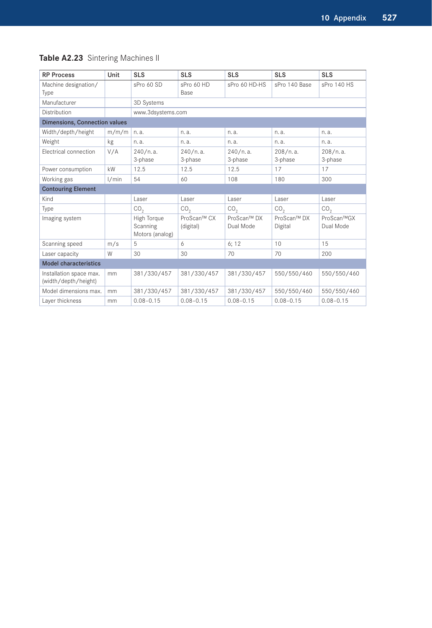# **Table A2.23** Sintering Machines II

| <b>RP Process</b>                               | Unit  | <b>SLS</b>                                 | <b>SLS</b>               | <b>SLS</b>               | <b>SLS</b>             | <b>SLS</b>              |
|-------------------------------------------------|-------|--------------------------------------------|--------------------------|--------------------------|------------------------|-------------------------|
| Machine designation/<br>Type                    |       | sPro 60 SD                                 | sPro 60 HD<br>Base       | sPro 60 HD-HS            | sPro 140 Base          | sPro 140 HS             |
| Manufacturer                                    |       | 3D Systems                                 |                          |                          |                        |                         |
| Distribution                                    |       | www.3dsystems.com                          |                          |                          |                        |                         |
| <b>Dimensions, Connection values</b>            |       |                                            |                          |                          |                        |                         |
| Width/depth/height                              | m/m/m | n.a.                                       | n.a.                     | n.a.                     | n.a.                   | n.a.                    |
| Weight                                          | kg    | n.a.                                       | n.a.                     | n.a.                     | n. a.                  | n.a.                    |
| <b>Flectrical connection</b>                    | V/A   | 240/n.a.<br>3-phase                        | 240/n.a.<br>3-phase      | 240/n.a.<br>3-phase      | 208/n.a.<br>3-phase    | 208/n.a.<br>3-phase     |
| Power consumption                               | kW    | 12.5                                       | 12.5                     | 12.5                     | 17                     | 17                      |
| Working gas                                     | 1/min | 54                                         | 60                       | 108                      | 180                    | 300                     |
| <b>Contouring Element</b>                       |       |                                            |                          |                          |                        |                         |
| Kind                                            |       | Laser                                      | Laser                    | Laser                    | Laser                  | Laser                   |
| Type                                            |       | CO <sub>2</sub>                            | CO <sub>2</sub>          | CO <sub>2</sub>          | CO <sub>2</sub>        | CO <sub>2</sub>         |
| Imaging system                                  |       | High Torque<br>Scanning<br>Motors (analog) | ProScan™ CX<br>(digital) | ProScan™ DX<br>Dual Mode | ProScan™ DX<br>Digital | ProScan™GX<br>Dual Mode |
| Scanning speed                                  | m/s   | 5                                          | 6                        | 6; 12                    | 10                     | 15                      |
| Laser capacity                                  | W     | 30                                         | 30                       | 70                       | 70                     | 200                     |
| <b>Model characteristics</b>                    |       |                                            |                          |                          |                        |                         |
| Installation space max.<br>(width/depth/height) | mm    | 381/330/457                                | 381/330/457              | 381/330/457              | 550/550/460            | 550/550/460             |
| Model dimensions max.                           | mm    | 381/330/457                                | 381/330/457              | 381/330/457              | 550/550/460            | 550/550/460             |
| Layer thickness                                 | mm    | $0.08 - 0.15$                              | $0.08 - 0.15$            | $0.08 - 0.15$            | $0.08 - 0.15$          | $0.08 - 0.15$           |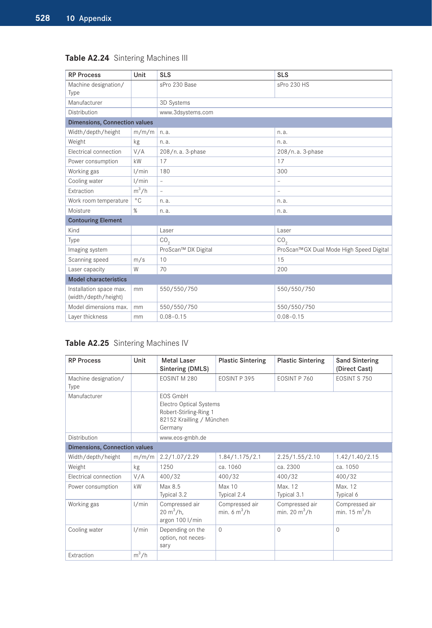| <b>RP Process</b>                               | Unit         | <b>SLS</b>               | <b>SLS</b>                              |
|-------------------------------------------------|--------------|--------------------------|-----------------------------------------|
| Machine designation/<br>Type                    |              | sPro 230 Base            | sPro 230 HS                             |
| Manufacturer                                    |              | 3D Systems               |                                         |
| Distribution                                    |              | www.3dsystems.com        |                                         |
| <b>Dimensions, Connection values</b>            |              |                          |                                         |
| Width/depth/height                              | m/m/m        | n.a.                     | n.a.                                    |
| Weight                                          | kg           | n.a.                     | n.a.                                    |
| Electrical connection                           | V/A          | 208/n.a. 3-phase         | 208/n.a. 3-phase                        |
| Power consumption                               | kW           | 17                       | 17                                      |
| Working gas                                     | 1/min        | 180                      | 300                                     |
| Cooling water                                   | 1/min        | $\overline{\phantom{m}}$ | ÷,                                      |
| <b>Extraction</b>                               | $m^3/h$      | ۰                        | ۰                                       |
| Work room temperature                           | $^{\circ}$ C | n.a.                     | n.a.                                    |
| Moisture                                        | %            | n.a.                     | n.a.                                    |
| <b>Contouring Element</b>                       |              |                          |                                         |
| Kind                                            |              | Laser                    | Laser                                   |
| Type                                            |              | CO <sub>2</sub>          | CO <sub>2</sub>                         |
| Imaging system                                  |              | ProScan™ DX Digital      | ProScan™GX Dual Mode High Speed Digital |
| Scanning speed                                  | m/s          | 10                       | 15                                      |
| Laser capacity                                  | W            | 70                       | 200                                     |
| <b>Model characteristics</b>                    |              |                          |                                         |
| Installation space max.<br>(width/depth/height) | mm           | 550/550/750              | 550/550/750                             |
| Model dimensions max.                           | mm           | 550/550/750              | 550/550/750                             |
| Layer thickness                                 | mm           | $0.08 - 0.15$            | $0.08 - 0.15$                           |

# **Table A2.24** Sintering Machines III

### **Table A2.25** Sintering Machines IV

| <b>RP Process</b>                    | Unit    | <b>Metal Laser</b><br>Sintering (DMLS)                                                                       | <b>Plastic Sintering</b>                 | <b>Plastic Sintering</b>                  | <b>Sand Sintering</b><br>(Direct Cast)    |
|--------------------------------------|---------|--------------------------------------------------------------------------------------------------------------|------------------------------------------|-------------------------------------------|-------------------------------------------|
| Machine designation/<br>Type         |         | EOSINT M 280                                                                                                 | EOSINT P 395                             | EOSINT P 760                              | FOSINT S 750                              |
| Manufacturer                         |         | EOS GmbH<br><b>Electro Optical Systems</b><br>Robert-Stirling-Ring 1<br>82152 Krailling / München<br>Germany |                                          |                                           |                                           |
| Distribution                         |         | www.eos-gmbh.de                                                                                              |                                          |                                           |                                           |
| <b>Dimensions, Connection values</b> |         |                                                                                                              |                                          |                                           |                                           |
| Width/depth/height                   | m/m/m   | 2.2/1.07/2.29                                                                                                | 1.84/1.175/2.1                           | 2.25/1.55/2.10                            | 1.42/1.40/2.15                            |
| Weight                               | kg      | 1250                                                                                                         | ca. 1060                                 | ca. 2300                                  | ca. 1050                                  |
| <b>Electrical connection</b>         | V/A     | 400/32                                                                                                       | 400/32                                   | 400/32                                    | 400/32                                    |
| Power consumption                    | kW      | Max 8.5<br>Typical 3.2                                                                                       | Max 10<br>Typical 2.4                    | Max. 12<br>Typical 3.1                    | Max. 12<br>Typical 6                      |
| Working gas                          | 1/min   | Compressed air<br>$20 \text{ m}^3/\text{h}$ ,<br>argon 100 l/min                                             | Compressed air<br>min. $6 \text{ m}^3/h$ | Compressed air<br>min. $20 \text{ m}^3/h$ | Compressed air<br>min. $15 \text{ m}^3/h$ |
| Cooling water                        | 1/min   | Depending on the<br>option, not neces-<br>sary                                                               | $\Omega$                                 | $\Omega$                                  | $\Omega$                                  |
| Extraction                           | $m^3/h$ |                                                                                                              |                                          |                                           |                                           |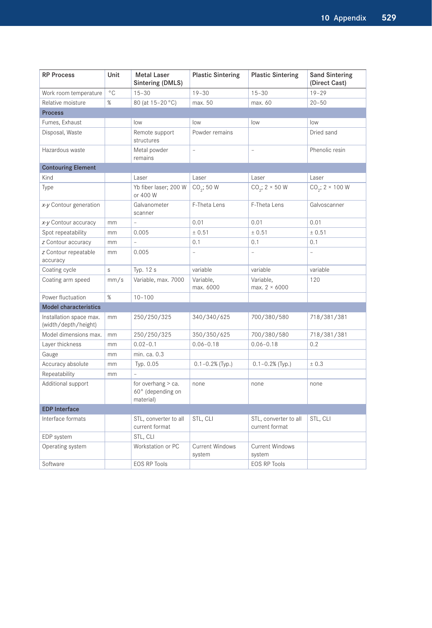| <b>RP Process</b>                               | Unit         | <b>Metal Laser</b><br>Sintering (DMLS)               | <b>Plastic Sintering</b>         | <b>Plastic Sintering</b>                | <b>Sand Sintering</b><br>(Direct Cast) |
|-------------------------------------------------|--------------|------------------------------------------------------|----------------------------------|-----------------------------------------|----------------------------------------|
| Work room temperature                           | $^{\circ}$ C | $15 - 30$                                            | $19 - 30$                        | $15 - 30$                               | $19 - 29$                              |
| Relative moisture                               | %            | 80 (at 15-20 °C)                                     | max. 50                          | max. 60                                 | $20 - 50$                              |
| <b>Process</b>                                  |              |                                                      |                                  |                                         |                                        |
| Fumes, Exhaust                                  |              | low                                                  | low                              | low                                     | low                                    |
| Disposal, Waste                                 |              | Remote support<br>structures                         | Powder remains                   |                                         | Dried sand                             |
| Hazardous waste                                 |              | Metal powder<br>remains                              | $\overline{a}$                   | $\overline{a}$                          | Phenolic resin                         |
| <b>Contouring Element</b>                       |              |                                                      |                                  |                                         |                                        |
| Kind                                            |              | Laser                                                | Laser                            | Laser                                   | I aser                                 |
| Type                                            |              | Yb fiber laser; 200 W<br>or 400 W                    | $CO2$ ; 50 W                     | $CO_2$ ; 2 × 50 W                       | $CO_2$ ; 2 × 100 W                     |
| x-y Contour generation                          |              | Galvanometer<br>scanner                              | F-Theta Lens                     | F-Theta Lens                            | Galvoscanner                           |
| x-y Contour accuracy                            | mm           |                                                      | 0.01                             | 0.01                                    | 0.01                                   |
| Spot repeatability                              | mm           | 0.005                                                | ± 0.51                           | ± 0.51                                  | ± 0.51                                 |
| z Contour accuracy                              | mm           | $\overline{a}$                                       | 0.1                              | 0.1                                     | 0.1                                    |
| z Contour repeatable<br>accuracy                | mm           | 0.005                                                | $\overline{a}$                   | $\overline{a}$                          | $\overline{a}$                         |
| Coating cycle                                   | S            | Typ. 12 s                                            | variable                         | variable                                | variable                               |
| Coating arm speed                               | mm/s         | Variable, max. 7000                                  | Variable.<br>max. 6000           | Variable.<br>max. $2 \times 6000$       | 120                                    |
| Power fluctuation                               | %            | $10 - 100$                                           |                                  |                                         |                                        |
| <b>Model characteristics</b>                    |              |                                                      |                                  |                                         |                                        |
| Installation space max.<br>(width/depth/height) | mm           | 250/250/325                                          | 340/340/625                      | 700/380/580                             | 718/381/381                            |
| Model dimensions max.                           | mm           | 250/250/325                                          | 350/350/625                      | 700/380/580                             | 718/381/381                            |
| Layer thickness                                 | mm           | $0.02 - 0.1$                                         | $0.06 - 0.18$                    | $0.06 - 0.18$                           | 0.2                                    |
| Gauge                                           | mm           | min. ca. 0.3                                         |                                  |                                         |                                        |
| Accuracy absolute                               | mm           | Typ. 0.05                                            | $0.1 - 0.2%$ (Typ.)              | $0.1 - 0.2%$ (Typ.)                     | ± 0.3                                  |
| Repeatability                                   | mm           | $\overline{a}$                                       |                                  |                                         |                                        |
| Additional support                              |              | for overhang > ca.<br>60° (depending on<br>material) | none                             | none                                    | none                                   |
| <b>EDP Interface</b>                            |              |                                                      |                                  |                                         |                                        |
| Interface formats                               |              | STL, converter to all<br>current format              | STL, CLI                         | STL, converter to all<br>current format | STL, CLI                               |
| EDP system                                      |              | STL, CLI                                             |                                  |                                         |                                        |
| Operating system                                |              | Workstation or PC                                    | <b>Current Windows</b><br>system | <b>Current Windows</b><br>system        |                                        |
| Software                                        |              | <b>EOS RP Tools</b>                                  |                                  | <b>EOS RP Tools</b>                     |                                        |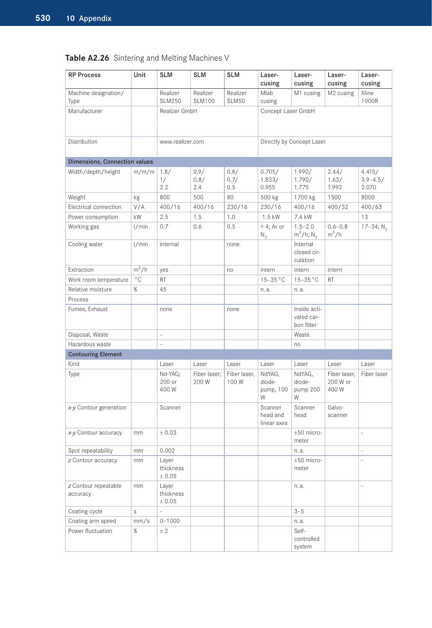| <b>RP Process</b>                    | Unit         | <b>SLM</b>                   | <b>SLM</b>                | <b>SLM</b>               | Laser-<br>cusing                   | Laser-<br>cusing                         | Laser-<br>cusing                 | Laser-<br>cusing                |
|--------------------------------------|--------------|------------------------------|---------------------------|--------------------------|------------------------------------|------------------------------------------|----------------------------------|---------------------------------|
| Machine designation/<br>Type         |              | Realizer<br><b>SLM250</b>    | Realizer<br><b>SLM100</b> | Realizer<br><b>SLM50</b> | Mlab<br>cusing                     | M1 cusing                                | M2 cusing                        | Xline<br>1000R                  |
| Manufacturer                         |              | Realizer GmbH                |                           |                          | Concept Laser GmbH                 |                                          |                                  |                                 |
| Distribution                         |              | www.realizer.com             |                           |                          |                                    | Directly by Concept Laser                |                                  |                                 |
| <b>Dimensions, Connection values</b> |              |                              |                           |                          |                                    |                                          |                                  |                                 |
| Width/depth/height                   | m/m/m        | 1.8/<br>1/<br>2.2            | 0.9/<br>0.8/<br>2.4       | 0.8/<br>0.7/<br>0.5      | 0.705/<br>1.833/<br>0.955          | 1.990/<br>1.790/<br>1.775                | 2.44/<br>1.63/<br>1.992          | 4.415/<br>$3.9 - 4.5/$<br>3.070 |
| Weight                               | kg           | 800                          | 500                       | 80                       | 500 kg                             | 1700 kg                                  | 1500                             | 8000                            |
| Electrical connection                | V/A          | 400/16                       | 400/16                    | 230/16                   | 230/16                             | 400/16                                   | 400/32                           | 400/63                          |
| Power consumption                    | kW           | 2.5                          | 1.5                       | 1.0                      | 1.5 kW                             | 7.4 kW                                   |                                  | 13                              |
| Working gas                          | 1/min        | 0.7                          | 0.6                       | 0.5                      | $<$ 4; Ar or<br>$N_{2}$            | $1.5 - 2.0$<br>$m^3/h$ ; N <sub>2</sub>  | $0.6 - 0.8$<br>$m^3/h$           | 17-34; $N_2$                    |
| Cooling water                        | 1/min        | internal                     |                           | none                     |                                    | Internal<br>closed cir-<br>culation      |                                  |                                 |
| Extraction                           | $m^3/h$      | yes                          |                           | no                       | intern                             | intern                                   | intern                           |                                 |
| Work room temperature                | $^{\circ}$ C | <b>RT</b>                    |                           |                          | $15-35$ °C                         | $15 - 35 °C$                             | <b>RT</b>                        |                                 |
| Relative moisture                    | $\%$         | 45                           |                           |                          | n.a.                               | n.a.                                     |                                  |                                 |
| Process                              |              |                              |                           |                          |                                    |                                          |                                  |                                 |
| Fumes, Exhaust                       |              | none                         |                           | none                     |                                    | Inside acti-<br>vated car-<br>bon filter |                                  |                                 |
| Disposal, Waste                      |              | $\overline{a}$               |                           |                          |                                    | Waste                                    |                                  |                                 |
| Hazardous waste                      |              | $\frac{1}{2}$                |                           |                          |                                    | no                                       |                                  |                                 |
| <b>Contouring Element</b>            |              |                              |                           |                          |                                    |                                          |                                  |                                 |
| Kind                                 |              | Laser                        | Laser                     | Laser                    | Laser                              | Laser                                    | Laser                            | Laser                           |
| Type                                 |              | Nd-YAG;<br>200 or<br>400 W   | Fiber laser;<br>200 W     | Fiber laser,<br>100W     | NdYAG,<br>diode-<br>pump, 100<br>W | NdYAG,<br>diode-<br>pump 200<br>W        | Fiber laser,<br>200 W or<br>400W | Fiber laser                     |
| x-y Contour generation               |              | Scanner                      |                           |                          | Scanner<br>head and<br>linear axes | Scanner<br>head                          | Galvo-<br>scanner                |                                 |
| x-y Contour accuracy                 | mm           | ± 0.03                       |                           |                          |                                    | ±50 micro-<br>meter                      |                                  | ÷.                              |
| Spot repeatability                   | mm           | 0.002                        |                           |                          |                                    | n.a.                                     |                                  | $\overline{a}$                  |
| z Contour accuracy                   | mm           | Layer<br>thickness<br>± 0.05 |                           |                          |                                    | ±50 micro-<br>meter                      |                                  | $\overline{a}$                  |
| z Contour repeatable<br>accuracy     | mm           | Layer<br>thickness<br>± 0.05 |                           |                          |                                    | n.a.                                     |                                  | i.                              |
| Coating cycle                        | S            | $\overline{a}$               |                           |                          |                                    | $3 - 5$                                  |                                  |                                 |
| Coating arm speed                    | mm/s         | $0 - 1000$                   |                           |                          |                                    | n.a.                                     |                                  |                                 |
| Power fluctuation                    | %            | ± 2                          |                           |                          |                                    | Self-                                    |                                  |                                 |

controlled system

# **Table A2.26** Sintering and Melting Machines V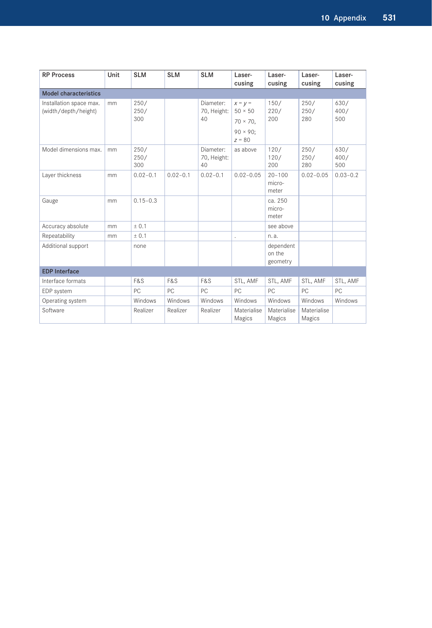| <b>RP Process</b>                               | Unit | <b>SLM</b>          | <b>SLM</b>   | <b>SLM</b>                     | Laser-<br>cusing                                                               | Laser-<br>cusing                | Laser-<br>cusing      | Laser-<br>cusing    |
|-------------------------------------------------|------|---------------------|--------------|--------------------------------|--------------------------------------------------------------------------------|---------------------------------|-----------------------|---------------------|
| <b>Model characteristics</b>                    |      |                     |              |                                |                                                                                |                                 |                       |                     |
| Installation space max.<br>(width/depth/height) | mm   | 250/<br>250/<br>300 |              | Diameter:<br>70, Height:<br>40 | $x = y =$<br>$50 \times 50$<br>$70 \times 70$ .<br>$90 \times 90:$<br>$z = 80$ | 150/<br>220/<br>200             | 250/<br>250/<br>280   | 630/<br>400/<br>500 |
| Model dimensions max.                           | mm   | 250/<br>250/<br>300 |              | Diameter:<br>70, Height:<br>40 | as above                                                                       | 120/<br>120/<br>200             | 250/<br>250/<br>280   | 630/<br>400/<br>500 |
| Layer thickness                                 | mm   | $0.02 - 0.1$        | $0.02 - 0.1$ | $0.02 - 0.1$                   | $0.02 - 0.05$                                                                  | $20 - 100$<br>micro-<br>meter   | $0.02 - 0.05$         | $0.03 - 0.2$        |
| Gauge                                           | mm   | $0.15 - 0.3$        |              |                                |                                                                                | ca. 250<br>micro-<br>meter      |                       |                     |
| Accuracy absolute                               | mm   | ± 0.1               |              |                                |                                                                                | see above                       |                       |                     |
| Repeatability                                   | mm   | ± 0.1               |              |                                |                                                                                | n.a.                            |                       |                     |
| Additional support                              |      | none                |              |                                |                                                                                | dependent<br>on the<br>geometry |                       |                     |
| <b>EDP</b> Interface                            |      |                     |              |                                |                                                                                |                                 |                       |                     |
| Interface formats                               |      | F&S                 | F&S          | F&S                            | STL, AMF                                                                       | STL, AMF                        | STL, AMF              | STL, AMF            |
| EDP system                                      |      | PC                  | PC.          | PC.                            | PC.                                                                            | PC.                             | PC.                   | PC.                 |
| Operating system                                |      | Windows             | Windows      | Windows                        | Windows                                                                        | Windows                         | Windows               | Windows             |
| Software                                        |      | Realizer            | Realizer     | Realizer                       | Materialise<br>Magics                                                          | Materialise<br>Magics           | Materialise<br>Magics |                     |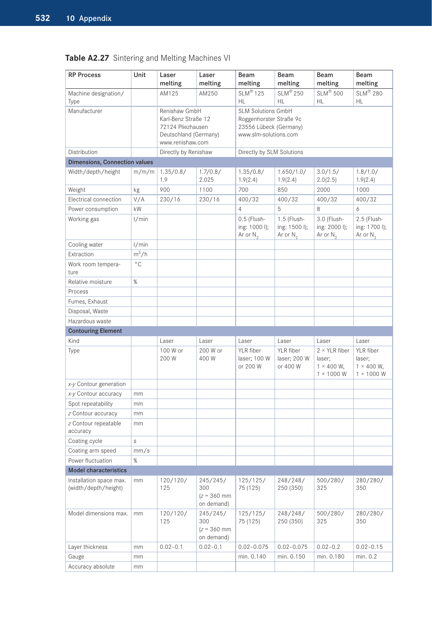| <b>RP Process</b>                               | Unit         | Laser<br>melting                                                                                       | Laser<br>melting                               | Beam<br>melting                                                                                         | Beam<br>melting                               | Beam<br>melting                                            | Beam<br>melting                                        |
|-------------------------------------------------|--------------|--------------------------------------------------------------------------------------------------------|------------------------------------------------|---------------------------------------------------------------------------------------------------------|-----------------------------------------------|------------------------------------------------------------|--------------------------------------------------------|
| Machine designation/<br>Type                    |              | AM125                                                                                                  | AM250                                          | $SLM^{\circledR}$ 125<br>HL                                                                             | SLM <sup>®</sup> 250<br>HL.                   | SI M <sup>®</sup> 500<br>HL                                | SLM <sup>®</sup> 280<br>HL.                            |
| Manufacturer                                    |              | Renishaw GmbH<br>Karl-Benz Straße 12<br>72124 Pliezhausen<br>Deutschland (Germany)<br>www.renishaw.com |                                                | <b>SLM Solutions GmbH</b><br>Roggenhorster Straße 9c<br>23556 Lübeck (Germany)<br>www.slm-solutions.com |                                               |                                                            |                                                        |
| Distribution                                    |              | Directly by Renishaw                                                                                   |                                                | Directly by SLM Solutions                                                                               |                                               |                                                            |                                                        |
| <b>Dimensions, Connection values</b>            |              |                                                                                                        |                                                |                                                                                                         |                                               |                                                            |                                                        |
| Width/depth/height                              | m/m/m        | 1.35/0.8/<br>1.9                                                                                       | 1.7/0.8/<br>2.025                              | 1.35/0.8/<br>1.9(2.4)                                                                                   | 1.650/1.0/<br>1.9(2.4)                        | 3.0/1.5/<br>2.0(2.5)                                       | 1.8/1.0/<br>1.9(2.4)                                   |
| Weight                                          | kg           | 900                                                                                                    | 1100                                           | 700                                                                                                     | 850                                           | 2000                                                       | 1000                                                   |
| Electrical connection                           | V/A          | 230/16                                                                                                 | 230/16                                         | 400/32                                                                                                  | 400/32                                        | 400/32                                                     | 400/32                                                 |
| Power consumption                               | kW           |                                                                                                        |                                                | $\overline{4}$                                                                                          | 5                                             | 8                                                          | 6                                                      |
| Working gas                                     | 1/min        |                                                                                                        |                                                | 0.5 (Flush-<br>ing: 1000 l);<br>Ar or $N_2$                                                             | 1.5 (Flush-<br>ing: 1500 l);<br>Ar or $N_{2}$ | 3.0 (Flush-<br>ing: 2000 l);<br>Ar or $N_{2}$              | 2.5 (Flush-<br>ing: 1700 l);<br>Ar or $N_2$            |
| Cooling water                                   | 1/min        |                                                                                                        |                                                |                                                                                                         |                                               |                                                            |                                                        |
| Extraction                                      | $m^3/h$      |                                                                                                        |                                                |                                                                                                         |                                               |                                                            |                                                        |
| Work room tempera-<br>ture                      | $^{\circ}$ C |                                                                                                        |                                                |                                                                                                         |                                               |                                                            |                                                        |
| Relative moisture                               | %            |                                                                                                        |                                                |                                                                                                         |                                               |                                                            |                                                        |
| Process                                         |              |                                                                                                        |                                                |                                                                                                         |                                               |                                                            |                                                        |
| Fumes, Exhaust                                  |              |                                                                                                        |                                                |                                                                                                         |                                               |                                                            |                                                        |
| Disposal, Waste                                 |              |                                                                                                        |                                                |                                                                                                         |                                               |                                                            |                                                        |
| Hazardous waste                                 |              |                                                                                                        |                                                |                                                                                                         |                                               |                                                            |                                                        |
| <b>Contouring Element</b>                       |              |                                                                                                        |                                                |                                                                                                         |                                               |                                                            |                                                        |
| Kind                                            |              | Laser                                                                                                  | Laser                                          | Laser                                                                                                   | Laser                                         | Laser                                                      | Laser                                                  |
| Type                                            |              | 100 W or<br>200 W                                                                                      | 200 W or<br>400 W                              | YLR fiber<br>laser; 100 W<br>or 200 W                                                                   | YLR fiber<br>laser; 200 W<br>or 400 W         | $2 \times$ YLR fiber<br>laser;<br>1 × 400 W,<br>1 × 1000 W | YLR fiber<br>laser;<br>$1 \times 400$ W,<br>1 × 1000 W |
| x-y Contour generation                          |              |                                                                                                        |                                                |                                                                                                         |                                               |                                                            |                                                        |
| x-y Contour accuracy                            | mm           |                                                                                                        |                                                |                                                                                                         |                                               |                                                            |                                                        |
| Spot repeatability                              | mm           |                                                                                                        |                                                |                                                                                                         |                                               |                                                            |                                                        |
| z Contour accuracy                              | mm           |                                                                                                        |                                                |                                                                                                         |                                               |                                                            |                                                        |
| z Contour repeatable<br>accuracy                | mm           |                                                                                                        |                                                |                                                                                                         |                                               |                                                            |                                                        |
| Coating cycle                                   | S            |                                                                                                        |                                                |                                                                                                         |                                               |                                                            |                                                        |
| Coating arm speed                               | mm/s         |                                                                                                        |                                                |                                                                                                         |                                               |                                                            |                                                        |
| Power fluctuation                               | %            |                                                                                                        |                                                |                                                                                                         |                                               |                                                            |                                                        |
| <b>Model characteristics</b>                    |              |                                                                                                        |                                                |                                                                                                         |                                               |                                                            |                                                        |
| Installation space max.<br>(width/depth/height) | mm           | 120/120/<br>125                                                                                        | 245/245/<br>300<br>$(z = 360$ mm<br>on demand) | 125/125/<br>75 (125)                                                                                    | 248/248/<br>250 (350)                         | 500/280/<br>325                                            | 280/280/<br>350                                        |
| Model dimensions max.                           | mm           | 120/120/<br>125                                                                                        | 245/245/<br>300<br>$(z = 360$ mm<br>on demand) | 125/125/<br>75 (125)                                                                                    | 248/248/<br>250 (350)                         | 500/280/<br>325                                            | 280/280/<br>350                                        |
| Layer thickness                                 | mm           | $0.02 - 0.1$                                                                                           | $0.02 - 0.1$                                   | $0.02 - 0.075$                                                                                          | $0.02 - 0.075$                                | $0.02 - 0.2$                                               | $0.02 - 0.15$                                          |
| Gauge                                           | mm           |                                                                                                        |                                                | min. 0.140                                                                                              | min. 0.150                                    | min. 0.180                                                 | min. 0.2                                               |
| Accuracy absolute                               | mm           |                                                                                                        |                                                |                                                                                                         |                                               |                                                            |                                                        |

# **Table A2.27** Sintering and Melting Machines VI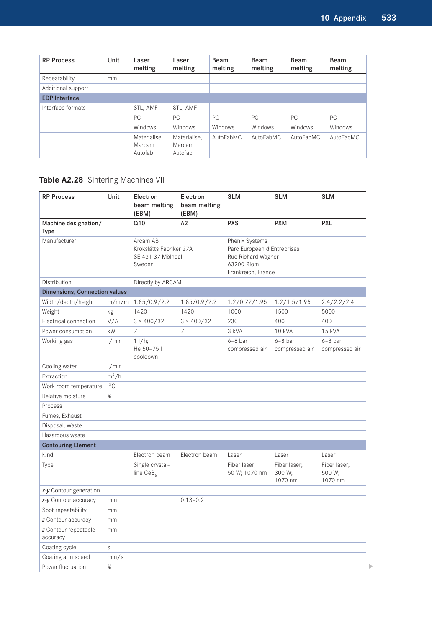| <b>RP Process</b>    | Unit | Laser<br>melting                  | Laser<br>melting                  | Beam<br>melting | Beam<br>melting | Beam<br>melting | Beam<br>melting |
|----------------------|------|-----------------------------------|-----------------------------------|-----------------|-----------------|-----------------|-----------------|
| Repeatability        | mm   |                                   |                                   |                 |                 |                 |                 |
| Additional support   |      |                                   |                                   |                 |                 |                 |                 |
| <b>EDP</b> Interface |      |                                   |                                   |                 |                 |                 |                 |
| Interface formats    |      | STL, AMF                          | STL, AMF                          |                 |                 |                 |                 |
|                      |      | PC.                               | PC.                               | PC.             | PC.             | PC.             | PC.             |
|                      |      | Windows                           | Windows                           | Windows         | Windows         | Windows         | Windows         |
|                      |      | Materialise.<br>Marcam<br>Autofab | Materialise.<br>Marcam<br>Autofab | AutoFabMC       | AutoFabMC       | AutoFabMC       | AutoFabMC       |

# **Table A2.28** Sintering Machines VII

| <b>RP Process</b>                    | Unit         | Electron<br>beam melting                                           | Electron<br>beam melting | <b>SLM</b>                                                                                                     | <b>SLM</b>                        | <b>SLM</b>                        |
|--------------------------------------|--------------|--------------------------------------------------------------------|--------------------------|----------------------------------------------------------------------------------------------------------------|-----------------------------------|-----------------------------------|
|                                      |              | (EBM)                                                              | (EBM)                    |                                                                                                                |                                   |                                   |
| Machine designation/<br>Type         |              | Q10                                                                | A2                       | <b>PXS</b>                                                                                                     | <b>PXM</b>                        | <b>PXL</b>                        |
| Manufacturer                         |              | Arcam AB<br>Krokslätts Fabriker 27A<br>SE 431 37 Mölndal<br>Sweden |                          | <b>Phenix Systems</b><br>Parc Européen d'Entreprises<br>Rue Richard Wagner<br>63200 Riom<br>Frankreich, France |                                   |                                   |
| Distribution                         |              | Directly by ARCAM                                                  |                          |                                                                                                                |                                   |                                   |
| <b>Dimensions, Connection values</b> |              |                                                                    |                          |                                                                                                                |                                   |                                   |
| Width/depth/height                   | m/m/m        | 1.85/0.9/2.2                                                       | 1.85/0.9/2.2             | 1.2/0.77/1.95                                                                                                  | 1.2/1.5/1.95                      | 2.4/2.2/2.4                       |
| Weight                               | kg           | 1420                                                               | 1420                     | 1000                                                                                                           | 1500                              | 5000                              |
| Electrical connection                | V/A          | 3 × 400 / 32                                                       | 3 × 400 / 32             | 230                                                                                                            | 400                               | 400                               |
| Power consumption                    | kW           | 7                                                                  | 7                        | 3 kVA                                                                                                          | 10 kVA                            | 15 kVA                            |
| Working gas                          | 1/min        | $11/h$ ;<br>He 50-75 I<br>cooldown                                 |                          | $6-8$ bar<br>compressed air                                                                                    | $6-8$ bar<br>compressed air       | $6-8$ bar<br>compressed air       |
| Cooling water                        | 1/min        |                                                                    |                          |                                                                                                                |                                   |                                   |
| Extraction                           | $m^3/h$      |                                                                    |                          |                                                                                                                |                                   |                                   |
| Work room temperature                | $^{\circ}$ C |                                                                    |                          |                                                                                                                |                                   |                                   |
| Relative moisture                    | %            |                                                                    |                          |                                                                                                                |                                   |                                   |
| Process                              |              |                                                                    |                          |                                                                                                                |                                   |                                   |
| Fumes, Exhaust                       |              |                                                                    |                          |                                                                                                                |                                   |                                   |
| Disposal, Waste                      |              |                                                                    |                          |                                                                                                                |                                   |                                   |
| Hazardous waste                      |              |                                                                    |                          |                                                                                                                |                                   |                                   |
| <b>Contouring Element</b>            |              |                                                                    |                          |                                                                                                                |                                   |                                   |
| Kind                                 |              | Electron beam                                                      | Electron beam            | Laser                                                                                                          | Laser                             | Laser                             |
| Type                                 |              | Single crystal-<br>line CeB                                        |                          | Fiber laser;<br>50 W; 1070 nm                                                                                  | Fiber laser;<br>300 W;<br>1070 nm | Fiber laser;<br>500 W;<br>1070 nm |
| x-y Contour generation               |              |                                                                    |                          |                                                                                                                |                                   |                                   |
| x-y Contour accuracy                 | mm           |                                                                    | $0.13 - 0.2$             |                                                                                                                |                                   |                                   |
| Spot repeatability                   | mm           |                                                                    |                          |                                                                                                                |                                   |                                   |
| z Contour accuracy                   | mm           |                                                                    |                          |                                                                                                                |                                   |                                   |
| z Contour repeatable<br>accuracy     | mm           |                                                                    |                          |                                                                                                                |                                   |                                   |
| Coating cycle                        | S            |                                                                    |                          |                                                                                                                |                                   |                                   |
| Coating arm speed                    | mm/s         |                                                                    |                          |                                                                                                                |                                   |                                   |
| Power fluctuation                    | %            |                                                                    |                          |                                                                                                                |                                   | $\mathbb{R}$                      |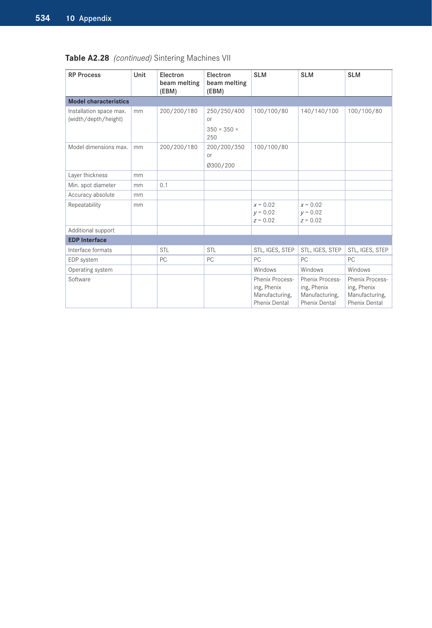| <b>RP Process</b>                               | Unit | Electron<br>beam melting<br>(EBM) | Electron<br>beam melting<br>(EBM) | <b>SLM</b>                                                        | <b>SLM</b>                                                        | <b>SLM</b>                                                        |
|-------------------------------------------------|------|-----------------------------------|-----------------------------------|-------------------------------------------------------------------|-------------------------------------------------------------------|-------------------------------------------------------------------|
| <b>Model characteristics</b>                    |      |                                   |                                   |                                                                   |                                                                   |                                                                   |
| Installation space max.<br>(width/depth/height) | mm   | 200/200/180                       | 250/250/400<br>or                 | 100/100/80                                                        | 140/140/100                                                       | 100/100/80                                                        |
|                                                 |      |                                   | $350 \times 350 \times$<br>250    |                                                                   |                                                                   |                                                                   |
| Model dimensions max.                           | mm   | 200/200/180                       | 200/200/350<br>or                 | 100/100/80                                                        |                                                                   |                                                                   |
|                                                 |      |                                   | 0300/200                          |                                                                   |                                                                   |                                                                   |
| Layer thickness                                 | mm   |                                   |                                   |                                                                   |                                                                   |                                                                   |
| Min. spot diameter                              | mm   | 0.1                               |                                   |                                                                   |                                                                   |                                                                   |
| Accuracy absolute                               | mm   |                                   |                                   |                                                                   |                                                                   |                                                                   |
| Repeatability                                   | mm   |                                   |                                   | $x = 0.02$<br>$v = 0.02$<br>$z = 0.02$                            | $x = 0.02$<br>$v = 0.02$<br>$z = 0.02$                            |                                                                   |
| Additional support                              |      |                                   |                                   |                                                                   |                                                                   |                                                                   |
| <b>EDP Interface</b>                            |      |                                   |                                   |                                                                   |                                                                   |                                                                   |
| Interface formats                               |      | STL                               | STL                               | STL, IGES, STEP                                                   | STL, IGES, STEP                                                   | STL, IGES, STEP                                                   |
| EDP system                                      |      | PC                                | PC.                               | PC.                                                               | PC.                                                               | PC.                                                               |
| Operating system                                |      |                                   |                                   | Windows                                                           | Windows                                                           | Windows                                                           |
| Software                                        |      |                                   |                                   | Phenix Process-<br>ing, Phenix<br>Manufacturing,<br>Phenix Dental | Phenix Process-<br>ing, Phenix<br>Manufacturing,<br>Phenix Dental | Phenix Process-<br>ing, Phenix<br>Manufacturing,<br>Phenix Dental |

# **Table A2.28** *(continued)* Sintering Machines VII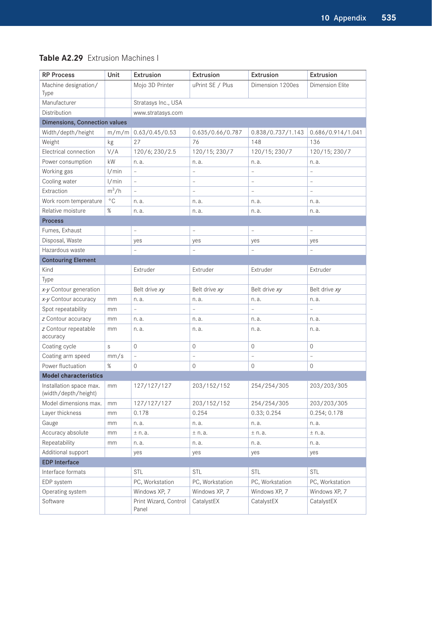#### **Table A2.29** Extrusion Machines I

| <b>RP Process</b>                               | Unit         | <b>Extrusion</b>               | Extrusion        | Extrusion         | <b>Extrusion</b>         |
|-------------------------------------------------|--------------|--------------------------------|------------------|-------------------|--------------------------|
| Machine designation/                            |              | Mojo 3D Printer                | uPrint SE / Plus | Dimension 1200es  | <b>Dimension Elite</b>   |
| Type                                            |              |                                |                  |                   |                          |
| Manufacturer                                    |              | Stratasys Inc., USA            |                  |                   |                          |
| Distribution                                    |              | www.stratasys.com              |                  |                   |                          |
| <b>Dimensions, Connection values</b>            |              |                                |                  |                   |                          |
| Width/depth/height                              | m/m/m        | 0.63/0.45/0.53                 | 0.635/0.66/0.787 | 0.838/0.737/1.143 | 0.686/0.914/1.041        |
| Weight                                          | kg           | 27                             | 76               | 148               | 136                      |
| Electrical connection                           | V/A          | 120/6; 230/2.5                 | 120/15; 230/7    | 120/15; 230/7     | 120/15; 230/7            |
| Power consumption                               | kW           | n. a.                          | n.a.             | n. a.             | n.a.                     |
| Working gas                                     | 1/min        | $\overline{a}$                 | $\overline{a}$   | $\overline{a}$    | $\overline{a}$           |
| Cooling water                                   | 1/min        | $\overline{a}$                 | ۰                | ÷                 | ÷                        |
| Extraction                                      | $m^3/h$      | $\overline{\phantom{0}}$       | $\overline{a}$   | ÷,                | $\overline{\phantom{0}}$ |
| Work room temperature                           | $^{\circ}$ C | n.a.                           | n.a.             | n.a.              | n.a.                     |
| Relative moisture                               | %            | n. a.                          | n.a.             | n. a.             | n.a.                     |
| <b>Process</b>                                  |              |                                |                  |                   |                          |
| Fumes, Exhaust                                  |              | $\overline{a}$                 | $\overline{a}$   | $\overline{a}$    | $\overline{a}$           |
| Disposal, Waste                                 |              | yes                            | yes              | yes               | yes                      |
| Hazardous waste                                 |              |                                |                  |                   | $\overline{a}$           |
| <b>Contouring Element</b>                       |              |                                |                  |                   |                          |
| Kind                                            |              | Extruder                       | Extruder         | Extruder          | Extruder                 |
| Type                                            |              |                                |                  |                   |                          |
| x-y Contour generation                          |              | Belt drive xy                  | Belt drive xy    | Belt drive xy     | Belt drive xy            |
| x-y Contour accuracy                            | mm           | n.a.                           | n.a.             | n. a.             | n.a.                     |
| Spot repeatability                              | mm           | $\overline{a}$                 | $\overline{a}$   | $\overline{a}$    | $\overline{a}$           |
| z Contour accuracy                              | mm           | n.a.                           | n.a.             | n.a.              | n.a.                     |
| z Contour repeatable<br>accuracy                | mm           | n.a.                           | n.a.             | n. a.             | n.a.                     |
| Coating cycle                                   | S            | $\Omega$                       | $\Omega$         | $\Omega$          | $\Omega$                 |
| Coating arm speed                               | mm/s         | $\overline{a}$                 | $\overline{a}$   | L.                | $\overline{a}$           |
| Power fluctuation                               | %            | 0                              | 0                | $\mathbf 0$       | 0                        |
| <b>Model characteristics</b>                    |              |                                |                  |                   |                          |
| Installation space max.<br>(width/depth/height) | mm           | 127/127/127                    | 203/152/152      | 254/254/305       | 203/203/305              |
| Model dimensions max.                           | mm           | 127/127/127                    | 203/152/152      | 254/254/305       | 203/203/305              |
| Layer thickness                                 | mm           | 0.178                          | 0.254            | 0.33; 0.254       | 0.254; 0.178             |
| Gauge                                           | mm           | n.a.                           | n.a.             | n.a.              | n.a.                     |
| Accuracy absolute                               | mm           | ± n.a.                         | ± n.a.           | ± n.a.            | ± n.a.                   |
| Repeatability                                   | mm           | n.a.                           | n.a.             | n. a.             | n.a.                     |
| Additional support                              |              | yes                            | yes              | yes               | yes                      |
| <b>EDP Interface</b>                            |              |                                |                  |                   |                          |
| Interface formats                               |              | STL                            | STL              | STL               | STL                      |
| EDP system                                      |              | PC, Workstation                | PC, Workstation  | PC, Workstation   | PC, Workstation          |
| Operating system                                |              | Windows XP, 7                  | Windows XP, 7    | Windows XP, 7     | Windows XP, 7            |
| Software                                        |              | Print Wizard, Control<br>Panel | CatalystEX       | CatalystEX        | CatalystEX               |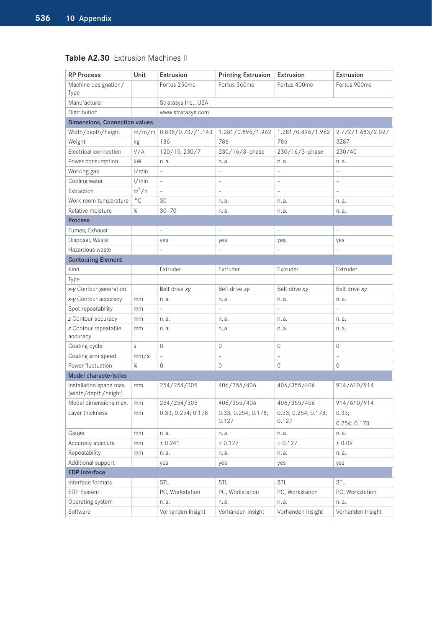| <b>RP Process</b>                               | Unit         | Extrusion           | <b>Printing Extrusion</b>    | Extrusion                    | Extrusion             |
|-------------------------------------------------|--------------|---------------------|------------------------------|------------------------------|-----------------------|
| Machine designation/<br>Type                    |              | Fortus 250mc        | Fortus 360mc                 | Fortus 400mc                 | Fortus 900mc          |
| Manufacturer                                    |              | Stratasys Inc., USA |                              |                              |                       |
| Distribution                                    |              | www.stratasys.com   |                              |                              |                       |
| <b>Dimensions, Connection values</b>            |              |                     |                              |                              |                       |
| Width/depth/height                              | m/m/m        | 0.838/0.737/1.143   | 1.281/0.896/1.962            | 1.281/0.896/1.962            | 2.772/1.683/2.027     |
| Weight                                          | kg           | 186                 | 786                          | 786                          | 3287                  |
| Electrical connection                           | V/A          | 120/15; 230/7       | 230/16/3-phase               | 230/16/3-phase               | 230/40                |
| Power consumption                               | kW           | n. a.               | n.a.                         | n.a.                         | n.a.                  |
| Working gas                                     | 1/min        | $\overline{a}$      | $\overline{a}$               | L.                           | $\overline{a}$        |
| Cooling water                                   | 1/min        | L                   |                              | L,                           | L,                    |
| Extraction                                      | $m^3/h$      | $\overline{a}$      | ÷,                           | $\overline{a}$               | $\overline{a}$        |
| Work room temperature                           | $^{\circ}$ C | 30                  | n.a.                         | n.a.                         | n.a.                  |
| Relative moisture                               | %            | $30 - 70$           | n.a.                         | n.a.                         | n.a.                  |
| <b>Process</b>                                  |              |                     |                              |                              |                       |
| Fumes, Exhaust                                  |              | $\overline{a}$      | $\overline{\phantom{a}}$     | $\overline{\phantom{a}}$     | $\overline{a}$        |
| Disposal, Waste                                 |              | yes                 | yes                          | yes                          | yes                   |
| Hazardous waste                                 |              | $\overline{a}$      | $\overline{a}$               | $\overline{a}$               | $\overline{a}$        |
| <b>Contouring Element</b>                       |              |                     |                              |                              |                       |
| Kind                                            |              | Extruder            | Extruder                     | Extruder                     | Extruder              |
| Type                                            |              |                     |                              |                              |                       |
| x-y Contour generation                          |              | Belt drive xy       | Belt drive xy                | Belt drive xy                | Belt drive xy         |
| x-y Contour accuracy                            | mm           | n.a.                | n.a.                         | n.a.                         | n.a.                  |
| Spot repeatability                              | mm           | $\overline{a}$      | $\equiv$                     | $\overline{\phantom{a}}$     | $\overline{a}$        |
| z Contour accuracy                              | mm           | n. a.               | n.a.                         | n.a.                         | n.a.                  |
| z Contour repeatable<br>accuracy                | mm           | n.a.                | n.a.                         | n.a.                         | n.a.                  |
| Coating cycle                                   | S            | $\mathbf 0$         | 0                            | 0                            | 0                     |
| Coating arm speed                               | mm/s         | $\overline{a}$      | $\overline{a}$               | $\overline{a}$               | $\overline{a}$        |
| Power fluctuation                               | %            | $\mathbf 0$         | $\overline{O}$               | $\overline{O}$               | $\mathbf 0$           |
| <b>Model characteristics</b>                    |              |                     |                              |                              |                       |
| Installation space max.<br>(width/depth/height) | mm           | 254/254/305         | 406/355/406                  | 406/355/406                  | 914/610/914           |
| Model dimensions max.                           | mm           | 254/254/305         | 406/355/406                  | 406/355/406                  | 914/610/914           |
| Layer thickness                                 | mm           | 0.33; 0.254; 0.178  | 0.33; 0.254; 0.178;<br>0.127 | 0.33; 0.254; 0.178;<br>0.127 | 0.33;<br>0.254; 0.178 |
| Gauge                                           | mm           | n.a.                | n.a.                         | n.a.                         | n.a.                  |
| Accuracy absolute                               | mm           | ± 0.241             | ± 0.127                      | ± 0.127                      | ± 0.09                |
| Repeatability                                   | mm           | n. a.               | n.a.                         | n.a.                         | n.a.                  |
| Additional support                              |              | yes                 | yes                          | yes                          | yes                   |
| <b>EDP Interface</b>                            |              |                     |                              |                              |                       |
| Interface formats                               |              | <b>STL</b>          | STL                          | STL                          | STL                   |
| <b>EDP System</b>                               |              | PC, Workstation     | PC, Workstation              | PC, Workstation              | PC, Workstation       |
| Operating system                                |              | n.a.                | n.a.                         | n.a.                         | n.a.                  |
| Software                                        |              | Vorhanden Insight   | Vorhanden Insight            | Vorhanden Insight            | Vorhanden Insight     |
|                                                 |              |                     |                              |                              |                       |

# **Table A2.30** Extrusion Machines II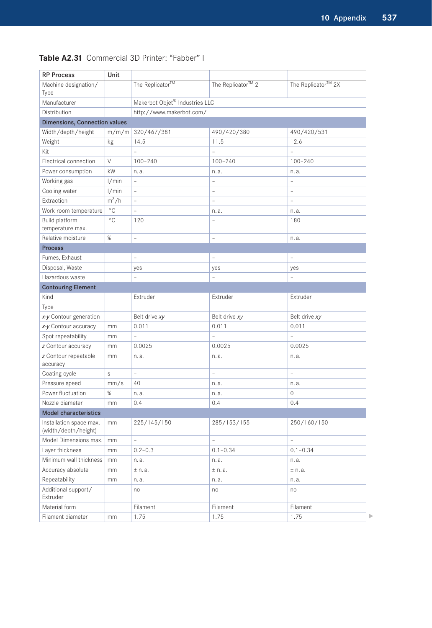| <b>RP Process</b>                               | Unit         |                                            |                          |                    |
|-------------------------------------------------|--------------|--------------------------------------------|--------------------------|--------------------|
| Machine designation/<br>Type                    |              | The Replicator™                            | The Replicator™ 2        | The Replicator™ 2X |
| Manufacturer                                    |              | Makerbot Objet <sup>®</sup> Industries LLC |                          |                    |
| Distribution                                    |              | http://www.makerbot.com/                   |                          |                    |
| <b>Dimensions, Connection values</b>            |              |                                            |                          |                    |
| Width/depth/height                              | m/m/m        | 320/467/381                                | 490/420/380              | 490/420/531        |
| Weight                                          | kg           | 14.5                                       | 11.5                     | 12.6               |
| Kit                                             |              | $\overline{a}$                             | $\overline{a}$           | $\overline{a}$     |
| Electrical connection                           | V            | $100 - 240$                                | $100 - 240$              | $100 - 240$        |
| Power consumption                               | kW           | n. a.                                      | n.a.                     | n.a.               |
| Working gas                                     | 1/min        | $\overline{a}$                             | ÷,                       | $\overline{a}$     |
| Cooling water                                   | 1/min        | $\overline{a}$                             | L.                       | $\overline{a}$     |
| Extraction                                      | $m^3/h$      | $\overline{a}$                             | L.                       | $\overline{a}$     |
| Work room temperature                           | $^{\circ}$ C | $\equiv$                                   | n.a.                     | n.a.               |
| Build platform<br>temperature max.              | $^{\circ}$ C | 120                                        | $\overline{a}$           | 180                |
| Relative moisture                               | %            | $\overline{\phantom{0}}$                   | L,                       | n.a.               |
| <b>Process</b>                                  |              |                                            |                          |                    |
| Fumes, Exhaust                                  |              | $\overline{a}$                             | $\overline{a}$           | $\overline{a}$     |
| Disposal, Waste                                 |              | yes                                        | yes                      | yes                |
| Hazardous waste                                 |              | $\overline{a}$                             | $\overline{a}$           | $\overline{a}$     |
| <b>Contouring Element</b>                       |              |                                            |                          |                    |
| Kind                                            |              | Extruder                                   | Extruder                 | Extruder           |
| Type                                            |              |                                            |                          |                    |
| x-y Contour generation                          |              | Belt drive xy                              | Belt drive xy            | Belt drive xy      |
| x-y Contour accuracy                            | mm           | 0.011                                      | 0.011                    | 0.011              |
| Spot repeatability                              | mm           | $\overline{a}$                             | $\overline{a}$           |                    |
| z Contour accuracy                              | mm           | 0.0025                                     | 0.0025                   | 0.0025             |
| z Contour repeatable<br>accuracy                | mm           | n. a.                                      | n.a.                     | n.a.               |
| Coating cycle                                   | S            | $\bar{\phantom{a}}$                        | $\overline{\phantom{a}}$ | $\frac{1}{2}$      |
| Pressure speed                                  | mm/s         | 40                                         | n.a.                     | n.a.               |
| Power fluctuation                               | %            | n. a.                                      | n.a.                     | 0                  |
| Nozzle diameter                                 | mm           | 0.4                                        | 0.4                      | 0.4                |
| <b>Model characteristics</b>                    |              |                                            |                          |                    |
| Installation space max.<br>(width/depth/height) | mm           | 225/145/150                                | 285/153/155              | 250/160/150        |
| Model Dimensions max.                           | mm           | $\overline{a}$                             |                          |                    |
| Layer thickness                                 | mm           | $0.2 - 0.3$                                | $0.1 - 0.34$             | $0.1 - 0.34$       |
| Minimum wall thickness                          | mm           | n. a.                                      | n.a.                     | n.a.               |
| Accuracy absolute                               | mm           | ± n.a.                                     | ± n.a.                   | ± n.a.             |
| Repeatability                                   | mm           | n.a.                                       | n.a.                     | n.a.               |
| Additional support/<br>Extruder                 |              | no                                         | no                       | no                 |
| Material form                                   |              | Filament                                   | Filament                 | Filament           |
| Filament diameter                               | mm           | 1.75                                       | 1.75                     | 1.75               |

# **Table A2.31** Commercial 3D Printer: "Fabber" I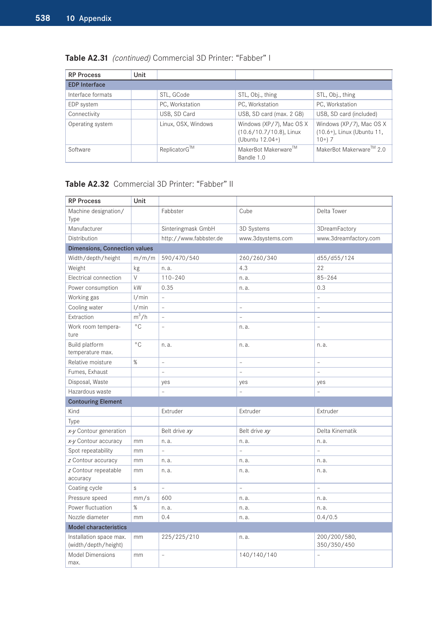| <b>RP Process</b>    | Unit |                     |                                                                        |                                                                     |
|----------------------|------|---------------------|------------------------------------------------------------------------|---------------------------------------------------------------------|
| <b>EDP</b> Interface |      |                     |                                                                        |                                                                     |
| Interface formats    |      | STL, GCode          | STL, Obj., thing                                                       | STL, Obj., thing                                                    |
| EDP system           |      | PC, Workstation     | PC. Workstation                                                        | PC, Workstation                                                     |
| Connectivity         |      | USB, SD Card        | USB, SD card (max. 2 GB)                                               | USB, SD card (included)                                             |
| Operating system     |      | Linux, OSX, Windows | Windows (XP/7), Mac OS X<br>(10.6/10.7/10.8), Linux<br>(Ubuntu 12.04+) | Windows (XP/7), Mac OS X<br>(10.6+), Linux (Ubuntu 11,<br>$10+$ ) 7 |
| Software             |      | ReplicatorG™        | MakerBot Makerware™<br>Bandle 1.0                                      | MakerBot Makerware™ 2.0                                             |

# **Table A2.31** *(continued)* Commercial 3D Printer: "Fabber" I

# **Table A2.32** Commercial 3D Printer: "Fabber" II

| <b>RP Process</b>                               | Unit         |                        |                   |                             |
|-------------------------------------------------|--------------|------------------------|-------------------|-----------------------------|
| Machine designation/<br>Type                    |              | Fabbster               | Cube              | Delta Tower                 |
| Manufacturer                                    |              | Sinteringmask GmbH     | 3D Systems        | 3DreamFactory               |
| Distribution                                    |              | http://www.fabbster.de | www.3dsystems.com | www.3dreamfactory.com       |
| <b>Dimensions, Connection values</b>            |              |                        |                   |                             |
| Width/depth/height                              | m/m/m        | 590/470/540            | 260/260/340       | d55/d55/124                 |
| Weight                                          | kg           | n.a.                   | 4.3               | 22                          |
| Electrical connection                           | $\vee$       | $110 - 240$            | n.a.              | $85 - 264$                  |
| Power consumption                               | kW           | 0.35                   | n.a.              | 0.3                         |
| Working gas                                     | 1/min        | $\overline{a}$         |                   | $\overline{a}$              |
| Cooling water                                   | 1/min        | $\overline{a}$         | $\bar{a}$         | $\overline{\phantom{0}}$    |
| Extraction                                      | $m^3/h$      | $\overline{a}$         | $\overline{a}$    | $\overline{a}$              |
| Work room tempera-<br>ture                      | $^{\circ}$ C | $\overline{a}$         | n.a.              | $\overline{a}$              |
| Build platform<br>temperature max.              | $^{\circ}$ C | n.a.                   | n.a.              | n.a.                        |
| Relative moisture                               | %            | $\overline{a}$         | $\overline{a}$    | $\overline{a}$              |
| Fumes, Exhaust                                  |              | $\overline{a}$         | $\overline{a}$    | $\overline{a}$              |
| Disposal, Waste                                 |              | yes                    | yes               | yes                         |
| Hazardous waste                                 |              | $\overline{a}$         | $\overline{a}$    | $\overline{a}$              |
| <b>Contouring Element</b>                       |              |                        |                   |                             |
| Kind                                            |              | Extruder               | Extruder          | Extruder                    |
| Type                                            |              |                        |                   |                             |
| x-y Contour generation                          |              | Belt drive xy          | Belt drive xy     | Delta Kinematik             |
| x-y Contour accuracy                            | mm           | n.a.                   | n.a.              | n.a.                        |
| Spot repeatability                              | mm           | $\overline{a}$         | $\overline{a}$    | $\overline{a}$              |
| z Contour accuracy                              | mm           | n.a.                   | n.a.              | n.a.                        |
| z Contour repeatable<br>accuracy                | mm           | n.a.                   | n.a.              | n.a.                        |
| Coating cycle                                   | S            | $\overline{a}$         | $\overline{a}$    | $\overline{a}$              |
| Pressure speed                                  | mm/s         | 600                    | n.a.              | n.a.                        |
| Power fluctuation                               | %            | n.a.                   | n.a.              | n.a.                        |
| Nozzle diameter                                 | mm           | 0.4                    | n.a.              | 0.4/0.5                     |
| <b>Model characteristics</b>                    |              |                        |                   |                             |
| Installation space max.<br>(width/depth/height) | mm           | 225/225/210            | n.a.              | 200/200/580,<br>350/350/450 |
| Model Dimensions<br>max.                        | mm           | $\overline{a}$         | 140/140/140       | $\overline{a}$              |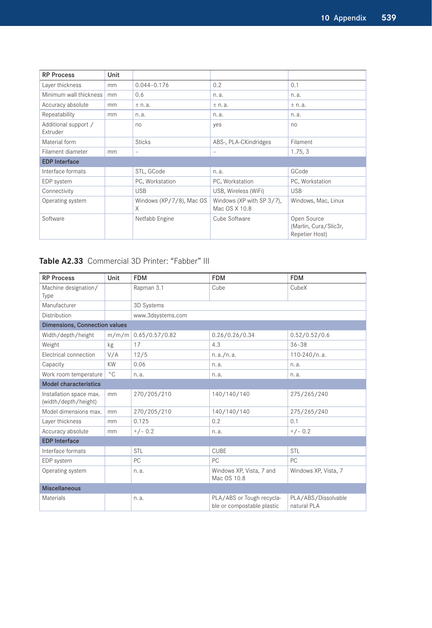| <b>RP Process</b>                | Unit |                               |                                            |                                                        |
|----------------------------------|------|-------------------------------|--------------------------------------------|--------------------------------------------------------|
| Layer thickness                  | mm   | $0.044 - 0.176$               | 0.2                                        | 0.1                                                    |
| Minimum wall thickness           | mm   | 0.6                           | n.a.                                       | n.a.                                                   |
| Accuracy absolute                | mm   | ± n.a.                        | ± n.a.                                     | ± n.a.                                                 |
| Repeatability                    | mm   | n.a.                          | n.a.                                       | n.a.                                                   |
| Additional support /<br>Extruder |      | no                            | yes                                        | no                                                     |
| Material form                    |      | <b>Sticks</b>                 | ABS-, PLA-CKindridges                      | Filament                                               |
| Filament diameter                | mm   | $\qquad \qquad -$             | $\overline{\phantom{0}}$                   | 1.75, 3                                                |
| <b>EDP Interface</b>             |      |                               |                                            |                                                        |
| Interface formats                |      | STL, GCode                    | n.a.                                       | GCode                                                  |
| EDP system                       |      | PC, Workstation               | PC, Workstation                            | PC, Workstation                                        |
| Connectivity                     |      | <b>USB</b>                    | USB, Wireless (WiFi)                       | <b>USB</b>                                             |
| Operating system                 |      | Windows (XP/7/8), Mac OS<br>X | Windows (XP with SP 3/7),<br>Mac OS X 10.8 | Windows, Mac, Linux                                    |
| Software                         |      | Netfabb Engine                | Cube Software                              | Open Source<br>(Marlin, Cura/Slic3r,<br>Repetier Host) |

# **Table A2.33** Commercial 3D Printer: "Fabber" III

| <b>RP Process</b>                               | Unit         | <b>FDM</b>        | <b>FDM</b>                                              | <b>FDM</b>                         |
|-------------------------------------------------|--------------|-------------------|---------------------------------------------------------|------------------------------------|
| Machine designation/<br>Type                    |              | Rapman 3.1        | Cube                                                    | CubeX                              |
| Manufacturer                                    |              | 3D Systems        |                                                         |                                    |
| Distribution                                    |              | www.3dsystems.com |                                                         |                                    |
| <b>Dimensions, Connection values</b>            |              |                   |                                                         |                                    |
| Width/depth/height                              | m/m/m        | 0.65/0.57/0.82    | 0.26/0.26/0.34                                          | 0.52/0.52/0.6                      |
| Weight                                          | kg           | 17                | 4.3                                                     | $36 - 38$                          |
| Electrical connection                           | V/A          | 12/5              | n.a./n.a.                                               | 110-240/n.a.                       |
| Capacity                                        | <b>KW</b>    | 0.06              | n.a.                                                    | n.a.                               |
| Work room temperature                           | $^{\circ}$ C | n.a.              | n.a.                                                    | n.a.                               |
| <b>Model characteristics</b>                    |              |                   |                                                         |                                    |
| Installation space max.<br>(width/depth/height) | mm           | 270/205/210       | 140/140/140                                             | 275/265/240                        |
| Model dimensions max.                           | mm           | 270/205/210       | 140/140/140                                             | 275/265/240                        |
| Layer thickness                                 | mm           | 0.125             | 0.2                                                     | 0.1                                |
| Accuracy absolute                               | mm           | $+/- 0.2$         | n.a.                                                    | $+/- 0.2$                          |
| <b>EDP Interface</b>                            |              |                   |                                                         |                                    |
| Interface formats                               |              | <b>STL</b>        | <b>CUBE</b>                                             | STL                                |
| EDP system                                      |              | PC.               | PC                                                      | PC.                                |
| Operating system                                |              | n. a.             | Windows XP, Vista, 7 and<br>Mac OS 10.8                 | Windows XP, Vista, 7               |
| <b>Miscellaneous</b>                            |              |                   |                                                         |                                    |
| Materials                                       |              | n.a.              | PLA/ABS or Tough recycla-<br>ble or compostable plastic | PLA/ABS/Dissolvable<br>natural PLA |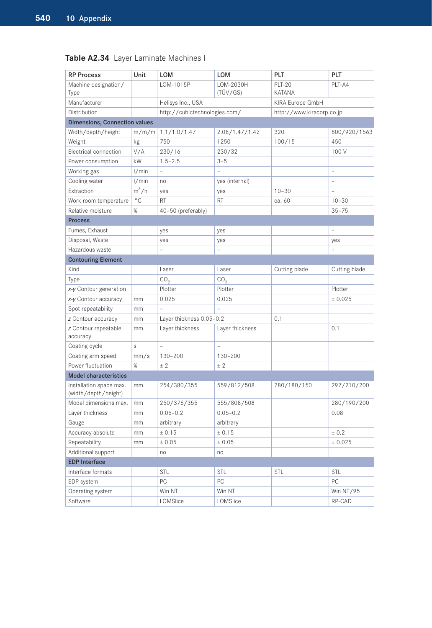| <b>RP Process</b>                               | Unit         | <b>LOM</b>                    | <b>LOM</b>      | PLT                       | PLT            |
|-------------------------------------------------|--------------|-------------------------------|-----------------|---------------------------|----------------|
| Machine designation/                            |              | LOM-1015P                     | LOM-2030H       | <b>PLT-20</b>             | PLT-A4         |
| Type                                            |              |                               | (TUV/GS)        | <b>KATANA</b>             |                |
| Manufacturer                                    |              | Helisys Inc., USA             |                 | KIRA Europe GmbH          |                |
| Distribution                                    |              | http://cubictechnologies.com/ |                 | http://www.kiracorp.co.jp |                |
| <b>Dimensions, Connection values</b>            |              |                               |                 |                           |                |
| Width/depth/height                              | m/m/m        | 1.1/1.0/1.47                  | 2.08/1.47/1.42  | 320                       | 800/920/1563   |
| Weight                                          | kg           | 750                           | 1250            | 100/15                    | 450            |
| Electrical connection                           | V/A          | 230/16                        | 230/32          |                           | 100 V          |
| Power consumption                               | kW           | $1.5 - 2.5$                   | $3 - 5$         |                           |                |
| Working gas                                     | 1/min        | ÷,                            | $\overline{a}$  |                           | $\overline{a}$ |
| Cooling water                                   | 1/min        | no                            | yes (internal)  |                           | $\overline{a}$ |
| Extraction                                      | $m^3/h$      | yes                           | yes             | $10 - 30$                 | $\overline{a}$ |
| Work room temperature                           | $^{\circ}$ C | <b>RT</b>                     | <b>RT</b>       | ca. 60                    | $10 - 30$      |
| Relative moisture                               | %            | 40-50 (preferably)            |                 |                           | $35 - 75$      |
| <b>Process</b>                                  |              |                               |                 |                           |                |
| Fumes, Exhaust                                  |              | yes                           | yes             |                           |                |
| Disposal, Waste                                 |              | yes                           | yes             |                           | yes            |
| Hazardous waste                                 |              | $\overline{a}$                | $\overline{a}$  |                           |                |
| <b>Contouring Element</b>                       |              |                               |                 |                           |                |
| Kind                                            |              | Laser                         | Laser           | Cutting blade             | Cutting blade  |
| Type                                            |              | CO <sub>2</sub>               | CO <sub>2</sub> |                           |                |
| x-y Contour generation                          |              | Plotter                       | Plotter         |                           | Plotter        |
| x-y Contour accuracy                            | mm           | 0.025                         | 0.025           |                           | ± 0.025        |
| Spot repeatability                              | mm           | Ξ                             |                 |                           |                |
| z Contour accuracy                              | mm           | Layer thickness 0.05-0.2      |                 | 0.1                       |                |
| z Contour repeatable<br>accuracy                | mm           | Layer thickness               | Layer thickness |                           | 0.1            |
| Coating cycle                                   | S            | $\overline{a}$                | $\frac{1}{2}$   |                           |                |
| Coating arm speed                               | mm/s         | $130 - 200$                   | $130 - 200$     |                           |                |
| Power fluctuation                               | %            | ± 7                           | ± 7             |                           |                |
| <b>Model characteristics</b>                    |              |                               |                 |                           |                |
| Installation space max.<br>(width/depth/height) | mm           | 254/380/355                   | 559/812/508     | 280/180/150               | 297/210/200    |
| Model dimensions max.                           | mm           | 250/376/355                   | 555/808/508     |                           | 280/190/200    |
| Layer thickness                                 | mm           | $0.05 - 0.2$                  | $0.05 - 0.2$    |                           | 0.08           |
| Gauge                                           | mm           | arbitrary                     | arbitrary       |                           |                |
| Accuracy absolute                               | mm           | ± 0.15                        | ± 0.15          |                           | ± 0.2          |
| Repeatability                                   | mm           | ± 0.05                        | ± 0.05          |                           | ± 0.025        |
| Additional support                              |              | no                            | no              |                           |                |
| <b>EDP Interface</b>                            |              |                               |                 |                           |                |
| Interface formats                               |              | STL                           | STL             | STL                       | STL            |
| EDP system                                      |              | PC.                           | PC              |                           | PC.            |
| Operating system                                |              | Win NT                        | Win NT          |                           | Win NT/95      |
| Software                                        |              | LOMSlice                      | LOMSlice        |                           | RP-CAD         |

# **Table A2.34** Layer Laminate Machines I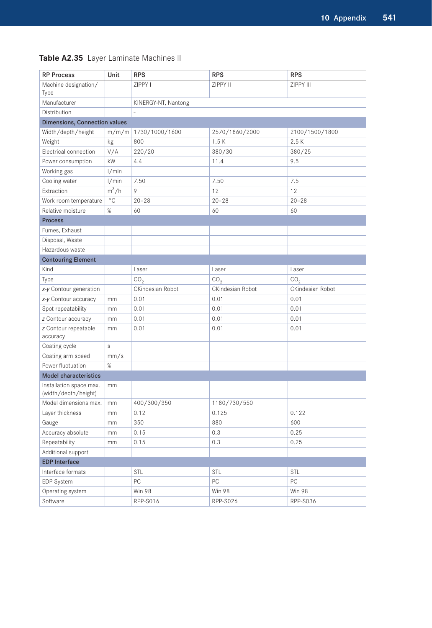| <b>RP Process</b>                               | Unit         | <b>RPS</b>              | <b>RPS</b>              | <b>RPS</b>              |
|-------------------------------------------------|--------------|-------------------------|-------------------------|-------------------------|
| Machine designation/<br>Type                    |              | ZIPPY I                 | ZIPPY II                | ZIPPY III               |
| Manufacturer                                    |              | KINERGY-NT, Nantong     |                         |                         |
| Distribution                                    |              |                         |                         |                         |
| <b>Dimensions, Connection values</b>            |              |                         |                         |                         |
| Width/depth/height                              | m/m/m        | 1730/1000/1600          | 2570/1860/2000          | 2100/1500/1800          |
| Weight                                          | kg           | 800                     | 1.5K                    | 2.5K                    |
| Electrical connection                           | V/A          | 220/20                  | 380/30                  | 380/25                  |
| Power consumption                               | kW           | 4.4                     | 11.4                    | 9.5                     |
| Working gas                                     | 1/min        |                         |                         |                         |
| Cooling water                                   | 1/min        | 7.50                    | 7.50                    | 7.5                     |
| Extraction                                      | $m^3/h$      | $\overline{Q}$          | 12                      | 12                      |
| Work room temperature                           | $^{\circ}$ C | $20 - 28$               | $20 - 28$               | $20 - 28$               |
| Relative moisture                               | %            | 60                      | 60                      | 60                      |
| <b>Process</b>                                  |              |                         |                         |                         |
| Fumes, Exhaust                                  |              |                         |                         |                         |
| Disposal, Waste                                 |              |                         |                         |                         |
| Hazardous waste                                 |              |                         |                         |                         |
| <b>Contouring Element</b>                       |              |                         |                         |                         |
| Kind                                            |              | Laser                   | Laser                   | Laser                   |
| Type                                            |              | CO <sub>2</sub>         | CO <sub>2</sub>         | CO <sub>2</sub>         |
| x-y Contour generation                          |              | <b>CKindesian Robot</b> | <b>CKindesian Robot</b> | <b>CKindesian Robot</b> |
| x-y Contour accuracy                            | mm           | 0.01                    | 0.01                    | 0.01                    |
| Spot repeatability                              | mm           | 0.01                    | 0.01                    | 0.01                    |
| z Contour accuracy                              | mm           | 0.01                    | 0.01                    | 0.01                    |
| z Contour repeatable<br>accuracy                | mm           | 0.01                    | 0.01                    | 0.01                    |
| Coating cycle                                   | S            |                         |                         |                         |
| Coating arm speed                               | mm/s         |                         |                         |                         |
| Power fluctuation                               | %            |                         |                         |                         |
| <b>Model characteristics</b>                    |              |                         |                         |                         |
| Installation space max.<br>(width/depth/height) | mm           |                         |                         |                         |
| Model dimensions max.                           | mm           | 400/300/350             | 1180/730/550            |                         |
| Layer thickness                                 | mm           | 0.12                    | 0.125                   | 0.122                   |
| Gauge                                           | mm           | 350                     | 880                     | 600                     |
| Accuracy absolute                               | mm           | 0.15                    | 0.3                     | 0.25                    |
| Repeatability                                   | mm           | 0.15                    | 0.3                     | 0.25                    |
| Additional support                              |              |                         |                         |                         |
| <b>EDP Interface</b>                            |              |                         |                         |                         |
| Interface formats                               |              | STL                     | STL                     | STL                     |
| <b>EDP System</b>                               |              | PC                      | PC                      | PC                      |
| Operating system                                |              | <b>Win 98</b>           | <b>Win 98</b>           | <b>Win 98</b>           |
| Software                                        |              | RPP-S016                | RPP-S026                | RPP-S036                |

# **Table A2.35** Layer Laminate Machines II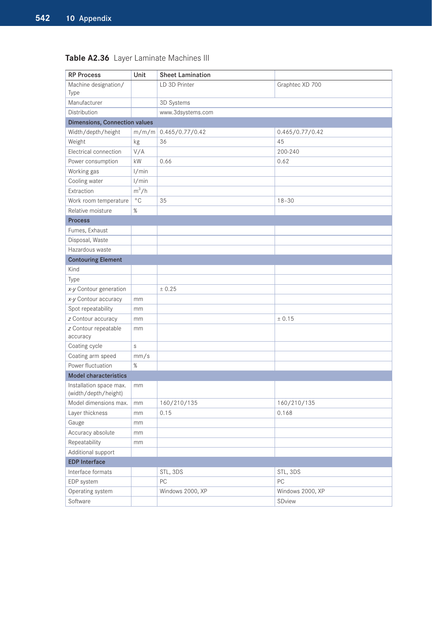| <b>RP Process</b>                               | Unit         | <b>Sheet Lamination</b> |                  |
|-------------------------------------------------|--------------|-------------------------|------------------|
| Machine designation/                            |              | ID 3D Printer           | Graphtec XD 700  |
| Type                                            |              |                         |                  |
| Manufacturer                                    |              | 3D Systems              |                  |
| Distribution                                    |              | www.3dsystems.com       |                  |
| <b>Dimensions, Connection values</b>            |              |                         |                  |
| Width/depth/height                              | m/m/m        | 0.465/0.77/0.42         | 0.465/0.77/0.42  |
| Weight                                          | kg           | 36                      | 45               |
| Electrical connection                           | V/A          |                         | 200-240          |
| Power consumption                               | kW           | 0.66                    | 0.62             |
| Working gas                                     | 1/min        |                         |                  |
| Cooling water                                   | 1/min        |                         |                  |
| Extraction                                      | $m^3/h$      |                         |                  |
| Work room temperature                           | $^{\circ}$ C | 35                      | $18 - 30$        |
| Relative moisture                               | $\%$         |                         |                  |
| <b>Process</b>                                  |              |                         |                  |
| Fumes, Exhaust                                  |              |                         |                  |
| Disposal, Waste                                 |              |                         |                  |
| Hazardous waste                                 |              |                         |                  |
| <b>Contouring Element</b>                       |              |                         |                  |
| Kind                                            |              |                         |                  |
| Type                                            |              |                         |                  |
| x-y Contour generation                          |              | ± 0.25                  |                  |
| x-y Contour accuracy                            | mm           |                         |                  |
| Spot repeatability                              | mm           |                         |                  |
| z Contour accuracy                              | mm           |                         | ± 0.15           |
| z Contour repeatable<br>accuracy                | mm           |                         |                  |
| Coating cycle                                   | S            |                         |                  |
| Coating arm speed                               | mm/s         |                         |                  |
| Power fluctuation                               | %            |                         |                  |
| <b>Model characteristics</b>                    |              |                         |                  |
| Installation space max.<br>(width/depth/height) | mm           |                         |                  |
| Model dimensions max.                           | mm           | 160/210/135             | 160/210/135      |
| Layer thickness                                 | mm           | 0.15                    | 0.168            |
| Gauge                                           | mm           |                         |                  |
| Accuracy absolute                               | mm           |                         |                  |
| Repeatability                                   | mm           |                         |                  |
| Additional support                              |              |                         |                  |
| <b>EDP Interface</b>                            |              |                         |                  |
| Interface formats                               |              | STL, 3DS                | STL, 3DS         |
| EDP system                                      |              | PC                      | PC               |
| Operating system                                |              | Windows 2000, XP        | Windows 2000, XP |
| Software                                        |              |                         | SDview           |

# **Table A2.36** Layer Laminate Machines III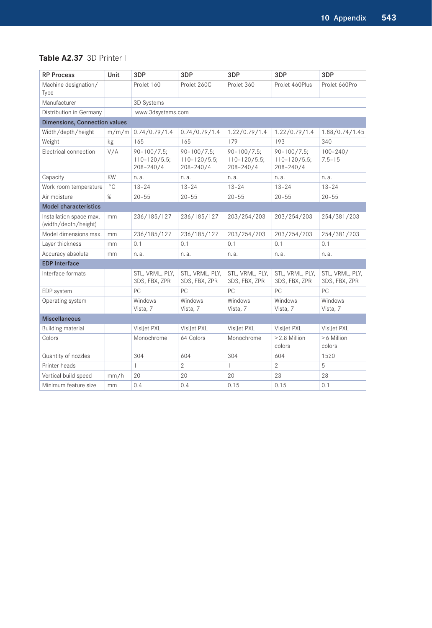#### **Table A2.37** 3D Printer I

| <b>RP Process</b>                               | Unit         | 3DP                                                        | 3DP                                                        | 3DP                                                        | 3DP                                                        | 3DP                              |
|-------------------------------------------------|--------------|------------------------------------------------------------|------------------------------------------------------------|------------------------------------------------------------|------------------------------------------------------------|----------------------------------|
| Machine designation/<br>Type                    |              | Prolet 160                                                 | ProJet 260C                                                | Prolet 360                                                 | Prolet 460Plus                                             | Prolet 660Pro                    |
| Manufacturer                                    |              | 3D Systems                                                 |                                                            |                                                            |                                                            |                                  |
| Distribution in Germany                         |              | www.3dsystems.com                                          |                                                            |                                                            |                                                            |                                  |
| <b>Dimensions, Connection values</b>            |              |                                                            |                                                            |                                                            |                                                            |                                  |
| Width/depth/height                              | m/m/m        | 0.74/0.79/1.4                                              | 0.74/0.79/1.4                                              | 1.22/0.79/1.4                                              | 1.22/0.79/1.4                                              | 1.88/0.74/1.45                   |
| Weight                                          | kg           | 165                                                        | 165                                                        | 179                                                        | 193                                                        | 340                              |
| Electrical connection                           | V/A          | $90 - 100 / 7.5$ ;<br>$110 - 120 / 5.5$ ;<br>$208 - 240/4$ | $90 - 100 / 7.5$ ;<br>$110 - 120 / 5.5$ ;<br>$208 - 240/4$ | $90 - 100 / 7.5$ ;<br>$110 - 120 / 5.5$ ;<br>$208 - 240/4$ | $90 - 100 / 7.5$ ;<br>$110 - 120 / 5.5$ ;<br>$208 - 240/4$ | $100 - 240/$<br>$7.5 - 15$       |
| Capacity                                        | KW           | n. a.                                                      | n.a.                                                       | n.a.                                                       | n.a.                                                       | n.a.                             |
| Work room temperature                           | $^{\circ}$ C | $13 - 24$                                                  | $13 - 24$                                                  | $13 - 24$                                                  | $13 - 24$                                                  | $13 - 24$                        |
| Air moisture                                    | %            | $20 - 55$                                                  | $20 - 55$                                                  | $20 - 55$                                                  | $20 - 55$                                                  | $20 - 55$                        |
| <b>Model characteristics</b>                    |              |                                                            |                                                            |                                                            |                                                            |                                  |
| Installation space max.<br>(width/depth/height) | mm           | 236/185/127                                                | 236/185/127                                                | 203/254/203                                                | 203/254/203                                                | 254/381/203                      |
| Model dimensions max.                           | mm           | 236/185/127                                                | 236/185/127                                                | 203/254/203                                                | 203/254/203                                                | 254/381/203                      |
| Layer thickness                                 | mm           | 0.1                                                        | 0.1                                                        | 0.1                                                        | 0.1                                                        | 0.1                              |
| Accuracy absolute                               | mm           | n.a.                                                       | n.a.                                                       | n.a.                                                       | n.a.                                                       | n.a.                             |
| <b>EDP</b> Interface                            |              |                                                            |                                                            |                                                            |                                                            |                                  |
| Interface formats                               |              | STL, VRML, PLY,<br>3DS, FBX, ZPR                           | STL, VRML, PLY,<br>3DS, FBX, ZPR                           | STL, VRML, PLY,<br>3DS, FBX, ZPR                           | STL, VRML, PLY,<br>3DS, FBX, ZPR                           | STL, VRML, PLY,<br>3DS, FBX, ZPR |
| EDP system                                      |              | PC.                                                        | PC.                                                        | PC.                                                        | PC.                                                        | PC.                              |
| Operating system                                |              | Windows<br>Vista, 7                                        | Windows<br>Vista, 7                                        | Windows<br>Vista, 7                                        | Windows<br>Vista, 7                                        | Windows<br>Vista, 7              |
| <b>Miscellaneous</b>                            |              |                                                            |                                                            |                                                            |                                                            |                                  |
| Building material                               |              | Visilet PXL                                                | Visilet PXL                                                | Visilet PXL                                                | VisiJet PXL                                                | Visilet PXL                      |
| Colors                                          |              | Monochrome                                                 | 64 Colors                                                  | Monochrome                                                 | > 2.8 Million<br>colors                                    | > 6 Million<br>colors            |
| Quantity of nozzles                             |              | 304                                                        | 604                                                        | 304                                                        | 604                                                        | 1520                             |
| Printer heads                                   |              | 1                                                          | 2                                                          | 1                                                          | $\overline{2}$                                             | 5                                |
| Vertical build speed                            | mm/h         | 20                                                         | 20                                                         | 20                                                         | 23                                                         | 28                               |
| Minimum feature size                            | mm           | 0.4                                                        | 0.4                                                        | 0.15                                                       | 0.15                                                       | 0.1                              |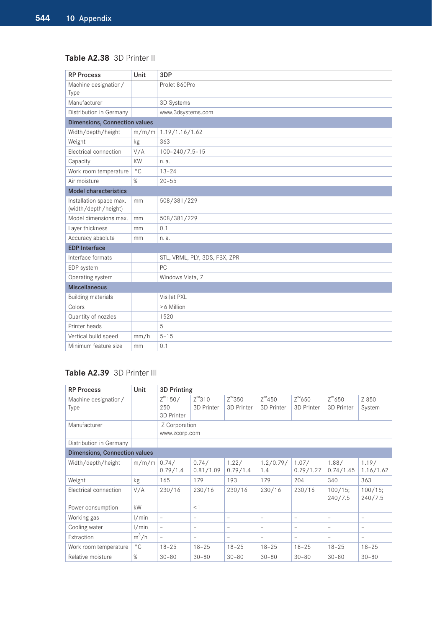#### **Table A2.38** 3D Printer II

| <b>RP Process</b>                               | Unit         | 3DP                           |
|-------------------------------------------------|--------------|-------------------------------|
| Machine designation/<br>Type                    |              | Prolet 860Pro                 |
| Manufacturer                                    |              | 3D Systems                    |
| Distribution in Germany                         |              | www.3dsystems.com             |
| <b>Dimensions, Connection values</b>            |              |                               |
| Width/depth/height                              | m/m/m        | 1.19/1.16/1.62                |
| Weight                                          | kg           | 363                           |
| Electrical connection                           | V/A          | $100 - 240 / 7.5 - 15$        |
| Capacity                                        | <b>KW</b>    | n.a.                          |
| Work room temperature                           | $^{\circ}$ C | $13 - 24$                     |
| Air moisture                                    | %            | $20 - 55$                     |
| <b>Model characteristics</b>                    |              |                               |
| Installation space max.<br>(width/depth/height) | mm           | 508/381/229                   |
| Model dimensions max.                           | mm           | 508/381/229                   |
| Layer thickness                                 | mm           | 0.1                           |
| Accuracy absolute                               | mm           | n.a.                          |
| <b>EDP Interface</b>                            |              |                               |
| Interface formats                               |              | STL, VRML, PLY, 3DS, FBX, ZPR |
| EDP system                                      |              | PC                            |
| Operating system                                |              | Windows Vista, 7              |
| <b>Miscellaneous</b>                            |              |                               |
| <b>Building materials</b>                       |              | Visilet PXL                   |
| Colors                                          |              | >6 Million                    |
| Quantity of nozzles                             |              | 1520                          |
| Printer heads                                   |              | 5                             |
| Vertical build speed                            | mm/h         | $5 - 15$                      |
| Minimum feature size                            | mm           | 0.1                           |

#### **Table A2.39** 3D Printer III

| <b>RP Process</b>                    | Unit         | 3D Printing                             |                                 |                                 |                                    |                                    |                                  |                          |
|--------------------------------------|--------------|-----------------------------------------|---------------------------------|---------------------------------|------------------------------------|------------------------------------|----------------------------------|--------------------------|
| Machine designation/<br>Type         |              | $Z^{\text{m}}150/$<br>250<br>3D Printer | $7^{\text{m}}310$<br>3D Printer | $7^{\text{m}}350$<br>3D Printer | $7^{\mathrm{m}}$ 450<br>3D Printer | $7^{\mathrm{m}}$ 650<br>3D Printer | $7^{\text{m}}$ 650<br>3D Printer | 7850<br>System           |
| Manufacturer                         |              | Z Corporation<br>www.zcorp.com          |                                 |                                 |                                    |                                    |                                  |                          |
| Distribution in Germany              |              |                                         |                                 |                                 |                                    |                                    |                                  |                          |
| <b>Dimensions, Connection values</b> |              |                                         |                                 |                                 |                                    |                                    |                                  |                          |
| Width/depth/height                   | m/m/m        | 0.74/<br>0.79/1.4                       | 0.74/<br>0.81 / 1.09            | 1.22/<br>0.79/1.4               | 1.2/0.79/<br>1.4                   | 1.07/<br>0.79/1.27                 | 1.88/<br>0.74/1.45               | 1.19/<br>1.16/1.62       |
| Weight                               | kg           | 165                                     | 179                             | 193                             | 179                                | 204                                | 340                              | 363                      |
| Electrical connection                | V/A          | 230/16                                  | 230/16                          | 230/16                          | 230/16                             | 230/16                             | $100/15$ :<br>240/7.5            | $100/15$ :<br>240/7.5    |
| Power consumption                    | kW           |                                         | < 1                             |                                 |                                    |                                    |                                  |                          |
| Working gas                          | 1/min        | $\overline{\phantom{m}}$                | $\overline{\phantom{a}}$        | $\overline{\phantom{0}}$        | $\overline{\phantom{0}}$           | $\qquad \qquad -$                  | $\qquad \qquad -$                | $\qquad \qquad -$        |
| Cooling water                        | 1/min        | $\overline{\phantom{a}}$                | $\qquad \qquad -$               | $\overline{\phantom{0}}$        | $\qquad \qquad -$                  | $\qquad \qquad =$                  | $\overline{\phantom{0}}$         | $\qquad \qquad -$        |
| Extraction                           | $m^3/h$      | $\overline{\phantom{a}}$                | $\overline{\phantom{a}}$        | $\overline{\phantom{0}}$        | $\overline{\phantom{0}}$           | $\overline{\phantom{a}}$           | $\qquad \qquad -$                | $\overline{\phantom{a}}$ |
| Work room temperature                | $^{\circ}$ C | $18 - 25$                               | $18 - 25$                       | $18 - 25$                       | $18 - 25$                          | $18 - 25$                          | $18 - 25$                        | $18 - 25$                |
| Relative moisture                    | %            | $30 - 80$                               | $30 - 80$                       | $30 - 80$                       | $30 - 80$                          | $30 - 80$                          | $30 - 80$                        | $30 - 80$                |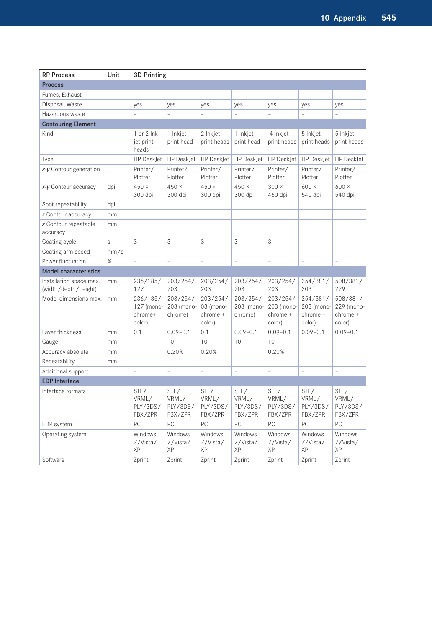| <b>RP Process</b>                               | Unit | 3D Printing                                 |                                      |                                             |                                      |                                              |                                              |                                              |
|-------------------------------------------------|------|---------------------------------------------|--------------------------------------|---------------------------------------------|--------------------------------------|----------------------------------------------|----------------------------------------------|----------------------------------------------|
| <b>Process</b>                                  |      |                                             |                                      |                                             |                                      |                                              |                                              |                                              |
| Fumes, Exhaust                                  |      | $\overline{a}$                              | $\overline{\phantom{a}}$             | $\overline{\phantom{0}}$                    | $\overline{\phantom{0}}$             | $\overline{\phantom{0}}$                     | $\overline{a}$                               | $\overline{a}$                               |
| Disposal, Waste                                 |      | yes                                         | yes                                  | yes                                         | yes                                  | yes                                          | yes                                          | yes                                          |
| Hazardous waste                                 |      |                                             |                                      | $\overline{a}$                              | $\overline{a}$                       | $\overline{a}$                               |                                              |                                              |
| <b>Contouring Element</b>                       |      |                                             |                                      |                                             |                                      |                                              |                                              |                                              |
| Kind                                            |      | 1 or 2 lnk-<br>jet print<br>heads           | 1 Inkjet<br>print head               | 2 Inkjet<br>print heads                     | 1 Inkjet<br>print head               | 4 Inkjet<br>print heads                      | 5 Inkjet<br>print heads                      | 5 Inkjet<br>print heads                      |
| Type                                            |      | <b>HP DeskJet</b>                           | <b>HP</b> DeskJet                    | <b>HP DeskJet</b>                           | <b>HP DeskJet</b>                    | <b>HP DeskJet</b>                            | <b>HP DeskJet</b>                            | <b>HP DeskJet</b>                            |
| x-y Contour generation                          |      | Printer/<br>Plotter                         | Printer/<br>Plotter                  | Printer/<br>Plotter                         | Printer/<br>Plotter                  | Printer/<br>Plotter                          | Printer/<br>Plotter                          | Printer/<br>Plotter                          |
| x-y Contour accuracy                            | dpi  | $450 \times$<br>300 dpi                     | $450 \times$<br>300 dpi              | $450 \times$<br>300 dpi                     | $450 \times$<br>300 dpi              | $300 \times$<br>450 dpi                      | $600 \times$<br>540 dpi                      | $600 \times$<br>540 dpi                      |
| Spot repeatability                              | dpi  |                                             |                                      |                                             |                                      |                                              |                                              |                                              |
| z Contour accuracy                              | mm   |                                             |                                      |                                             |                                      |                                              |                                              |                                              |
| z Contour repeatable<br>accuracy                | mm   |                                             |                                      |                                             |                                      |                                              |                                              |                                              |
| Coating cycle                                   | S    | 3                                           | 3                                    | 3                                           | 3                                    | 3                                            |                                              |                                              |
| Coating arm speed                               | mm/s |                                             |                                      |                                             |                                      |                                              |                                              |                                              |
| Power fluctuation                               | %    | $\overline{a}$                              | $\overline{a}$                       | $\overline{a}$                              | $\overline{a}$                       | $\overline{a}$                               | $\bar{a}$                                    | $\overline{a}$                               |
| <b>Model characteristics</b>                    |      |                                             |                                      |                                             |                                      |                                              |                                              |                                              |
| Installation space max.<br>(width/depth/height) | mm   | 236/185/<br>127                             | 203/254/<br>203                      | 203/254/<br>203                             | 203/254/<br>203                      | 203/254/<br>203                              | 254/381/<br>203                              | 508/381/<br>229                              |
| Model dimensions max.                           | mm   | 236/185/<br>127 (mono-<br>chrome+<br>color) | 203/254/<br>203 (mono-<br>chrome)    | 203/254/<br>03 (mono-<br>chrome +<br>color) | 203/254/<br>203 (mono-<br>chrome)    | 203/254/<br>203 (mono-<br>chrome +<br>color) | 254/381/<br>203 (mono-<br>chrome +<br>color) | 508/381/<br>229 (mono-<br>chrome +<br>color) |
| Layer thickness                                 | mm   | 0.1                                         | $0.09 - 0.1$                         | 0.1                                         | $0.09 - 0.1$                         | $0.09 - 0.1$                                 | $0.09 - 0.1$                                 | $0.09 - 0.1$                                 |
| Gauge                                           | mm   |                                             | 10                                   | 10                                          | 10                                   | 10                                           |                                              |                                              |
| Accuracy absolute                               | mm   |                                             | 0.20%                                | 0.20%                                       |                                      | 0.20%                                        |                                              |                                              |
| Repeatability                                   | mm   |                                             |                                      |                                             |                                      |                                              |                                              |                                              |
| Additional support                              |      | $\overline{\phantom{0}}$                    | $\overline{a}$                       | $\overline{\phantom{0}}$                    | $\overline{a}$                       | $\overline{\phantom{0}}$                     | ÷                                            | ÷,                                           |
| <b>EDP Interface</b>                            |      |                                             |                                      |                                             |                                      |                                              |                                              |                                              |
| Interface formats                               |      | STL/<br>VRML/<br>PLY/3DS/<br>FBX/ZPR        | STL/<br>VRML/<br>PLY/3DS/<br>FBX/ZPR | STL/<br>VRML/<br>PLY/3DS/<br>FBX/ZPR        | STL/<br>VRML/<br>PLY/3DS/<br>FBX/ZPR | STL/<br>VRML/<br>PLY/3DS/<br>FBX/ZPR         | STL/<br>VRML/<br>PLY/3DS/<br>FBX/ZPR         | STL/<br>VRML/<br>PLY/3DS/<br>FBX/ZPR         |
| EDP system                                      |      | PC                                          | PC                                   | PC                                          | PC                                   | PC                                           | PC                                           | PC                                           |
| Operating system                                |      | Windows<br>7/Vista/<br>XP                   | Windows<br>7/Vista/<br>XP            | Windows<br>7/Vista/<br>XP                   | Windows<br>7/Vista/<br>XP            | Windows<br>7/Vista/<br>XP                    | Windows<br>7/Vista/<br>XP                    | Windows<br>7/Vista/<br><b>XP</b>             |
| Software                                        |      | Zprint                                      | Zprint                               | Zprint                                      | Zprint                               | Zprint                                       | Zprint                                       | Zprint                                       |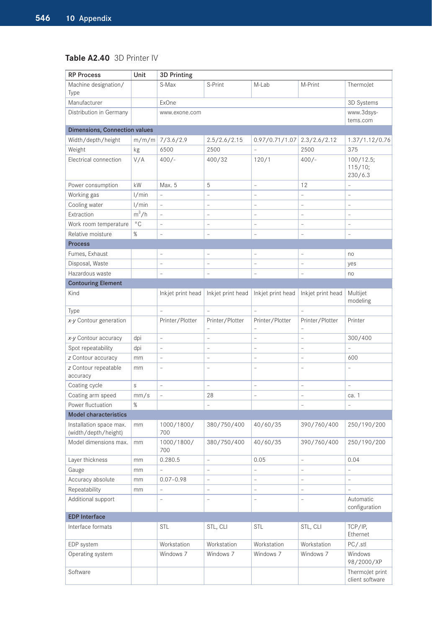#### **Table A2.40** 3D Printer IV

| <b>RP Process</b>                               | Unit         | 3D Printing              |                   |                   |                   |                                    |
|-------------------------------------------------|--------------|--------------------------|-------------------|-------------------|-------------------|------------------------------------|
| Machine designation/<br>Type                    |              | S-Max                    | S-Print           | M-Lab             | M-Print           | ThermoJet                          |
| Manufacturer                                    |              | ExOne                    |                   |                   |                   | 3D Systems                         |
| Distribution in Germany                         |              | www.exone.com            |                   |                   |                   | www.3dsys-                         |
|                                                 |              |                          |                   |                   |                   | tems.com                           |
| Dimensions, Connection values                   |              |                          |                   |                   |                   |                                    |
| Width/depth/height                              | m/m/m        | 7/3.6/2.9                | 2.5/2.6/2.15      | 0.97/0.71/1.07    | 2.3/2.6/2.12      | 1.37/1.12/0.76                     |
| Weight                                          | kg           | 6500                     | 2500              | L.                | 2500              | 375                                |
| Electrical connection                           | V/A          | $400/-$                  | 400/32            | 120/1             | $400/-$           | 100/12.5;<br>115/10;<br>230/6.3    |
| Power consumption                               | kW           | Max. 5                   | 5                 | $\overline{a}$    | 12                | $\overline{a}$                     |
| Working gas                                     | 1/min        |                          | $\overline{a}$    | L,                | $\overline{a}$    | $\overline{a}$                     |
| Cooling water                                   | 1/min        | $\overline{a}$           | $\overline{a}$    | $\overline{a}$    | $\overline{a}$    | $\overline{a}$                     |
| Extraction                                      | $m^3/h$      | L,                       | $\overline{a}$    | ÷                 | $\overline{a}$    | 1                                  |
| Work room temperature                           | $^{\circ}$ C | $\overline{a}$           | $\overline{a}$    | $\overline{a}$    | $\overline{a}$    | $\overline{a}$                     |
| Relative moisture                               | $\%$         | $\overline{\phantom{0}}$ | $\overline{a}$    | $\overline{a}$    | $\overline{a}$    | 1                                  |
| <b>Process</b>                                  |              |                          |                   |                   |                   |                                    |
| Fumes, Exhaust                                  |              | L,                       | $\overline{a}$    | $\overline{a}$    | L,                | no                                 |
| Disposal, Waste                                 |              | $\overline{a}$           | L.                | L,                | L.                | yes                                |
| Hazardous waste                                 |              | $\overline{a}$           |                   |                   | $\overline{a}$    | no                                 |
| <b>Contouring Element</b>                       |              |                          |                   |                   |                   |                                    |
| Kind                                            |              | Inkjet print head        | Inkjet print head | Inkjet print head | Inkjet print head | Multijet<br>modeling               |
| Type                                            |              |                          |                   |                   | $\overline{a}$    |                                    |
| x-y Contour generation                          |              | Printer/Plotter          | Printer/Plotter   | Printer/Plotter   | Printer/Plotter   | Printer                            |
| x-y Contour accuracy                            | dpi          | $\overline{a}$           | L.                | L,                | $\overline{a}$    | 300/400                            |
| Spot repeatability                              | dpi          | $\overline{a}$           | $\overline{a}$    | $\overline{a}$    | $\overline{a}$    | $\overline{a}$                     |
| z Contour accuracy                              | mm           | $\overline{a}$           | L.                | L,                | L.                | 600                                |
| z Contour repeatable<br>accuracy                | mm           | L,                       | $\overline{a}$    | L,                | ÷                 | $\overline{a}$                     |
| Coating cycle                                   | S            | $\overline{a}$           | $\overline{a}$    | L,                | L.                | $\overline{a}$                     |
| Coating arm speed                               | mm/s         | L,                       | 28                | $\overline{a}$    | $\overline{a}$    | ca. 1                              |
| Power fluctuation                               | %            |                          |                   |                   | L.                |                                    |
| <b>Model characteristics</b>                    |              |                          |                   |                   |                   |                                    |
| Installation space max.<br>(width/depth/height) | mm           | 1000/1800/<br>700        | 380/750/400       | 40/60/35          | 390/760/400       | 250/190/200                        |
| Model dimensions max.                           | mm           | 1000/1800/<br>700        | 380/750/400       | 40/60/35          | 390/760/400       | 250/190/200                        |
| Layer thickness                                 | mm           | 0.280.5                  | L.                | 0.05              | $\overline{a}$    | 0.04                               |
| Gauge                                           | mm           |                          | $\overline{a}$    | $\overline{a}$    | $\overline{a}$    | $\overline{a}$                     |
| Accuracy absolute                               | mm           | $0.07 - 0.98$            | L.                | L,                | L.                | $\overline{a}$                     |
| Repeatability                                   | mm           | $\overline{\phantom{0}}$ | $\overline{a}$    | $\qquad \qquad -$ | $\overline{a}$    | $\overline{\phantom{0}}$           |
| Additional support                              |              | L.                       | $\overline{a}$    |                   | Ξ                 | Automatic<br>configuration         |
| <b>EDP Interface</b>                            |              |                          |                   |                   |                   |                                    |
| Interface formats                               |              | STL                      | STL, CLI          | STL               | STL, CLI          | TCP/IP,<br>Ethernet                |
| EDP system                                      |              | Workstation              | Workstation       | Workstation       | Workstation       | PC/.stl                            |
| Operating system                                |              | Windows 7                | Windows 7         | Windows 7         | Windows 7         | Windows<br>98/2000/XP              |
| Software                                        |              |                          |                   |                   |                   | ThermoJet print<br>client software |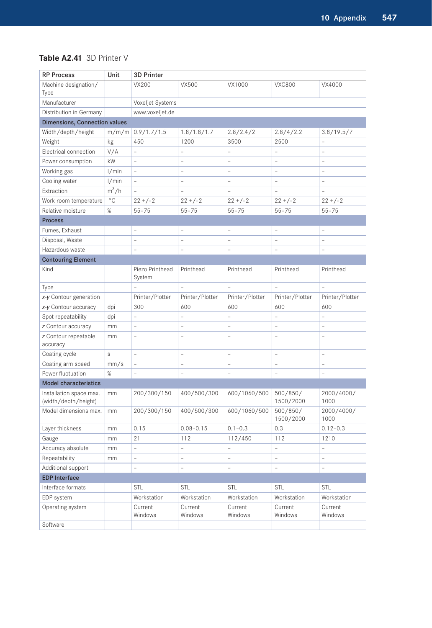#### **Table A2.41** 3D Printer V

| <b>RP Process</b>                               | Unit         | 3D Printer                |                    |                    |                       |                          |
|-------------------------------------------------|--------------|---------------------------|--------------------|--------------------|-----------------------|--------------------------|
| Machine designation/<br>Type                    |              | <b>VX200</b>              | VX500              | VX1000             | <b>VXC800</b>         | VX4000                   |
| Manufacturer                                    |              | Voxeljet Systems          |                    |                    |                       |                          |
| Distribution in Germany                         |              | www.voxeljet.de           |                    |                    |                       |                          |
| <b>Dimensions, Connection values</b>            |              |                           |                    |                    |                       |                          |
| Width/depth/height                              | m/m/m        | 0.9/1.7/1.5               | 1.8/1.8/1.7        | 2.8/2.4/2          | 2.8/4/2.2             | 3.8/19.5/7               |
| Weight                                          | kg           | 450                       | 1200               | 3500               | 2500                  | $\overline{\phantom{0}}$ |
| Electrical connection                           | V/A          | $\overline{a}$            | $\overline{a}$     | $\overline{a}$     | $\overline{a}$        | $\overline{a}$           |
| Power consumption                               | kW           | $\overline{a}$            | L                  | $\overline{a}$     | $\overline{a}$        | $\overline{a}$           |
| Working gas                                     | 1/min        | $\overline{a}$            | $\overline{a}$     | $\overline{a}$     | $\overline{a}$        | $\overline{a}$           |
| Cooling water                                   | 1/min        | $\overline{a}$            | $\overline{a}$     | $\overline{a}$     | $\overline{a}$        | $\overline{a}$           |
| Extraction                                      | $m^3/h$      | $\overline{a}$            |                    |                    |                       | $\overline{a}$           |
| Work room temperature                           | $^{\circ}$ C | $22 + 7 - 2$              | $22 + 7 - 2$       | $22 + (-2)$        | $22 + 7 - 2$          | $22 + 7 - 2$             |
| Relative moisture                               | %            | $55 - 75$                 | $55 - 75$          | $55 - 75$          | $55 - 75$             | $55 - 75$                |
| <b>Process</b>                                  |              |                           |                    |                    |                       |                          |
| Fumes, Exhaust                                  |              | $\overline{a}$            | $\overline{a}$     | $\overline{a}$     | $\overline{a}$        | $\overline{a}$           |
| Disposal, Waste                                 |              | $\overline{a}$            | L                  | $\overline{a}$     | $\overline{a}$        | $\overline{a}$           |
| Hazardous waste                                 |              | $\overline{a}$            | L                  | L                  | $\overline{a}$        | $\overline{a}$           |
| <b>Contouring Element</b>                       |              |                           |                    |                    |                       |                          |
| Kind                                            |              | Piezo Printhead<br>System | Printhead          | Printhead          | Printhead             | Printhead                |
| Type                                            |              | $\overline{a}$            |                    |                    |                       |                          |
| x-y Contour generation                          |              | Printer/Plotter           | Printer/Plotter    | Printer/Plotter    | Printer/Plotter       | Printer/Plotter          |
| x-y Contour accuracy                            | dpi          | 300                       | 600                | 600                | 600                   | 600                      |
| Spot repeatability                              | dpi          | $\overline{a}$            | $\overline{a}$     | $\overline{a}$     | $\overline{a}$        | $\overline{a}$           |
| z Contour accuracy                              | mm           | $\overline{a}$            | L                  | $\overline{a}$     | $\overline{a}$        | $\overline{a}$           |
| z Contour repeatable<br>accuracy                | mm           | $\overline{a}$            | L                  | L                  | L                     | $\overline{a}$           |
| Coating cycle                                   | S            | $\overline{a}$            | L,                 | ۰                  | L,                    | $\overline{a}$           |
| Coating arm speed                               | mm/s         | $\overline{a}$            | ÷                  | ÷                  | ÷                     | i,                       |
| Power fluctuation                               | %            | $\overline{\phantom{0}}$  | $\overline{a}$     | $\overline{a}$     | $\overline{a}$        | $\overline{a}$           |
| <b>Model characteristics</b>                    |              |                           |                    |                    |                       |                          |
| Installation space max.<br>(width/depth/height) | mm           | 200/300/150               | 400/500/300        | 600/1060/500       | 500/850/<br>1500/2000 | 2000/4000/<br>1000       |
| Model dimensions max.                           | mm           | 200/300/150               | 400/500/300        | 600/1060/500       | 500/850/<br>1500/2000 | 2000/4000/<br>1000       |
| Layer thickness                                 | mm           | 0.15                      | $0.08 - 0.15$      | $0.1 - 0.3$        | 0.3                   | $0.12 - 0.3$             |
| Gauge                                           | mm           | 21                        | 112                | 112/450            | 112                   | 1210                     |
| Accuracy absolute                               | mm           | $\overline{a}$            | $\overline{a}$     | L,                 | $\overline{a}$        | L.                       |
| Repeatability                                   | mm           | $\overline{a}$            | L                  | $\overline{a}$     | $\overline{a}$        | L.                       |
| Additional support                              |              | $\overline{a}$            | L                  | $\overline{a}$     | $\overline{a}$        | $\overline{a}$           |
| <b>EDP Interface</b>                            |              |                           |                    |                    |                       |                          |
| Interface formats                               |              | STL                       | STL                | STL                | <b>STL</b>            | STL                      |
| EDP system                                      |              | Workstation               | Workstation        | Workstation        | Workstation           | Workstation              |
| Operating system                                |              | Current<br>Windows        | Current<br>Windows | Current<br>Windows | Current<br>Windows    | Current<br>Windows       |
| Software                                        |              |                           |                    |                    |                       |                          |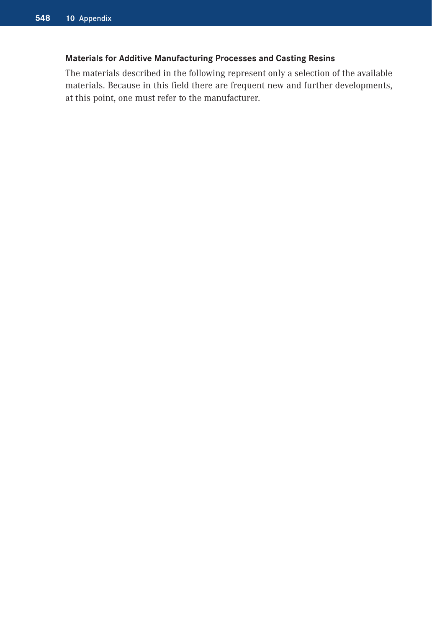#### **Materials for Additive Manufacturing Processes and Casting Resins**

The materials described in the following represent only a selection of the available materials. Because in this field there are frequent new and further developments, at this point, one must refer to the manufacturer.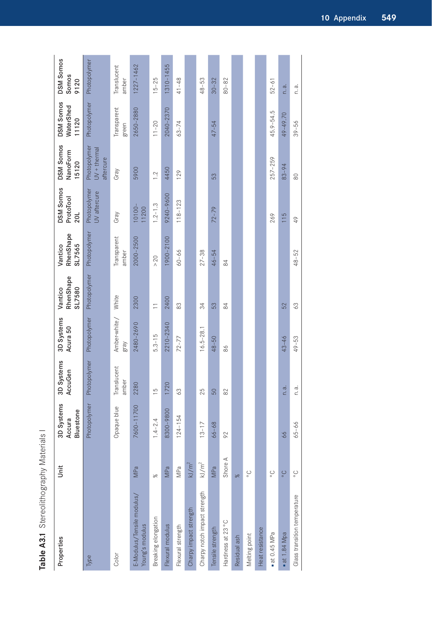| Table A3.1 Stereolithography                  | Materials            |                                   |                       |                        |                                |                                |                               |                                             |                                        |                            |
|-----------------------------------------------|----------------------|-----------------------------------|-----------------------|------------------------|--------------------------------|--------------------------------|-------------------------------|---------------------------------------------|----------------------------------------|----------------------------|
| Properties                                    | Jnit                 | 3D Systems<br>Bluestone<br>Accura | 3D Systems<br>AccuGen | 3D Systems<br>Acura 50 | RhenShape<br>SL7580<br>Vantico | RhenShape<br>SL7565<br>Vantico | DSM Somos<br>ProtoTool<br>20L | <b>DSM Somos</b><br>NanoForm<br>15120       | <b>DSM Somos</b><br>WaterShed<br>11120 | DSM Somos<br>Somos<br>9120 |
| Type                                          |                      | Photopolymer                      | Photopolymer          | Photopolymer           | Photopolymer                   | Photopolymer                   | Photopolymer<br>UV aftercure  | Photopolymer<br>$UV + thermal$<br>aftercure | Photopolymer                           | Photopolymer               |
| Color                                         |                      | Opaque blue                       | Translucent<br>amber  | Amber-white/<br>gray   | White                          | Transparent<br>amber           | Gray                          | Gray                                        | Transparent<br>green                   | Translucent<br>amber       |
| E-Modulus/Tensile modulus/<br>Young's modulus | MPa                  | 7600-11700                        | 2280                  | 2480-2690              | 2300                           | 2000-2500                      | 10100-<br>11200               | 5900                                        | 2650-2880                              | 1227-1462                  |
| Breaking elongation                           | $\approx$            | $1.4 - 2.4$                       | 5                     | $5.3 - 15$             | $\equiv$                       | > 20                           | $1.2 - 1.3$                   | 1.2                                         | $11 - 20$                              | $15 - 25$                  |
| Flexural modulus                              | MPa                  | 8300-9800                         | 1720                  | 2210-2340              | 2400                           | $900 - 2100$                   | 9240-9600                     | 4450                                        | 2040-2370                              | 1310-1455                  |
| Flexural strength                             | MPa                  | $124 - 154$                       | 63                    | $72 - 77$              | 83                             | $60 - 66$                      | $118 - 123$                   | 129                                         | $63 - 74$                              | $41 - 48$                  |
| Charpy impact strength                        | kJ/m <sup>2</sup>    |                                   |                       |                        |                                |                                |                               |                                             |                                        |                            |
| Charpy notch impact strength                  | kJ/m <sup>2</sup>    | $13 - 17$                         | 25                    | $16.5 - 28.1$          | 34                             | $27 - 38$                      |                               |                                             |                                        | $48 - 53$                  |
| Tensile strength                              | MPa                  | $66 - 68$                         | 50                    | $48 - 50$              | 53                             | $46 - 54$                      | $72 - 79$                     | 53                                          | $47 - 54$                              | $30 - 32$                  |
| Hardness at 23 °C                             | ire A<br>Sho         | 92                                | 82                    | 86                     | 84                             | 84                             |                               |                                             |                                        | $80 - 82$                  |
| Residual ash                                  | 88                   |                                   |                       |                        |                                |                                |                               |                                             |                                        |                            |
| Melting point                                 | $\circ$              |                                   |                       |                        |                                |                                |                               |                                             |                                        |                            |
| Heat resistance                               |                      |                                   |                       |                        |                                |                                |                               |                                             |                                        |                            |
| at 0.45 MPa                                   | $\frac{1}{\sqrt{2}}$ |                                   |                       |                        |                                |                                | 269                           | $257 - 259$                                 | $45.9 - 54.5$                          | $52 - 61$                  |
| <b>at 1.84 Mpa</b>                            | ပ္ပ                  | 66                                | n.a.                  | $43 - 46$              | 52                             |                                | 115                           | $83 - 94$                                   | 49-49.70                               | n. a.                      |
| Glass transition temperature                  | ပ္ပ                  | $65 - 66$                         | n.a.                  | $49 - 53$              | 63                             | $48 - 52$                      | 49                            | 80                                          | $39 - 56$                              | n.a.                       |

| $-10$                                |
|--------------------------------------|
| ה היה היה<br>١<br>5<br>くらく<br>١<br>j |
| ,<br>Š                               |
|                                      |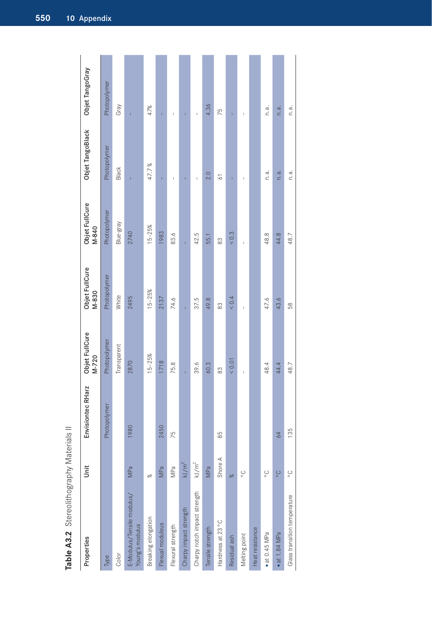| Table A3.2 Stereolithography Materials II     |                       |                   |                           |                         |                         |                  |                                                                                                                                                                                                                                                                                                                                                                                  |
|-----------------------------------------------|-----------------------|-------------------|---------------------------|-------------------------|-------------------------|------------------|----------------------------------------------------------------------------------------------------------------------------------------------------------------------------------------------------------------------------------------------------------------------------------------------------------------------------------------------------------------------------------|
| Properties                                    | Unit                  | Envisiontec RHarz | Objet FullCure<br>$M-720$ | Objet FullCure<br>M-830 | Objet FullCure<br>M-840 | Objet TangoBlack | Objet TangoGray                                                                                                                                                                                                                                                                                                                                                                  |
| Type                                          |                       | Photopolymer      | Photopolymer              | Photopolymer            | Photopolymer            | Photopolymer     | Photopolymer                                                                                                                                                                                                                                                                                                                                                                     |
| Color                                         |                       |                   | Transparent               | White                   | Blue-gray               | <b>Black</b>     | Gray                                                                                                                                                                                                                                                                                                                                                                             |
| E-Modulus/Tensile modulus/<br>Young's modulus | MPa                   | 1980              | 2870                      | 2495                    | 2740                    |                  |                                                                                                                                                                                                                                                                                                                                                                                  |
| Breaking elongation                           | $\geqslant$           |                   | $15 - 25%$                | $15 - 25%$              | $15 - 25%$              | 47.7%            | 47%                                                                                                                                                                                                                                                                                                                                                                              |
| Flexual moduleus                              | MPa                   | 2450              | 1718                      | 2137                    | 1983                    |                  |                                                                                                                                                                                                                                                                                                                                                                                  |
| Flexural strength                             | MPa                   | 75                | 75.8                      | 74.6                    | 83.6                    | $\bar{1}$        | $\mathbf{I}$                                                                                                                                                                                                                                                                                                                                                                     |
| Charpy impact strength                        | kJ/m <sup>2</sup>     |                   |                           |                         |                         | ï                | T                                                                                                                                                                                                                                                                                                                                                                                |
| Charpy notch impact strength                  | $\tilde{E}$<br>$\geq$ |                   | 39.6                      | 37.5                    | 42.5                    | $\bar{1}$        | $\begin{array}{c} \rule{0pt}{2.5ex} \rule{0pt}{2.5ex} \rule{0pt}{2.5ex} \rule{0pt}{2.5ex} \rule{0pt}{2.5ex} \rule{0pt}{2.5ex} \rule{0pt}{2.5ex} \rule{0pt}{2.5ex} \rule{0pt}{2.5ex} \rule{0pt}{2.5ex} \rule{0pt}{2.5ex} \rule{0pt}{2.5ex} \rule{0pt}{2.5ex} \rule{0pt}{2.5ex} \rule{0pt}{2.5ex} \rule{0pt}{2.5ex} \rule{0pt}{2.5ex} \rule{0pt}{2.5ex} \rule{0pt}{2.5ex} \rule{0$ |
| Tensile strength                              | MP <sub>a</sub>       |                   | 60.3                      | 49.8                    | 55.1                    | 2.0              | 4.36                                                                                                                                                                                                                                                                                                                                                                             |
| Hardness at 23 °C                             | Shore A               | 85                | 83                        | 83                      | 83                      | 5                | 75                                                                                                                                                                                                                                                                                                                                                                               |
| Residual ash                                  | $\frac{8}{5}$         |                   | 0.01                      | 0.4                     | & 0.3                   |                  | ï                                                                                                                                                                                                                                                                                                                                                                                |
| Melting point                                 | $\circ$               |                   | Ï                         |                         | Ï                       | Ï                | I                                                                                                                                                                                                                                                                                                                                                                                |
| Heat resistance                               |                       |                   |                           |                         |                         |                  |                                                                                                                                                                                                                                                                                                                                                                                  |
| at 0.45 MPa                                   | $\circ$               |                   | 48.4                      | 47.6                    | 48.8                    | n.a.             | n. a.                                                                                                                                                                                                                                                                                                                                                                            |
| <b>at 1.84 MPa</b>                            | $\circ$               | $\overline{6}$    | 44.4                      | 43.6                    | 44.8                    | n. a.            | ര്<br>d                                                                                                                                                                                                                                                                                                                                                                          |
| Glass transition temperature                  | $\circ$               | 135               | 48.7                      | 58                      | 48.7                    | n.a.             | n. a.                                                                                                                                                                                                                                                                                                                                                                            |

Table A3.2 Stereolithography Materials II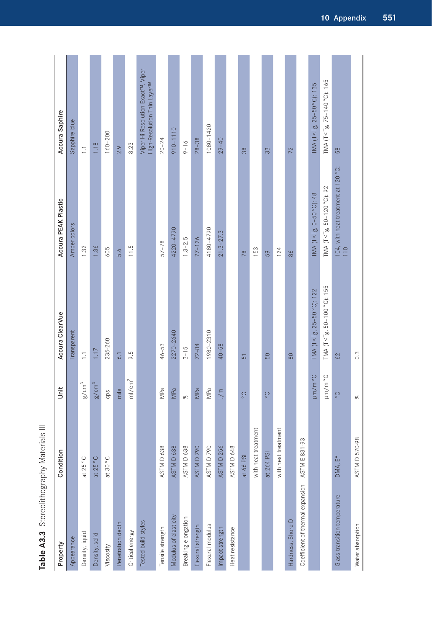| Property                                       | Condition                       | j                  | Accura ClearVue                         | Accura PEAK Plastic                                                                               | Accura Saphire                                                                  |
|------------------------------------------------|---------------------------------|--------------------|-----------------------------------------|---------------------------------------------------------------------------------------------------|---------------------------------------------------------------------------------|
| Appearance                                     |                                 |                    | Transparent                             | Amber colors                                                                                      | Sapphire blue                                                                   |
| Density, liquid                                | $25^{\circ}$ C<br>ä             | $g/cm^3$           | $\overline{a}$                          | 1.32                                                                                              | $\overline{a}$                                                                  |
| Density, solid                                 | $25^{\circ}$ C<br>$\frac{1}{2}$ | g/cm <sup>3</sup>  | 1.17                                    | 1.36                                                                                              | 1.18                                                                            |
| Viscosity                                      | 30°C<br>$\ddot{a}$              | cps                | 235-260                                 | 605                                                                                               | $160 - 200$                                                                     |
| Penetration depth                              |                                 | mils               | 6.1                                     | 5.6                                                                                               | 2.9                                                                             |
| Critical energy                                |                                 | ml/cm <sup>2</sup> | 9.5                                     | 11.5                                                                                              | 8.23                                                                            |
| Tested build styles                            |                                 |                    |                                         |                                                                                                   | Viper Hi-Resolution Exact <sup>rix</sup> , Viper<br>High-Resolution Thin Layer™ |
| Tensile strength                               | ASTM D 638                      | MPa                | $46 - 53$                               | $57 - 78$                                                                                         | $20 - 24$                                                                       |
| Modulus of elasticity                          | ASTMD 638                       | MPa                | 2270-2640                               | 4220-4790                                                                                         | 910-1110                                                                        |
| Breaking elongation                            | ASTM D 638                      | $\geqslant$        | $3 - 15$                                | $1.3 - 2.5$                                                                                       | $9 - 16$                                                                        |
| Flexural strength                              | ASTM D 790                      | MP <sub>a</sub>    | $72 - 84$                               | $77 - 126$                                                                                        | $28 - 38$                                                                       |
| Flexural modulus                               | ASTM D 790                      | MPa                | 1980-2310                               | 4180-4790                                                                                         | 1080-1420                                                                       |
| Impact strength                                | ASTMD 256                       | 1/m                | $40 - 58$                               | $21.3 - 27.3$                                                                                     | $29 - 40$                                                                       |
| Heat resistance                                | ASTM D 648                      |                    |                                         |                                                                                                   |                                                                                 |
|                                                | 66 PSI<br>$\overline{a}$        | ပ္ပ                | 51                                      | 78                                                                                                | 38                                                                              |
|                                                | with heat treatment             |                    |                                         | 153                                                                                               |                                                                                 |
|                                                | 264 PSI<br>$\frac{1}{a}$        | ပ္ပ                | 50                                      | 59                                                                                                | 33                                                                              |
|                                                | with heat treatment             |                    |                                         | 124                                                                                               |                                                                                 |
| Hardness, Shore D                              |                                 |                    | 80                                      | 86                                                                                                | 72                                                                              |
| Coefficient of thermal expansion ASTM E 831-93 |                                 |                    |                                         |                                                                                                   |                                                                                 |
|                                                |                                 | $2°$ m/m/          | TMA $(T <$ Tg, 25-50 °C): 122           | TMA (T <tg, 0-50°c):="" 48<="" td=""><td>TMA (T &lt; Tg, 25-50 °C): 135</td></tg,>                | TMA (T < Tg, 25-50 °C): 135                                                     |
|                                                |                                 | $2^{\circ}$ m/m    | TMA $(T < Tg, 50 - 100^{\circ}$ C): 155 | TMA (T <tg, 50-120°c):="" 92<="" td=""><td>TMA <math>(T &lt; Tg, 75-140°</math>C): 165</td></tg,> | TMA $(T < Tg, 75-140°$ C): 165                                                  |
| Glass transition temperature                   | DMA, E"                         | ပ္ပ                | 62                                      | 104, with heat treatment at 120°C:<br>110                                                         | 58                                                                              |
| Water absorption                               | ASTM D 570-98                   | ৯ৎ                 | $0.\overline{3}$                        |                                                                                                   |                                                                                 |

Table A3.3 Stereolithography Materials III **Table A3.3** Stereolithography Materials III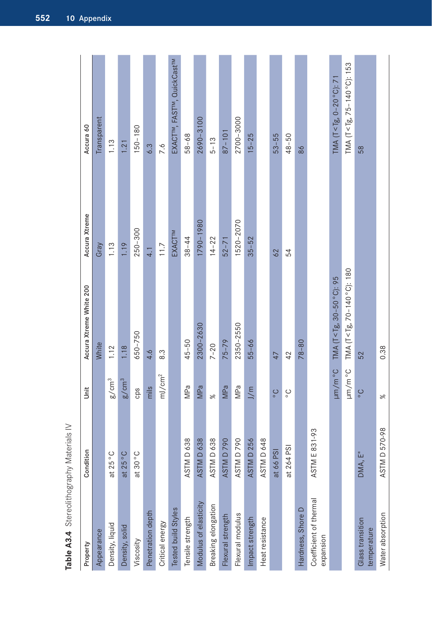| Table A3.4 Stereolithography Materials IV |                   |                     |                                                                                                                       |                           |                                                                    |
|-------------------------------------------|-------------------|---------------------|-----------------------------------------------------------------------------------------------------------------------|---------------------------|--------------------------------------------------------------------|
| Property                                  | ndition<br>Ğ      | Unit                | Accura Xtreme White 200                                                                                               | Accura Xtreme             | Accura 60                                                          |
| Appearance                                |                   |                     | White                                                                                                                 | Gray                      | Transparent                                                        |
| Density, liquid                           | 25°C<br>$\vec{a}$ | g/cm <sup>3</sup>   | 1.12                                                                                                                  | 1.13                      | 1.13                                                               |
| Density, solid                            | at 25°C           | g/cm <sup>3</sup>   | 1.18                                                                                                                  | 1.19                      | 1.21                                                               |
| Viscosity                                 | $30°$ C<br>đ      | cps                 | 650-750                                                                                                               | $250 - 300$               | 150-180                                                            |
| Penetration depth                         |                   | mils                | 4.6                                                                                                                   | 4.1                       | 6.3                                                                |
| Critical energy                           |                   | ml/cm <sup>2</sup>  | 8.3                                                                                                                   | 11.7                      | 7.6                                                                |
| Tested build Styles                       |                   |                     |                                                                                                                       | <b>EXACT<sup>IM</sup></b> | EXACT <sup>IM</sup> , FAST <sup>IM</sup> , QuickCast <sup>IM</sup> |
| Tensile strength                          | ASTMD 638         | MP <sub>a</sub>     | $45 - 50$                                                                                                             | $38 - 44$                 | $58 - 68$                                                          |
| Modulus of elasticity                     | ASTMD 638         | MP <sub>a</sub>     | 2300-2630                                                                                                             | 1790-1980                 | 2690-3100                                                          |
| Breaking elongation                       | ASTMD 638         | $\approx$           | $7 - 20$                                                                                                              | $14 - 22$                 | $5 - 13$                                                           |
| Flexural strength                         | ASTMD 790         | MPa                 | $75 - 79$                                                                                                             | $52 - 71$                 | $87 - 101$                                                         |
| Flexural modulus                          | ASTMD 790         | MPa                 | 2350-2550                                                                                                             | 1520-2070                 | 2700-3000                                                          |
| Impact strength                           | ASTM D 256        | J/m                 | $55 - 66$                                                                                                             | $35 - 52$                 | $15 - 25$                                                          |
| Heat resistance                           | ASTM D 648        |                     |                                                                                                                       |                           |                                                                    |
|                                           | at 66 PSI         | ပ္ပ                 | 47                                                                                                                    | 62                        | $53 - 55$                                                          |
|                                           | at 264 PSI        | $\mathcal{O}_\circ$ | 42                                                                                                                    | 54                        | $48 - 50$                                                          |
| Hardness, Shore D                         |                   |                     | $78 - 80$                                                                                                             |                           | 86                                                                 |
| Coefficient of thermal<br>expansion       | ASTM E 831-93     |                     |                                                                                                                       |                           |                                                                    |
|                                           |                   |                     | $\mu$ m/m°C TMA (T <tg, 30-50°c):="" 95<="" td=""><td></td><td>TMA <math>(T &lt; Tg, 0 - 20</math> °C): 71</td></tg,> |                           | TMA $(T < Tg, 0 - 20$ °C): 71                                      |
|                                           |                   | $2^{\circ}$ m/m/    | $TMA (T < Tg, 70 - 140^{\circ}C)$ : 180                                                                               |                           | TMA (T < Tg, 75-140 °C): 153                                       |
| Glass transition<br>temperature           | DMA, E"           | ပ္စ                 | 52                                                                                                                    |                           | 58                                                                 |
| Water absorption                          | ASTM D 570-98     | $\aleph$            | 0.38                                                                                                                  |                           |                                                                    |

| )<br>5<br>-<br>$-1$<br>s                                                                      |
|-----------------------------------------------------------------------------------------------|
| harman<br>١<br>.<br>C<br>C<br>C<br>C<br>C<br>C<br>C<br>C<br>C<br>C<br>C<br><br>C<br><br><br>r |
|                                                                                               |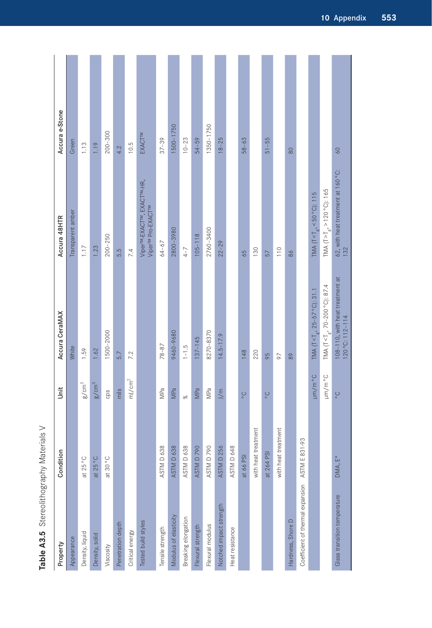| Property                         | Condition           | j                  | Accura CeraMAX                                    | Accura 48HTR                                                                                                      | Accura e-Stone |
|----------------------------------|---------------------|--------------------|---------------------------------------------------|-------------------------------------------------------------------------------------------------------------------|----------------|
| Appearance                       |                     |                    | White                                             | Transparent amber                                                                                                 | Green          |
| Density, liquid                  | at 25°C             | $\rm g/cm^3$       | 1.59                                              | 1.17                                                                                                              | 1.13           |
| Density, solid                   | 25°C<br>te          | g/cm <sup>3</sup>  | 1.62                                              | 1.23                                                                                                              | 1.19           |
| Viscosity                        | at 30°C             | cps                | 1500-2000                                         | $200 - 250$                                                                                                       | $200 - 300$    |
| Penetration depth                |                     | mils               | 5.7                                               | 5.5                                                                                                               | 4.2            |
| Critical energy                  |                     | ml/cm <sup>2</sup> | 7.2                                               | 7.4                                                                                                               | 10.5           |
| Tested build styles              |                     |                    |                                                   | Viper <sup>TM</sup> -EXACT <sup>TM</sup> , EXACT <sup>M</sup> -HR,<br>Viper <sup>TM</sup> Pro-EXACT <sup>TM</sup> | <b>EXACTM</b>  |
| Tensile strength                 | ASTMD 638           | MPa                | $78 - 87$                                         | $64 - 67$                                                                                                         | $37 - 39$      |
| Modulus of elasticity            | ASTM D 638          | MPa                | 9460-9680                                         | 2800-3980                                                                                                         | 1500-1750      |
| Breaking elongation              | ASTM D 638          | $\geqslant$        | $1 - 1.5$                                         | $4 - 7$                                                                                                           | $10 - 23$      |
| Flexural strength                | ASTM D 790          | MPa                | $137 - 145$                                       | $105 - 118$                                                                                                       | $54 - 59$      |
| Flexural modulus                 | ASTM D 790          | MPa                | 8270-8370                                         | 2760-3400                                                                                                         | 1350-1750      |
| Notched impact strength          | ASTMD 256           | 1/m                | $14.5 - 17.9$                                     | $22 - 29$                                                                                                         | $18 - 25$      |
| Heat resistance                  | ASTMD 648           |                    |                                                   |                                                                                                                   |                |
|                                  | at 66 PSI           | ပ္ပ                | 148                                               | 65                                                                                                                | $58 - 63$      |
|                                  | with heat treatment |                    | 220                                               | 130                                                                                                               |                |
|                                  | at 264 PSI          | ပ္ပ                | 95                                                | 57                                                                                                                | $51 - 55$      |
|                                  | with heat treatment |                    | 97                                                | $\frac{1}{10}$                                                                                                    |                |
| Hardness, Shore D                |                     |                    | 89                                                | 86                                                                                                                | 80             |
| Coefficient of thermal expansion | ASTM E 831-93       |                    |                                                   |                                                                                                                   |                |
|                                  |                     | $2°$ m/m/          | TMA $[T < T_g$ , 25-57°C): 31.1                   | $TMA (T < T_{\rm e}, < 50^{\circ}$ C): 115                                                                        |                |
|                                  |                     | $2^{\circ}$ u/m/   | TMA $[T < T_g$ , 70-200 °C): 87.4                 | TMA $[T > T_g$ , >120°C): 165                                                                                     |                |
| Glass transition temperature     | DMA, E"             | ပ္ပ                | 108-110, with heat treatment at<br>120°C: 112-114 | $62$ , with heat treatment at 160 °C:<br>132                                                                      | 60             |

Table A3.5 Stereolithography Materials V **Table A3.5** Stereolithography Materials V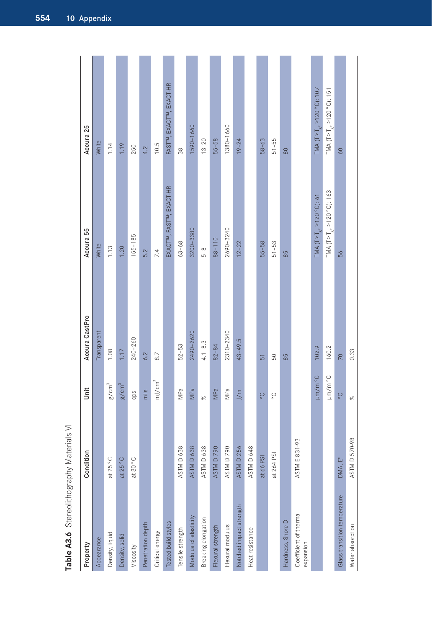| Table A3.6 Stereolithography Materials VI |               |                    |                  |                                         |                                            |
|-------------------------------------------|---------------|--------------------|------------------|-----------------------------------------|--------------------------------------------|
| Property                                  | ndition<br>š  | jit                | Accura CastPro   | Accura 55                               | Accura 25                                  |
| Appearance                                |               |                    | Transparent      | White                                   | White                                      |
| Density, liquid                           | at 25°C       | $g/cm^3$           | 1.08             | 1.13                                    | 1.14                                       |
| Density, solid                            | at 25°C       | g/cm <sup>3</sup>  | 1.17             | 1.20                                    | 1.19                                       |
| Viscosity                                 | at 30°C       | cps                | $240 - 260$      | 155-185                                 | 250                                        |
| Penetration depth                         |               | mils               | 6.2              | 5.2                                     | 4.2                                        |
| Critical energy                           |               | ml/cm <sup>2</sup> | $\overline{8.7}$ | 7.4                                     | 10.5                                       |
| Tested build styles                       |               |                    |                  | EXACTIM, FASTIM, EXACT-HR               | FASTIM, EXACTIM, EXACT-HR                  |
| Tensile strength                          | ASTM D 638    | <b>MPa</b>         | $52 - 53$        | $63 - 68$                               | 38                                         |
| Modulus of elasticity                     | ASTM D 638    | MP <sub>a</sub>    | 2490-2620        | 3200-3380                               | 1590-1660                                  |
| Breaking elongation                       | ASTM D 638    | ×                  | $4.1 - 8.3$      | $5 - 8$                                 | $13 - 20$                                  |
| Flexural strength                         | ASTM D 790    | MPa                | $82 - 84$        | $88 - 110$                              | $55 - 58$                                  |
| Flexural modulus                          | ASTM D 790    | MPa                | 2310-2340        | 2690-3240                               | 1380-1660                                  |
| Notched impact strength                   | ASTM D 256    | 1/m                | $43 - 49.5$      | $12 - 22$                               | $19 - 24$                                  |
| Heat resistance                           | ASTM D 648    |                    |                  |                                         |                                            |
|                                           | at 66 PSI     | ပ္ပ                | 51               | 55-58                                   | $58 - 63$                                  |
|                                           | at 264 PSI    | $\circ$            | 50               | $51 - 53$                               | $51 - 55$                                  |
| Hardness, Shore D                         |               |                    | 85               | 85                                      | 80                                         |
| Coefficient of thermal<br>expansion       | ASTM E 831-93 |                    |                  |                                         |                                            |
|                                           |               | $2°$ m/m/          | 102.9            | TMA $(T > T_g, >120^{\circ}$ C): 61     | TMA $(T > T_{\rm g}, >120\degree C)$ : 107 |
|                                           |               | $0o$ w/wh          | 160.2            | TMA (T > T <sub>g</sub> , >120 °C): 163 | TMA $(T > T_g, >120 °C)$ : 151             |
| Glass transition temperature              | DMA, E"       | ပ္ပ                | $\approx$        | 56                                      | 60                                         |
| Water absorption                          | ASTM D 570-98 | $\aleph$           | 0.33             |                                         |                                            |

Table A3.6 Stereolithography Materials VI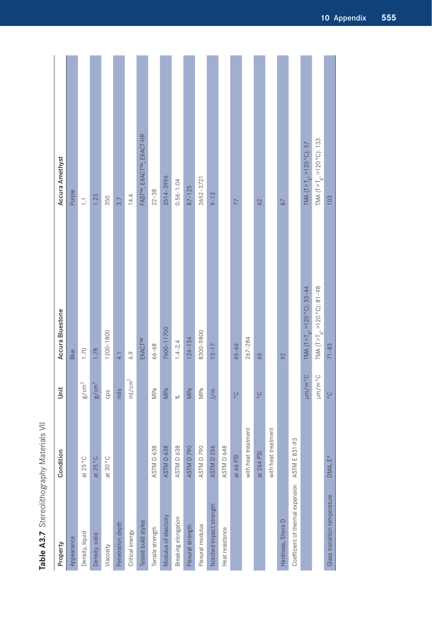| Property                         | Condition           | Jnit                 | Accura Bluestone                       | Accura Amethyst                         |
|----------------------------------|---------------------|----------------------|----------------------------------------|-----------------------------------------|
| Appearance                       |                     |                      | Blue                                   | Purple                                  |
| Density, liquid                  | at 25°C             | $g/cm^3$             | 1.70                                   | $\overline{a}$                          |
| Density, solid                   | at 25 °C            | g/cm <sup>3</sup>    | 1.78                                   | 1.23                                    |
| Viscosity                        | at 30°C             | cps                  | 1200-1800                              | 350                                     |
| Penetration depth                |                     | mils                 | 4.1                                    | 3.7                                     |
| Critical energy                  |                     | ml/cm <sup>2</sup>   | 6.9                                    | 14.4                                    |
| Tested build styles              |                     |                      | <b>EXACTM</b>                          | FASTIM, EXACTIM, EXACT-HR               |
| Tensile strength                 | ASTM D 638          | MPa                  | $66 - 68$                              | $22 - 38$                               |
| Modulus of elasticity            | ASTMD 638           | MP <sub>a</sub>      | 7600-11700                             | 3514-3996                               |
| Breaking elongation              | ASTMD 638           | ×                    | $1.4 - 2.4$                            | $0.56 - 1.04$                           |
| Flexural strength                | ASTM D 790          | MPa                  | $124 - 154$                            | $87 - 125$                              |
| Flexural modulus                 | ASTM D 790          | MP <sub>a</sub>      | 8300-9800                              | 3652-3721                               |
| Notched impact strength          | ASTMD 256           | $\frac{1}{m}$        | $13 - 17$                              | $9 - 12$                                |
| Heat resistance                  | ASTMD 648           |                      |                                        |                                         |
|                                  | at 66 PSI           | ပ္ပ                  | $65 - 66$                              | 77                                      |
|                                  | with heat treatment |                      | $267 - 284$                            |                                         |
|                                  | at 264 PSI          | ပ္ပ                  | 65                                     | 62                                      |
|                                  | with heat treatment |                      |                                        |                                         |
| Hardness, Shore D                |                     |                      | 92                                     | 87                                      |
| Coefficient of thermal expansion | ASTM E 831-93       |                      |                                        |                                         |
|                                  |                     | D <sub>o</sub> W/url | TMA $(T > T_o, >120°C)$ : 33-44        | TMA $[T > T_{\sigma}$ , >120 °C): 57    |
|                                  |                     | $2^{\circ}$ m/m/     | TMA $(T > T_g, >120^{\circ}$ C): 81-98 | TMA (T > T <sub>g</sub> , >120 °C): 133 |
| Glass transition temperature     | DMA, E''            | ပ္ပ                  | $71 - 83$                              | 103                                     |

Table A3.7 Stereolithography Materials VII **Table A3.7** Stereolithography Materials VII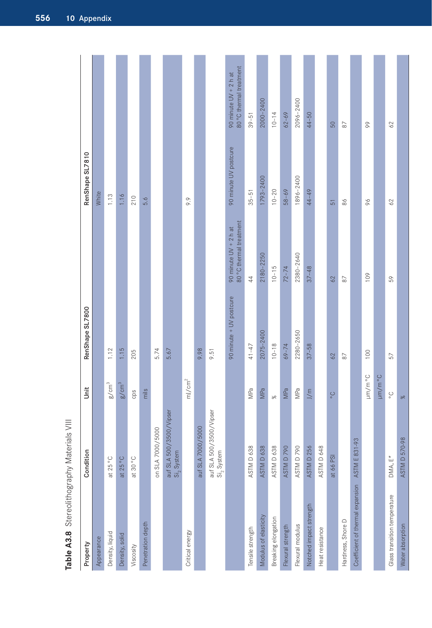| Table A3.8 Stereolithography     | Materials VIII                                    |                    |                         |                                                  |                       |                                                    |
|----------------------------------|---------------------------------------------------|--------------------|-------------------------|--------------------------------------------------|-----------------------|----------------------------------------------------|
| Property                         | Condition                                         | j                  | RenShape SL7800         |                                                  | RenShape SL7810       |                                                    |
| Appearance                       |                                                   |                    |                         |                                                  | White                 |                                                    |
| Density, liquid                  | at 25 °C                                          | $g/cm^3$           | 1.12                    |                                                  | 1.13                  |                                                    |
| Density, solid                   | at 25 °C                                          | g/cm <sup>3</sup>  | 1.15                    |                                                  | 1.16                  |                                                    |
| Viscosity                        | at 30°C                                           | cps                | 205                     |                                                  | 210                   |                                                    |
| Penetration depth                |                                                   | mils               |                         |                                                  | 5.6                   |                                                    |
|                                  | on SLA 7000/5000                                  |                    | 5.74                    |                                                  |                       |                                                    |
|                                  | auf SLA 500/3500/Vipser<br>Si <sub>2</sub> System |                    | 5.67                    |                                                  |                       |                                                    |
| Critical energy                  |                                                   | $\mathrm{mJ/cm}^2$ |                         |                                                  | 9.9                   |                                                    |
|                                  | auf SLA 7000/5000                                 |                    | 9.98                    |                                                  |                       |                                                    |
|                                  | auf SLA 500/3500/Vipser<br>Si <sub>2</sub> System |                    | 9.51                    |                                                  |                       |                                                    |
|                                  |                                                   |                    | 90 minute + UV postcure | 80°C thermal treatment<br>90 minute $UV + 2h$ at | 90 minute UV postcure | 90 minute UV $+ 2 h$ at<br>80 °C thermal treatment |
| Tensile strength                 | D 638<br>ASTM                                     | MPa                | $41 - 47$               | 44                                               | $35 - 51$             | $39 - 51$                                          |
| Modulus of elasticity            | D 638<br><b>ASTM</b>                              | MPa                | 2075-2400               | 2180-2250                                        | 1793-2400             | 2000-2400                                          |
| Breaking elongation              | D 638<br>ASTM                                     | $\aleph$           | $10 - 18$               | $10 - 15$                                        | $10 - 20$             | $10 - 14$                                          |
| Flexural strength                | ID 790<br>ASTM                                    | MPa                | $69 - 74$               | $72 - 74$                                        | $58 - 69$             | $62 - 69$                                          |
| Flexural modulus                 | D 790<br>ASTM                                     | MPa                | 2280-2650               | 2380-2640                                        | 1896-2400             | 2096-2400                                          |
| Notched impact strength          | D 256<br><b>ASTM</b>                              | 1/m                | $37 - 58$               | $37 - 48$                                        | 44-49                 | $44 - 50$                                          |
| Heat resistance                  | D 648<br>ASTM                                     |                    |                         |                                                  |                       |                                                    |
|                                  | PSI<br>at 66                                      | ပ္ပ                | 62                      | 62                                               | 51                    | 50                                                 |
| Hardness, Shore D                |                                                   |                    | $\rm 87$                | $\overline{8}$                                   | $86$                  | $\overline{8}$                                     |
| Coefficient of thermal expansion | E 831-93<br>ASTM                                  |                    |                         |                                                  |                       |                                                    |
|                                  |                                                   | $2^{\circ}$ u/m/   | 100                     | 109                                              | 96                    | $\delta$                                           |
|                                  |                                                   | $2^{\circ}$ m/mu   |                         |                                                  |                       |                                                    |
| Glass transition temperature     | Ë.<br>DMA,                                        | °                  | 57                      | S9                                               | 62                    | $62$                                               |
| Water absorption                 | ASTM D 570-98                                     | $\aleph$           |                         |                                                  |                       |                                                    |

Table A3.8 Stereolithography Materials VIII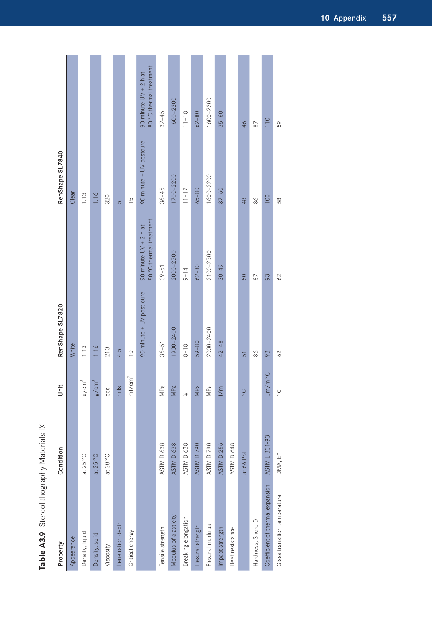|                                           | RenShape SL7840<br>RenShape SL7820<br>ji | Clear<br>White | 1.13<br>1.13<br>$g/cm^3$ | 1.16<br>1.16<br>g/cm <sup>3</sup> | 320<br>210<br>cps                                                                             | ဖ<br>4.5<br>mils  | $\frac{5}{1}$<br>$\frac{1}{2}$<br>ml/cm <sup>2</sup> | 80°C thermal treatment<br>90 minute $UV + 2h$ at<br>90 minute + UV postcure<br>80°C thermal treatment<br>90 minute $UV + 2h$ at<br>90 minute + UV post-cure | $37 - 45$<br>$36 - 45$<br>$39 - 51$<br>$36 - 51$<br>MPa | 1600-2200<br>1700-2200<br>2000-2500<br>1900-2400<br>MPa | $11 - 18$<br>$11 - 17$<br>$9 - 14$<br>$8 - 18$<br>$\geqslant$ | $62 - 80$<br>$65 - 80$<br>$62 - 80$<br>$59 - 80$<br>MPa | 1600-2200<br>1600-2200<br>2100-2500<br>2000-2400<br>MPa | $35 - 60$<br>$37 - 60$<br>$30 - 49$<br>$42 - 48$<br>J/m |                 | 46<br>48<br>50<br>5<br>ပ္ပ | 87<br>86<br>87<br>86 | 110<br>100<br>93<br>93<br>$2°$ m/m | 59<br>58<br>62<br>62<br>ပ္ပ  |
|-------------------------------------------|------------------------------------------|----------------|--------------------------|-----------------------------------|-----------------------------------------------------------------------------------------------|-------------------|------------------------------------------------------|-------------------------------------------------------------------------------------------------------------------------------------------------------------|---------------------------------------------------------|---------------------------------------------------------|---------------------------------------------------------------|---------------------------------------------------------|---------------------------------------------------------|---------------------------------------------------------|-----------------|----------------------------|----------------------|------------------------------------|------------------------------|
|                                           |                                          |                |                          |                                   |                                                                                               |                   |                                                      |                                                                                                                                                             |                                                         |                                                         |                                                               |                                                         |                                                         |                                                         |                 |                            |                      |                                    |                              |
|                                           | Condition                                |                | 25°C<br>ᄫ                | 25°C<br>₹                         | $\ensuremath{\mathsf{O}}\xspace\ensuremath{^\circ}\xspace\ensuremath{\mathsf{C}}\xspace$<br>ਨ |                   |                                                      |                                                                                                                                                             | ASTM D 638                                              | ASTM D 638                                              | ASTM D 638                                                    | ASTM D 790                                              | ASTM D 790                                              | ASTM D 256                                              | ASTM D 648      | 66 PSI<br>ᄫ                |                      | ASTM E 831-93                      | DMA, $E''$                   |
| Table A3.9 Stereolithography Materials IX | Property                                 | Appearance     | Density, liquid          | Density, solid                    | Viscosity                                                                                     | Penetration depth | Critical energy                                      |                                                                                                                                                             | Tensile strength                                        | Modulus of elasticity                                   | Breaking elongation                                           | Flexural strength                                       | Flexural modulus                                        | Impact strength                                         | Heat resistance |                            | Hardness, Shore D    | Coefficient of thermal expansion   | Glass transition temperature |

| ١<br>d<br>į<br>$\frac{1}{2}$<br>i       |
|-----------------------------------------|
|                                         |
|                                         |
|                                         |
|                                         |
| $\overline{\phantom{a}}$<br>į<br>S<br>i |
|                                         |
| Š                                       |
|                                         |
| ١                                       |
|                                         |
| ;                                       |
|                                         |
|                                         |
|                                         |
|                                         |
|                                         |
|                                         |
|                                         |
| ı                                       |
| ֧֚֚֝<br>֧֚֚֝<br>֧֖֖֚֚֝֝֝֬֝֝֬֝֬ <u>֚</u> |
|                                         |
| ı                                       |
|                                         |
| ;<br>$\overline{a}$                     |
|                                         |
|                                         |
|                                         |
|                                         |
| ١                                       |
| م<br>م                                  |
|                                         |
|                                         |
|                                         |
|                                         |
|                                         |
|                                         |
|                                         |
|                                         |
|                                         |
|                                         |
|                                         |
|                                         |
|                                         |
|                                         |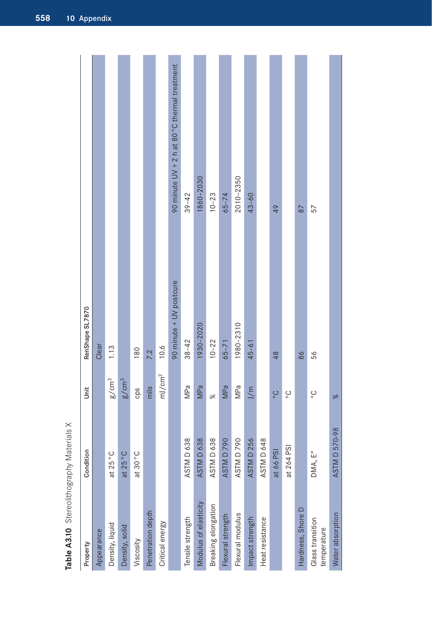| Table A3.10 Stereolithography Materials X |               |                    |                         |                                               |
|-------------------------------------------|---------------|--------------------|-------------------------|-----------------------------------------------|
| Property                                  | Condition     | j                  | RenShape SL7870         |                                               |
| Appearance                                |               |                    | Clear                   |                                               |
| Density, liquid                           | at 25°C       | g/cm <sup>3</sup>  | 1.13                    |                                               |
| Density, solid                            | at 25 °C      | g/cm <sup>3</sup>  |                         |                                               |
| Viscosity                                 | at 30°C       | cps                | 180                     |                                               |
| Penetration depth                         |               | mils               | 7.2                     |                                               |
| Critical energy                           |               | ml/cm <sup>2</sup> | 10.6                    |                                               |
|                                           |               |                    | 90 minute + UV postcure | 90 minute UV + 2 h at 80 °C thermal treatment |
| Tensile strength                          | ASTMD 638     | MPa                | $38 - 42$               | $39 - 42$                                     |
| Modulus of elasticity                     | ASTMD 638     | MPa                | 1930-2020               | 1860-2030                                     |
| Breaking elongation                       | ASTMD 638     | $\approx$          | $10 - 22$               | $10 - 23$                                     |
| Flexural strength                         | ASTM D 790    | MPa                | $65 - 71$               | $65 - 74$                                     |
| Flexural modulus                          | ASTMD790      | MPa                | 1980-2310               | $2010 - 2350$                                 |
| Impact strength                           | ASTM D 256    | $\frac{m}{l}$      | $45 - 61$               | $43 - 60$                                     |
| Heat resistance                           | ASTMD 648     |                    |                         |                                               |
|                                           | at 66 PSI     | ပ္၀                | 48                      | 49                                            |
|                                           | at 264 PSI    | $\circ$            |                         |                                               |
| Hardness, Shore D                         |               |                    | 86                      | 87                                            |
| Glass transition<br>temperature           | DMA, E''      | ပ္စ                | 56                      | 57                                            |
| Water absorption                          | ASTM D 570-98 | $\approx$          |                         |                                               |

Table A3.10 Stereolithography Materials X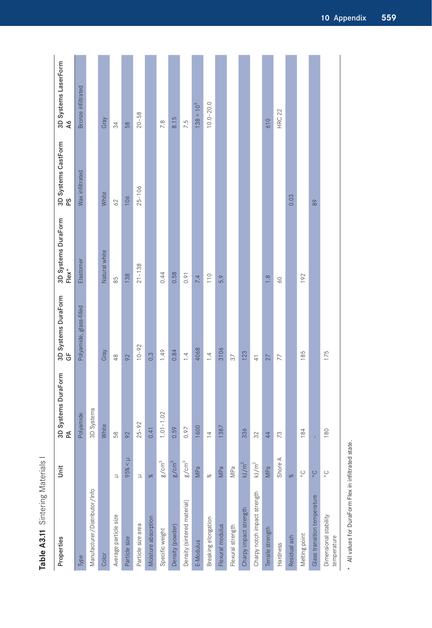| Properties                           | jiit                              |                          | 3D Systems DuraForm     | 3D Systems DuraForm | 3D Systems CastForm | 3D Systems LaserForm |
|--------------------------------------|-----------------------------------|--------------------------|-------------------------|---------------------|---------------------|----------------------|
|                                      |                                   | 3D Systems DuraForm<br>Æ | უ<br>ი                  | Flex*               | PS.                 | $\overline{4}$       |
| Type                                 |                                   | Polyamide                | Polyamide, glass-filled | Elastomer           | Wax infiltrated     | Bronze infiltrated   |
| Manufacturer/Distributor/Info        |                                   | 3D Systems               |                         |                     |                     |                      |
| Color                                |                                   | White                    | Gray                    | Natural white       | White               | Gray                 |
| Average particle size                | <sub>1</sub>                      | 58                       | 48                      | 85                  | 62                  | 34                   |
| Particle size                        | $95\% < \mu$                      | 92                       | 92                      | 138                 | 106                 | 58                   |
| Particle size area                   | $\equiv$                          | $25 - 92$                | $10 - 92$               | $21 - 138$          | $25 - 106$          | $20 - 58$            |
| Moisture absorption                  | $\approx$                         | 0.41                     | 0.3                     |                     |                     |                      |
| Specific weight                      | $\mathrm{cm}^3$<br>$\frac{1}{60}$ | $1.01 - 1.02$            | 1.49                    | 0.44                |                     | 7.8                  |
| Density (powder)                     | $\frac{3}{2}$<br>$\tilde{\omega}$ | 0.59                     | 0.84                    | 0.58                |                     | 8.15                 |
| Density (sintered material)          | /cm <sup>3</sup><br>ಎ             | 0.97                     | $\frac{1}{4}$           | 0.91                |                     | 7.5                  |
| E-Modulus                            | MP <sub>a</sub>                   | 1600                     | 4068                    | 7.4                 |                     | $138 \times 10^{3}$  |
| Breaking elongation                  | $\geqslant$                       | $\overline{4}$           | $\frac{1}{4}$           | 110                 |                     | $10.0 - 20.0$        |
| Flexural modulus                     | MPa                               | 1387                     | 3106                    | 5.9                 |                     |                      |
| Flexural strength                    | MPa                               |                          | 37                      |                     |                     |                      |
| Charpy impact strength               | kJ/m <sup>2</sup>                 | 336                      | 123                     |                     |                     |                      |
| Charpy notch impact strength         | kJ/m <sup>2</sup>                 | 32                       | $\frac{1}{4}$           |                     |                     |                      |
| Tensile strength                     | MPa                               | 44                       | 27                      | 1.8                 |                     | 610                  |
| Hardness                             | Shore A                           | 73                       | 77                      | $\circ$             |                     | <b>HRC 22</b>        |
| Residual ash                         | $\approx$                         |                          |                         |                     | 0.03                |                      |
| Melting point                        | $\circ$                           | 184                      | 185                     | 192                 |                     |                      |
| Glass transition temperature         | $\circ$                           |                          |                         |                     | 89                  |                      |
| Dimensional stability<br>temperature | $\circ$                           | 180                      | 175                     |                     |                     |                      |
|                                      |                                   |                          |                         |                     |                     |                      |

Table A3.11 Sintering Materials I **Table A3.11** Sintering Materials I

\* All values for DuraForm Flex in infiltrated state. All values for DuraForm Flex in infiltrated state.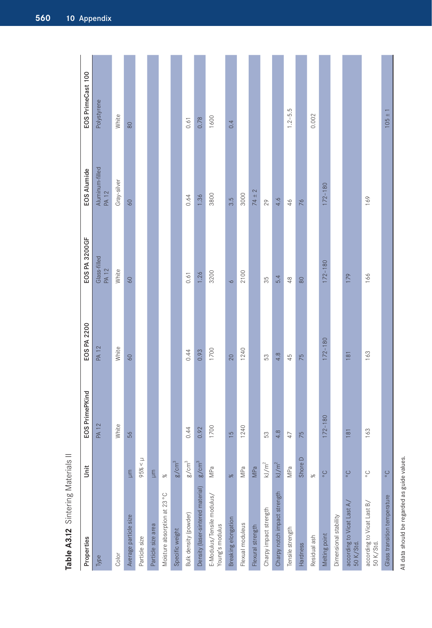| Table A3.12 Sintering Materials II            |                                   |                |             |                       |                          |                   |
|-----------------------------------------------|-----------------------------------|----------------|-------------|-----------------------|--------------------------|-------------------|
| Properties                                    | Unit                              | EOS PrimePKind | EOS PA 2200 | EOS PA 3200GF         | EOS Alumide              | EOS PrimeCast 100 |
| Type                                          |                                   | PA 12          | PA 12       | Glass-filled<br>PA 12 | Aluminum-filled<br>PA 12 | Polystyrene       |
| Color                                         |                                   | White          | White       | White                 | Gray-silver              | White             |
| Average particle size                         | $\overline{\Xi}$                  | 56             | 60          | 60                    | 60                       | 80                |
| Particle size                                 | $\stackrel{\square}{\vee}$<br>95% |                |             |                       |                          |                   |
| Particle size area                            | $\overline{\Xi}$                  |                |             |                       |                          |                   |
| Moisture absorption at 23°C                   | $\gg$                             |                |             |                       |                          |                   |
| Specific weight                               | g/cm <sup>3</sup>                 |                |             |                       |                          |                   |
| Bulk density (powder)                         | g/cm <sup>3</sup>                 | 0.44           | 0.44        | 0.61                  | 0.64                     | 0.61              |
| Density (laser-sintered material)             | g/cm <sup>3</sup>                 | 0.92           | 0.93        | 1.26                  | 1.36                     | 0.78              |
| E-Modulus/Tensile modulus/<br>Young's modulus | MPa                               | 1700           | 1700        | 3200                  | 3800                     | 1600              |
| Breaking elongation                           | $\approx$                         | $\frac{6}{15}$ | 20          | $\circ$               | $3.\overline{5}$         | 0.4               |
| Flexual moduleus                              | MPa                               | 1240           | 1240        | 2100                  | 3000                     |                   |
| Flexural strength                             | MP <sub>a</sub>                   |                |             |                       | $74 \pm 2$               |                   |
| Charpy impact strength                        | $kJ/m^2$                          | S3             | 53          | 35                    | 29                       |                   |
| Charpy notch impact strength                  | kJ/m <sup>2</sup>                 | 4.8            | 4.8         | 5.4                   | 4.6                      |                   |
| Tensile strength                              | MPa                               | 47             | 45          | 48                    | 46                       | $1.2 - 5.5$       |
| Hardness                                      | Shore D                           | 75             | 75          | 80                    | 76                       |                   |
| Residual ash                                  | $\gg$                             |                |             |                       |                          | 0.002             |
| Melting point                                 | $\circ$                           | $172 - 180$    | $172 - 180$ | $172 - 180$           | $172 - 180$              |                   |
| Dimensional stability                         |                                   |                |             |                       |                          |                   |
| according to Vicat Last A/<br>50 K/Std.       | ပ္ပ                               | 181            | 181         | 179                   |                          |                   |
| according to Vicat Last B/<br>50 K/Std.       | $\circ$                           | 163            | 163         | 166                   | 169                      |                   |
| Glass transition temperature                  | ့                                 |                |             |                       |                          | $105 \pm 1$       |
|                                               |                                   |                |             |                       |                          |                   |

Table A3.12 Sintering Materials II

All data should be regarded as guide values. All data should be regarded as guide values.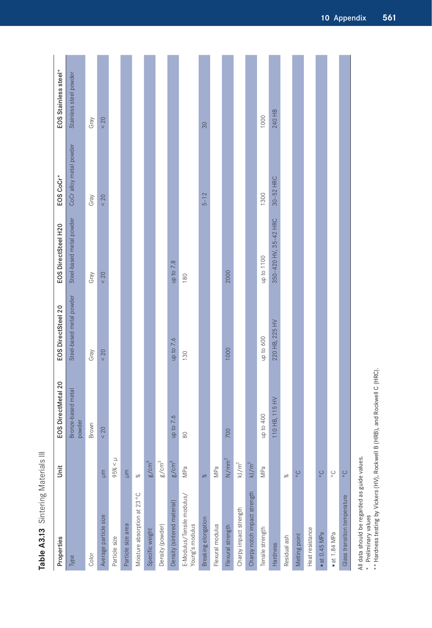| ċ<br>í<br>:<br>j                |
|---------------------------------|
| þ<br>n<br>؟<br>ة<br>¢<br>i<br>C |
| ï                               |
|                                 |

| Properties                                       | j                 | EOS DirectMetal 20           | EOS DirectSteel 20       | EOS DirectSteel H20      | EOS CoCr*              | EOS Stainless steel*   |
|--------------------------------------------------|-------------------|------------------------------|--------------------------|--------------------------|------------------------|------------------------|
| Type                                             |                   | Bronze-based metal<br>powder | Steel-based metal powder | Steel-based metal powder | CoCralloy metal powder | Stainless steel powder |
| Color                                            |                   | Brown                        | Gray                     | Gray                     | Gray                   | Gray                   |
| Average particle size                            | $\overline{\Xi}$  | $< 20$                       | < 20                     | $< 20$                   | $< 20$                 | < 20                   |
| Particle size                                    | $95\% < \mu$      |                              |                          |                          |                        |                        |
| Particle size area                               | $rac{E}{2}$       |                              |                          |                          |                        |                        |
| Moisture absorption at 23°C                      | $\gg$             |                              |                          |                          |                        |                        |
| Specific weight                                  | g/cm <sup>3</sup> |                              |                          |                          |                        |                        |
| Density (powder)                                 | $\rm g/cm^3$      |                              |                          |                          |                        |                        |
| Density (sintered material)                      | g/cm <sup>3</sup> | up to 7.6                    | up to 7.6                | up to 7.8                |                        |                        |
| E-Modulus/Tensile modulus/<br>Young's modulus    | MPa               | 80                           | 130                      | 180                      |                        |                        |
| Breaking elongation                              | $\approx$         |                              |                          |                          | $5 - 12$               | 30                     |
| Flexural modulus                                 | NPa               |                              |                          |                          |                        |                        |
| Flexural strength                                | N/mm <sup>2</sup> | 700                          | 1000                     | 2000                     |                        |                        |
| Charpy impact strength                           | kJ/m <sup>2</sup> |                              |                          |                          |                        |                        |
| Charpy notch impact strength                     | kJ/m <sup>2</sup> |                              |                          |                          |                        |                        |
| Tensile strength                                 | MP <sub>a</sub>   | up to 400                    | up to 600                | up to 1100               | 1300                   | 1000                   |
| Hardness                                         |                   | 110 HB, 115 HV               | 220 HB, 225 HV           | 350-420 HV, 35-42 HRC    | 30-52 HRC              | 240 HB                 |
| Residual ash                                     | $\geqslant$       |                              |                          |                          |                        |                        |
| Melting point                                    | $\overline{O}$    |                              |                          |                          |                        |                        |
| Heat resistance                                  |                   |                              |                          |                          |                        |                        |
| at 0.45 MPa                                      | ပ္ပ               |                              |                          |                          |                        |                        |
| at 1.84 MPa                                      | $\circ$           |                              |                          |                          |                        |                        |
| Glass transition temperature                     | $\circ$           |                              |                          |                          |                        |                        |
| أميد ملائنية مواطن معتمدة مطاطلين مامي مدمله الق |                   |                              |                          |                          |                        |                        |

All data should be regarded as guide values.

Preliminary values

All data should be regarded as guide values.<br>\* Preliminary values<br>\*\* Hardness testing by Vickers (HV), Rockwell B (HRB), and Rockwell C (HRC). \*\* Hardness testing by Vickers (HV), Rockwell B (HRB), and Rockwell C (HRC).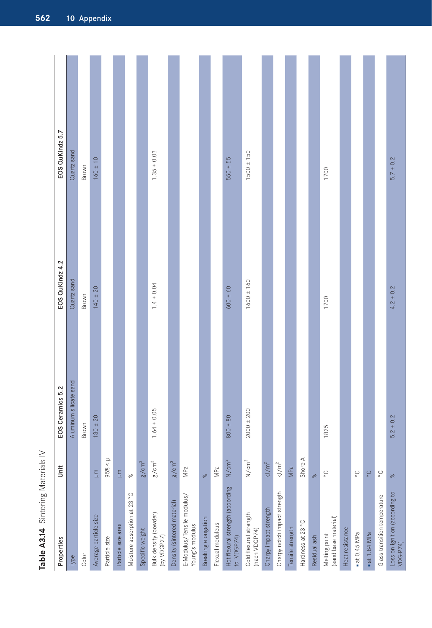| Table A3.14 Sintering Materials IV             |                     |                        |                 |                 |
|------------------------------------------------|---------------------|------------------------|-----------------|-----------------|
| Properties                                     | jnit                | EOS Ceramics 5.2       | EOS QuKindz 4.2 | EOS QuKindz 5.7 |
| Type                                           |                     | Aluminum silicate sand | Quartz sand     | Quartz sand     |
| Color                                          |                     | Brown                  | Brown           | Brown           |
| Average particle size                          | $\overline{\Xi}$    | $130 \pm 20$           | $140 \pm 20$    | $160 \pm 10$    |
| Particle size                                  | $95\% < \mu$        |                        |                 |                 |
| Particle size area                             | $\overline{\Xi}$    |                        |                 |                 |
| Moisture absorption at 23 °C                   | $\approx$           |                        |                 |                 |
| Specific weight                                | g/cm <sup>3</sup>   |                        |                 |                 |
| Bulk density (powder)<br>(by VDGP27)           | g/cm <sup>3</sup>   | $1.64 \pm 0.05$        | $1.4 \pm 0.04$  | $1.35 \pm 0.03$ |
| Density (sintered material)                    | g/cm <sup>3</sup>   |                        |                 |                 |
| E-Modulus/Tensile modulus/<br>Young's modulus  | MPa                 |                        |                 |                 |
| Breaking elongation                            | æ                   |                        |                 |                 |
| Flexual moduleus                               | MPa                 |                        |                 |                 |
| Hot flexural strength (according<br>to VDGP74) | N/cm                | $800 \pm 80$           | $600 \pm 60$    | $550 \pm 55$    |
| Cold flexural strength<br>(nach VDGP74)        | $N/cm^2$            | $2000 \pm 200$         | $1600 \pm 160$  | $1500 \pm 150$  |
| Charpy impact strength                         | kJ/m <sup>2</sup>   |                        |                 |                 |
| Charpy notch impact strength                   | kJ/m <sup>2</sup>   |                        |                 |                 |
| Tensile strength                               | MPa                 |                        |                 |                 |
| Hardness at 23 °C                              | Shore A             |                        |                 |                 |
| Residual ash                                   | $\gg$               |                        |                 |                 |
| (sand base material)<br>Melting point          | $\circ$             | 1825                   | 1700            | 1700            |
| Heat resistance                                |                     |                        |                 |                 |
| at 0.45 MPa                                    | $_{\circ}^{\circ}$  |                        |                 |                 |
| at 1.84 MPa                                    | $\mathcal{O}_\circ$ |                        |                 |                 |
| Glass transition temperature                   | $_{\circ}^{\circ}$  |                        |                 |                 |
| Loss on ignition (according to<br>VDG-P74)     | $\aleph$            | $5.2 \pm 0.2$          | $4.2 \pm 0.2$   | $5.7 \pm 0.2$   |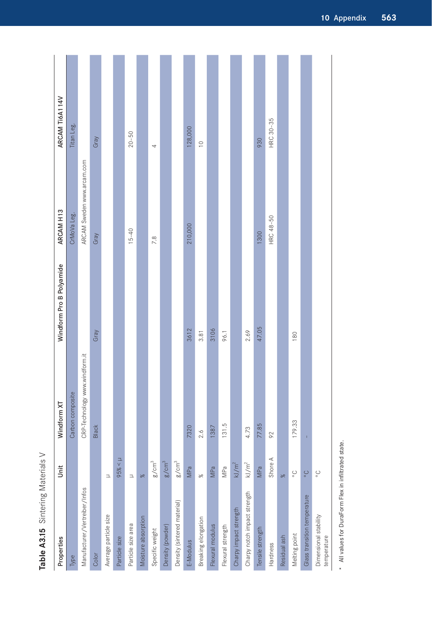| Table A3.15 Sintering Materials V    |                             |                                |                          |                            |                |
|--------------------------------------|-----------------------------|--------------------------------|--------------------------|----------------------------|----------------|
| Properties                           | jsit                        | Windform XT                    | Windform Pro B Polyamide | ARCAM H13                  | ARCAM TI6A114V |
| Type                                 |                             | Carbon composite               |                          | CrMoVa Leg.                | Titan Leg.     |
| Manufacturer/Vertreiber/Infos        |                             | CRP-Technology www.windform.it |                          | ARCAM Sweden www.arcam.com |                |
| Color                                |                             | <b>Black</b>                   | Gray                     | Gray                       | Gray           |
| Average particle size                | $\Rightarrow$               |                                |                          |                            |                |
| Particle size                        | $\frac{1}{\sqrt{2}}$<br>95% |                                |                          |                            |                |
| Particle size area                   | $\equiv$                    |                                |                          | $15 - 40$                  | $20 - 50$      |
| Moisture absorption                  | 88                          |                                |                          |                            |                |
| Specific weight                      | $g/cm^3$                    |                                |                          | 7.8                        | 4              |
| Density (powder)                     | g/cm <sup>3</sup>           |                                |                          |                            |                |
| Density (sintered material)          | $g/cm^3$                    |                                |                          |                            |                |
| E-Modulus                            | MPa                         | 7320                           | 3612                     | 210,000                    | 128,000        |
| Breaking elongation                  | $\approx$                   | 2.6                            | 3.81                     |                            | $\frac{1}{2}$  |
| Flexural modulus                     | MPa                         | 1387                           | 3106                     |                            |                |
| Flexural strength                    | MPa                         | 131.5                          | 96.1                     |                            |                |
| Charpy impact strength               | kJ/m <sup>2</sup>           |                                |                          |                            |                |
| Charpy notch impact strength         | $kJ/m^2$                    | 4.73                           | 2.69                     |                            |                |
| Tensile strength                     | MPa                         | 77.85                          | 47.05                    | 1300                       | 930            |
| Hardness                             | Shore A                     | 92                             |                          | HRC 48-50                  | HRC 30-35      |
| Residual ash                         | $\approx$                   |                                |                          |                            |                |
| Melting point                        | $\circ$                     | 179.33                         | 180                      |                            |                |
| Glass transition temperature         | $\circ$                     |                                |                          |                            |                |
| Dimensional stability<br>temperature | $\circ$                     |                                |                          |                            |                |
|                                      |                             |                                |                          |                            |                |

\* All values for DuraForm Flex in infiltrated state. All values for DuraForm Flex in infiltrated state.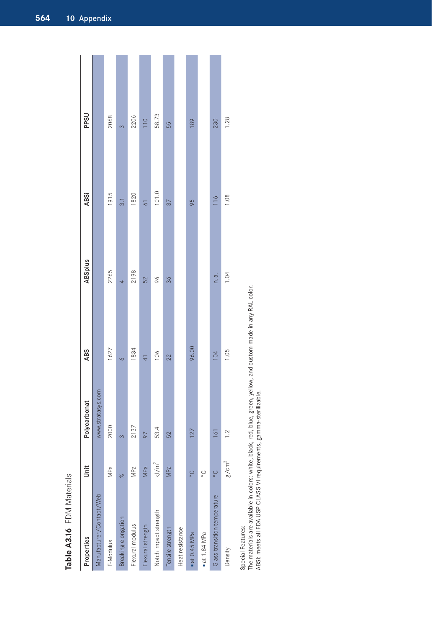| တ<br>ᡕ<br>ate <sub>i</sub><br>ž |
|---------------------------------|
| MQ<br>Ш.                        |
| $\bullet$<br>۳<br>43.           |
| Φ<br>āb,                        |

| Table A3.16 FDM Materials    |                      |                   |               |                |                  |             |
|------------------------------|----------------------|-------------------|---------------|----------------|------------------|-------------|
| Properties                   | Unit                 | Polycarbonat      | <b>ABS</b>    | ABSplus        | <b>ABSi</b>      | <b>DPSU</b> |
| Manufacturer/Contact/Web     |                      | www.stratasys.com |               |                |                  |             |
| E-Modulus                    | MPa                  | 2000              | 1627          | 2265           | 1915             | 2068        |
| Breaking elongation          | ৯ৎ                   | က                 | $\circ$       |                | $\overline{3}$ . | က           |
| Flexural modulus             | MPa                  | 2137              | 1834          | 2198           | 1820             | 2206        |
| Flexural strength            | MP <sub>a</sub>      | 97                | $\frac{1}{4}$ | 52             | $\overline{61}$  | 110         |
| Notch impact strength        | kJ/m <sup>2</sup>    | 53.4              | 106           | 6 <sup>o</sup> | 101.0            | 58.73       |
| Tensile strength             | MP <sub>a</sub>      | 52                | 22            | 36             | 37               | 55          |
| Heat resistance              |                      |                   |               |                |                  |             |
| at 0.45 MPa                  | $\circ$              | 127               | 96.00         |                | 95               | 189         |
| at 1.84 MPa                  | $_{\circ}^{\circ}$   |                   |               |                |                  |             |
| Glass transition temperature | ပ္ပ                  | 161               | 104           | n. a.          | 116              | 230         |
| Density                      | $\overline{5}$<br>50 | 1.2               | 1.05          | 1.04           | 1.08             | 1.28        |
|                              |                      |                   |               |                |                  |             |

Special Features: Special Features:

The materials are available in colors: white, black, red, blue, green, yellow, and custom-made in any RAL color.<br>ABSI: meets all FDA USP CLASS VI requirements, gamma-sterilizable. The materials are available in colors: white, black, red, blue, green, yellow, and custom-made in any RAL color. ABSi: meets all FDA USP CLASS VI requirements, gamma-sterilizable.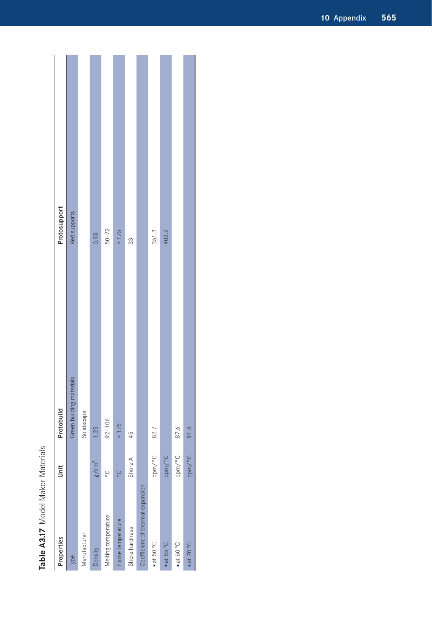| $-20.20$    |  |
|-------------|--|
|             |  |
| ś           |  |
| d<br>7<br>e |  |
| ¢<br>ï      |  |
| ı           |  |

| Properties                       | Unit                    | Protobuild               | Protosupport |
|----------------------------------|-------------------------|--------------------------|--------------|
| Type                             |                         | Green building materials | Red supports |
| Manufacturer                     |                         | Solidscape               |              |
| Density                          | g/cm <sup>3</sup>       | 1.25                     | 0.93         |
| Melting temperature              | ပ္ပ                     | $92 - 106$               | $50 - 72$    |
| Flame temperature                | ပ္ပ                     | $>175$                   | $>175$       |
| Shore hardness                   | $\leq$<br>Shore         | 45                       | 33           |
| Coefficient of thermal expansion |                         |                          |              |
| $0.05$ is $\bullet$              | ppm/°C                  | 82.7                     | 351.3        |
| $-$ at 55 $\degree$ C            | $rac{C}{\circ}$<br>ppm/ |                          | 403.2        |
| $\sim 0.09$ pe $\blacksquare$    | ppm/°C                  | 87.6                     |              |
| $-$ at 70 $\degree$ C            | ပ္ပံ<br>ppm/            | 91.4                     |              |
|                                  |                         |                          |              |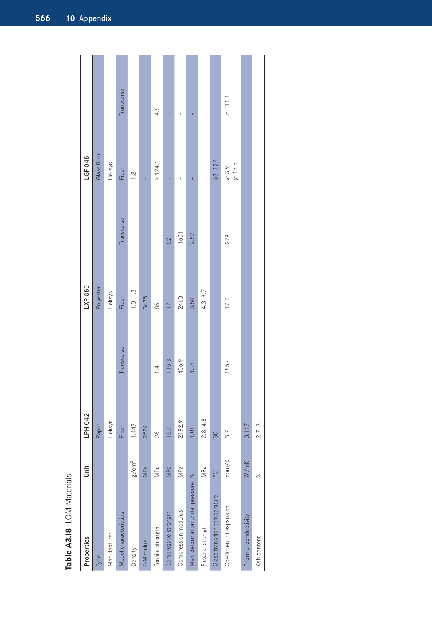| Ľ<br>כי<br>eueria<br>5<br>NO         |  |
|--------------------------------------|--|
| $\frac{8}{2}$<br>ă<br>Q<br>$\vec{a}$ |  |

| Table A3.18 LOM Materials       |                   |                     |                |            |                   |            |
|---------------------------------|-------------------|---------------------|----------------|------------|-------------------|------------|
| Properties                      | j                 | LPH 042             | LXP 050        |            | LGF 045           |            |
| Type                            |                   | Paper               | Polyester      |            | Glass fiber       |            |
| Manufacturer                    |                   | Helisys             | Helisys        |            | Helisys           |            |
| Model characteristics           |                   | Transverse<br>Fiber | Fiber          | Transverse | Fiber             | Transverse |
| Density                         | g/cm <sup>3</sup> | 1.449               | $1.0 - 1.3$    |            | $\frac{3}{2}$     |            |
| E-Modulus                       | MP <sub>a</sub>   | 2524                | 3435           |            |                   |            |
| Tensile strength                | <b>MPa</b>        | $\frac{4}{1}$<br>26 | 85             |            | >124.1            | 4.8        |
| Compressive strength            | MPa               | 115.3<br>$-15.1$    | $\overline{1}$ | 52         | ï                 | ï          |
| Compression modulus             | MPa               | 406.9<br>2192.9     | 2460           | 1601       | I                 | I          |
| Max. deformation under pressure | æ                 | 40.4<br>1.01        | 3.58           | 2.52       | ï                 | ï          |
| Flexural strength               | MPa               | $2.8 - 4.8$         | $4.3 - 9.7$    |            | J                 |            |
| Glass transition temperature    | ပ္ပ               | $\frac{30}{2}$      | ï              |            | $53 - 127$        |            |
| Coefficient of expansion        | ppm/K             | 185.4<br>3.7        | 17.2           | 229        | y: 15.5<br>x: 3.9 | z: 111.1   |
| Thermal conductivity            | W/mK              | 0.117               | Ï              |            | Ï                 |            |
| Ash content                     | $\aleph$          | $2.7 - 3.1$         | I.             |            | $\overline{1}$    |            |
|                                 |                   |                     |                |            |                   |            |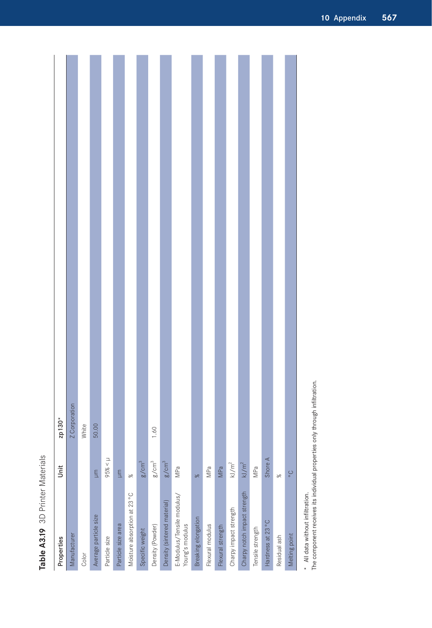| atarial          |
|------------------|
| ă<br>L<br>ć      |
| සි               |
| ä<br>Ņ<br>.<br>< |
| 青                |

| Properties                                    | ji                                          | zp130*        |
|-----------------------------------------------|---------------------------------------------|---------------|
| Manufacturer                                  |                                             | Z Corporation |
| Color                                         |                                             | White         |
| Average particle size                         | E                                           | 50.00         |
| Particle size                                 | $\underset{\vee}{\rightrightarrows}$<br>95% |               |
| Particle size area                            | E                                           |               |
| Moisture absorption at 23°C                   | $\geqslant$                                 |               |
| Specific weight                               | g/cm <sup>3</sup>                           |               |
| Density (Powder)                              | $g/cm^3$                                    | 1.60          |
| Density (sintered material)                   | g/cm <sup>3</sup>                           |               |
| E-Modulus/Tensile modulus/<br>Young's modulus | MPa                                         |               |
| Breaking elongation                           | $\approx$                                   |               |
| Flexural modulus                              | MPa                                         |               |
| Flexural strength                             | MPa                                         |               |
| Charpy impact strength                        | kJ/m <sup>2</sup>                           |               |
| Charpy notch impact strength                  | kJ/m <sup>2</sup>                           |               |
| Tensile strength                              | MPa                                         |               |
| Hardness at 23 °C                             | Shore A                                     |               |
| Residual ash                                  | $\geqslant$                                 |               |
| Melting point                                 | ပ္ပ                                         |               |
|                                               |                                             |               |

All data without infiltration.

\* All data without infiltration.<br>The component receives its individual properties only through infiltration. The component receives its individual properties only through infiltration.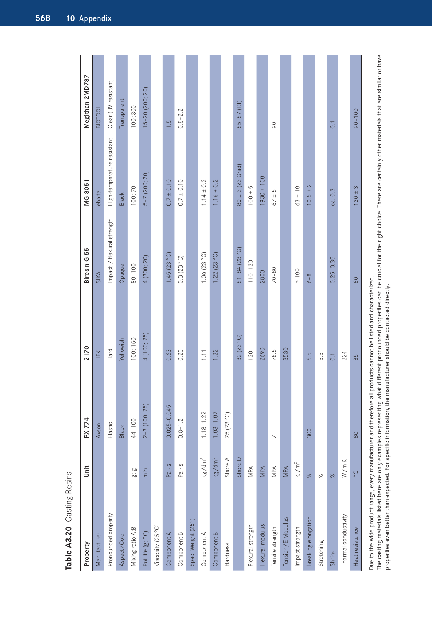| Table A3.20 Casting Resins |                                  |                   |                  |                            |                            |                      |
|----------------------------|----------------------------------|-------------------|------------------|----------------------------|----------------------------|----------------------|
| Property                   | Š                                | PX 774            | 2170             | Biresin G 55               | MG 8051                    | Megithan 2MD787      |
| Manufacturer               |                                  | Axson             | HEK              | SIKA                       | ebalta                     | <b>BIOTOOL</b>       |
| Pronounced property        |                                  | Elastic           | Hard             | Impact / flexural strength | High-temperature resistant | Clear (UV resistant) |
| Aspect/Color               |                                  | <b>Black</b>      | Yellowish        | Opaque                     | <b>Black</b>               | Transparent          |
| Mixing ratio A:B           | 8:38                             | 44:100            | 100:150          | 80:100                     | 100:70                     | 100:300              |
| Pot life (g; °C)           | min                              | $2 - 3$ (100; 25) | 4 (100; 25)      | 4 (300; 20)                | $5 - 7$ (200; 20)          | 15-20 (200; 20)      |
| Viscosity (25°C)           |                                  |                   |                  |                            |                            |                      |
| Component A                | Pa · s                           | $0.025 - 0.045$   | 0.63             | 1.45(23°C)                 | $0.7 \pm 0.10$             | 1.5                  |
| Component B                | S<br>$Pa$ .                      | $0.8 - 1.2$       | 0.23             | 0.3(23°C)                  | $0.7 \pm 0.10$             | $0.8 - 2.2$          |
| Spec. Weight (25°)         |                                  |                   |                  |                            |                            |                      |
| Component A                | $\text{dm}^3$<br>$\frac{1}{8}$   | $1.18 - 1.22$     | $\overline{E}$   | 1.06(23°C)                 | $1.14 \pm 0.2$             | $\,$                 |
| Component B                | dm <sup>3</sup><br>$\frac{1}{8}$ | $1.03 - 1.07$     | 1.22             | 1.22(23°C)                 | $1.16 \pm 0.2$             | ī                    |
| Hardness                   | Shore A                          | 75 (23 °C)        |                  |                            |                            |                      |
|                            | Shore D                          |                   | 82 (23 °C)       | $81 - 84$ (23 °C)          | $80 \pm 3$ (23 Grad)       | 85-87 (RT)           |
| Flexural strength          | MPA                              |                   | 120              | $110 - 120$                | $100 \pm 5$                |                      |
| Flexural modulus           | MPA                              |                   | 2690             | 2800                       | $1930 \pm 100$             |                      |
| Tensile strength           | MPA                              | $\overline{ }$    | 78.5             | $70 - 80$                  | $67 \pm 5$                 | $\overline{0}$       |
| Tension/E-Modulus          | MPA                              |                   | 3530             |                            |                            |                      |
| Impact strength            | kJ/m <sup>2</sup>                |                   |                  | $> 100$                    | $63 \pm 10$                |                      |
| Breaking elongation        | æ                                | 300               | 6.5              | $6 - 8$                    | $10.5 \pm 2$               |                      |
| Stretching                 | 88                               |                   | 5.5              |                            |                            |                      |
| Shrink                     | $\aleph$                         |                   | $\overline{0}$ . | $0.25 - 0.35$              | ca. 0.3                    | $\overline{0}$ .     |
| Thermal conductivity       | W/mK                             |                   | 224              |                            |                            |                      |
| Heat resistance            | $\frac{1}{\circ}$                | 80                | 85               | 80                         | $120 \pm 3$                | $90 - 100$           |
|                            |                                  |                   |                  |                            |                            |                      |

Due to the wide product range, every manufacturer and therefore all products cannot be listed and characterized. Due to the wide product range, every manufacturer and therefore all products cannot be listed and characterized.

The casting materials listed here are only examples representing what different pronounced properties can be crucial for the right choice. There are certainly other materials that are similar or have<br>properties even better The casting materials listed here are only examples representing what different pronounced properties can be crucial for the right choice. There are certainly other materials that are similar or have properties even better than expected. For specific information, the manufacturer should be contacted directly.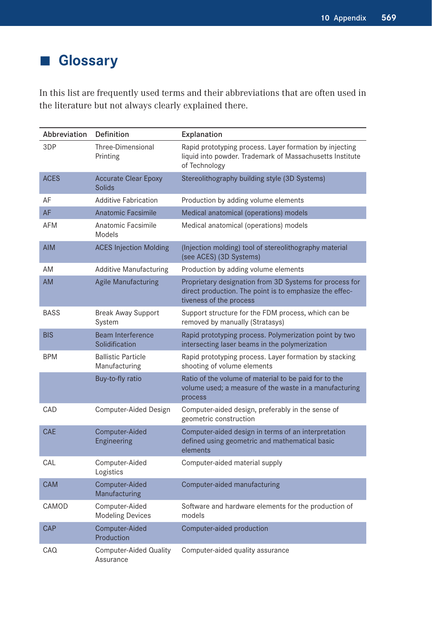## **Glossary**

In this list are frequently used terms and their abbreviations that are often used in the literature but not always clearly explained there.

| Abbreviation | Definition                                 | Explanation                                                                                                                                   |
|--------------|--------------------------------------------|-----------------------------------------------------------------------------------------------------------------------------------------------|
| 3DP          | Three-Dimensional<br>Printing              | Rapid prototyping process. Layer formation by injecting<br>liquid into powder. Trademark of Massachusetts Institute<br>of Technology          |
| <b>ACES</b>  | <b>Accurate Clear Epoxy</b><br>Solids      | Stereolithography building style (3D Systems)                                                                                                 |
| AF           | Additive Fabrication                       | Production by adding volume elements                                                                                                          |
| AF           | <b>Anatomic Facsimile</b>                  | Medical anatomical (operations) models                                                                                                        |
| <b>AFM</b>   | Anatomic Facsimile<br>Models               | Medical anatomical (operations) models                                                                                                        |
| <b>AIM</b>   | <b>ACES Injection Molding</b>              | (Injection molding) tool of stereolithography material<br>(see ACES) (3D Systems)                                                             |
| AM           | Additive Manufacturing                     | Production by adding volume elements                                                                                                          |
| <b>AM</b>    | <b>Agile Manufacturing</b>                 | Proprietary designation from 3D Systems for process for<br>direct production. The point is to emphasize the effec-<br>tiveness of the process |
| <b>BASS</b>  | <b>Break Away Support</b><br>System        | Support structure for the FDM process, which can be<br>removed by manually (Stratasys)                                                        |
| <b>BIS</b>   | <b>Beam Interference</b><br>Solidification | Rapid prototyping process. Polymerization point by two<br>intersecting laser beams in the polymerization                                      |
| <b>BPM</b>   | <b>Ballistic Particle</b><br>Manufacturing | Rapid prototyping process. Layer formation by stacking<br>shooting of volume elements                                                         |
|              | Buy-to-fly ratio                           | Ratio of the volume of material to be paid for to the<br>volume used; a measure of the waste in a manufacturing<br>process                    |
| CAD          | Computer-Aided Design                      | Computer-aided design, preferably in the sense of<br>geometric construction                                                                   |
| CAE          | Computer-Aided<br>Engineering              | Computer-aided design in terms of an interpretation<br>defined using geometric and mathematical basic<br>elements                             |
| CAL          | Computer-Aided<br>Logistics                | Computer-aided material supply                                                                                                                |
| <b>CAM</b>   | Computer-Aided<br>Manufacturing            | Computer-aided manufacturing                                                                                                                  |
| CAMOD        | Computer-Aided<br><b>Modeling Devices</b>  | Software and hardware elements for the production of<br>models                                                                                |
| CAP          | Computer-Aided<br>Production               | Computer-aided production                                                                                                                     |
| CAQ          | <b>Computer-Aided Quality</b><br>Assurance | Computer-aided quality assurance                                                                                                              |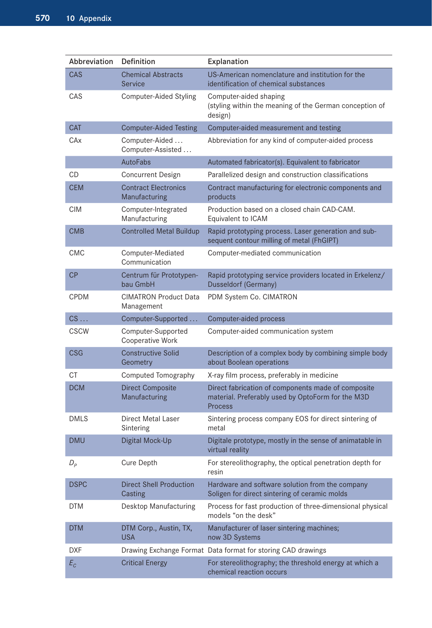| Abbreviation | Definition                                   | Explanation                                                                                                        |
|--------------|----------------------------------------------|--------------------------------------------------------------------------------------------------------------------|
| CAS          | <b>Chemical Abstracts</b><br>Service         | US-American nomenclature and institution for the<br>identification of chemical substances                          |
| CAS          | Computer-Aided Styling                       | Computer-aided shaping<br>(styling within the meaning of the German conception of<br>design)                       |
| <b>CAT</b>   | <b>Computer-Aided Testing</b>                | Computer-aided measurement and testing                                                                             |
| CAx          | Computer-Aided<br>Computer-Assisted          | Abbreviation for any kind of computer-aided process                                                                |
|              | <b>AutoFabs</b>                              | Automated fabricator(s). Equivalent to fabricator                                                                  |
| CD           | <b>Concurrent Design</b>                     | Parallelized design and construction classifications                                                               |
| <b>CEM</b>   | <b>Contract Electronics</b><br>Manufacturing | Contract manufacturing for electronic components and<br>products                                                   |
| <b>CIM</b>   | Computer-Integrated<br>Manufacturing         | Production based on a closed chain CAD-CAM.<br>Equivalent to ICAM                                                  |
| <b>CMB</b>   | <b>Controlled Metal Buildup</b>              | Rapid prototyping process. Laser generation and sub-<br>sequent contour milling of metal (FhGIPT)                  |
| CMC          | Computer-Mediated<br>Communication           | Computer-mediated communication                                                                                    |
| <b>CP</b>    | Centrum für Prototypen-<br>bau GmbH          | Rapid prototyping service providers located in Erkelenz/<br>Dusseldorf (Germany)                                   |
| <b>CPDM</b>  | <b>CIMATRON Product Data</b><br>Management   | PDM System Co. CIMATRON                                                                                            |
| CS           | Computer-Supported                           | Computer-aided process                                                                                             |
| <b>CSCW</b>  | Computer-Supported<br>Cooperative Work       | Computer-aided communication system                                                                                |
| <b>CSG</b>   | <b>Constructive Solid</b><br>Geometry        | Description of a complex body by combining simple body<br>about Boolean operations                                 |
| СT           | Computed Tomography                          | X-ray film process, preferably in medicine                                                                         |
| <b>DCM</b>   | <b>Direct Composite</b><br>Manufacturing     | Direct fabrication of components made of composite<br>material. Preferably used by OptoForm for the M3D<br>Process |
| <b>DMLS</b>  | Direct Metal Laser<br>Sintering              | Sintering process company EOS for direct sintering of<br>metal                                                     |
| <b>DMU</b>   | Digital Mock-Up                              | Digitale prototype, mostly in the sense of animatable in<br>virtual reality                                        |
| $D_{\rho}$   | <b>Cure Depth</b>                            | For stereolithography, the optical penetration depth for<br>resin                                                  |
| <b>DSPC</b>  | <b>Direct Shell Production</b><br>Casting    | Hardware and software solution from the company<br>Soligen for direct sintering of ceramic molds                   |
| <b>DTM</b>   | Desktop Manufacturing                        | Process for fast production of three-dimensional physical<br>models "on the desk"                                  |
| <b>DTM</b>   | DTM Corp., Austin, TX,<br><b>USA</b>         | Manufacturer of laser sintering machines;<br>now 3D Systems                                                        |
| <b>DXF</b>   |                                              | Drawing Exchange Format Data format for storing CAD drawings                                                       |
| $E_C$        | <b>Critical Energy</b>                       | For stereolithography; the threshold energy at which a<br>chemical reaction occurs                                 |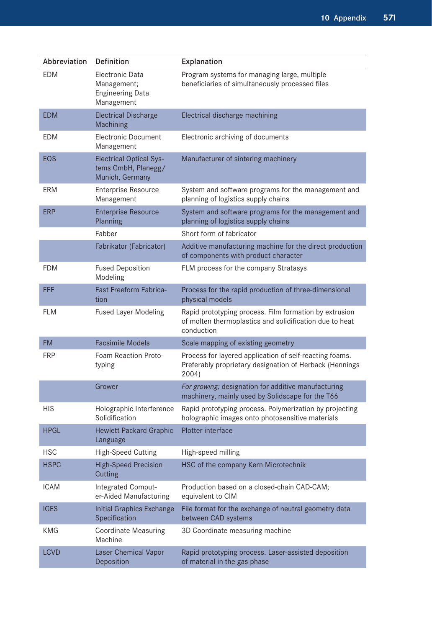| Abbreviation | Definition                                                               | Explanation                                                                                                                     |
|--------------|--------------------------------------------------------------------------|---------------------------------------------------------------------------------------------------------------------------------|
| EDM          | Electronic Data<br>Management;<br><b>Engineering Data</b><br>Management  | Program systems for managing large, multiple<br>beneficiaries of simultaneously processed files                                 |
| <b>EDM</b>   | <b>Electrical Discharge</b><br>Machining                                 | Electrical discharge machining                                                                                                  |
| EDM          | Electronic Document<br>Management                                        | Electronic archiving of documents                                                                                               |
| <b>EOS</b>   | <b>Electrical Optical Sys-</b><br>tems GmbH, Planegg/<br>Munich, Germany | Manufacturer of sintering machinery                                                                                             |
| ERM          | <b>Enterprise Resource</b><br>Management                                 | System and software programs for the management and<br>planning of logistics supply chains                                      |
| ERP          | <b>Enterprise Resource</b><br>Planning                                   | System and software programs for the management and<br>planning of logistics supply chains                                      |
|              | Fabber                                                                   | Short form of fabricator                                                                                                        |
|              | Fabrikator (Fabricator)                                                  | Additive manufacturing machine for the direct production<br>of components with product character                                |
| FDM          | <b>Fused Deposition</b><br>Modeling                                      | FLM process for the company Stratasys                                                                                           |
| <b>FFF</b>   | <b>Fast Freeform Fabrica-</b><br>tion                                    | Process for the rapid production of three-dimensional<br>physical models                                                        |
| FLM          | <b>Fused Layer Modeling</b>                                              | Rapid prototyping process. Film formation by extrusion<br>of molten thermoplastics and solidification due to heat<br>conduction |
| <b>FM</b>    | <b>Facsimile Models</b>                                                  | Scale mapping of existing geometry                                                                                              |
| FRP          | Foam Reaction Proto-<br>typing                                           | Process for layered application of self-reacting foams.<br>Preferably proprietary designation of Herback (Hennings<br>2004)     |
|              | Grower                                                                   | For growing; designation for additive manufacturing<br>machinery, mainly used by Solidscape for the T66                         |
| НIS          | Holographic Interference<br>Solidification                               | Rapid prototyping process. Polymerization by projecting<br>holographic images onto photosensitive materials                     |
| <b>HPGL</b>  | <b>Hewlett Packard Graphic</b><br>Language                               | Plotter interface                                                                                                               |
| HSC          | <b>High-Speed Cutting</b>                                                | High-speed milling                                                                                                              |
| <b>HSPC</b>  | <b>High-Speed Precision</b><br>Cutting                                   | HSC of the company Kern Microtechnik                                                                                            |
| ICAM         | Integrated Comput-<br>er-Aided Manufacturing                             | Production based on a closed-chain CAD-CAM;<br>equivalent to CIM                                                                |
| <b>IGES</b>  | <b>Initial Graphics Exchange</b><br>Specification                        | File format for the exchange of neutral geometry data<br>between CAD systems                                                    |
| KMG          | <b>Coordinate Measuring</b><br>Machine                                   | 3D Coordinate measuring machine                                                                                                 |
| <b>LCVD</b>  | Laser Chemical Vapor<br>Deposition                                       | Rapid prototyping process. Laser-assisted deposition<br>of material in the gas phase                                            |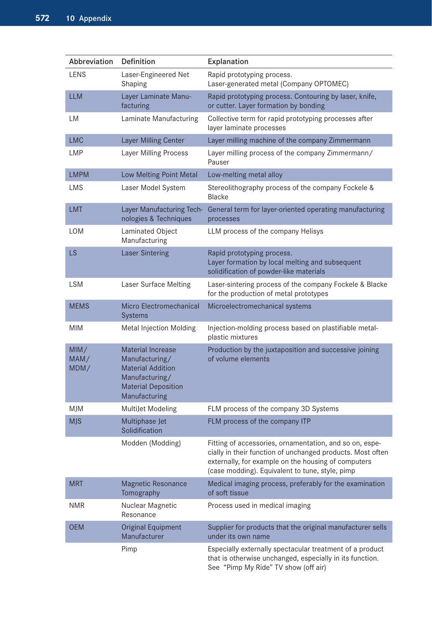| Abbreviation         | Definition                                                                                                                              | Explanation                                                                                                                                                                                                                     |
|----------------------|-----------------------------------------------------------------------------------------------------------------------------------------|---------------------------------------------------------------------------------------------------------------------------------------------------------------------------------------------------------------------------------|
| <b>LENS</b>          | Laser-Engineered Net<br>Shaping                                                                                                         | Rapid prototyping process.<br>Laser-generated metal (Company OPTOMEC)                                                                                                                                                           |
| <b>LLM</b>           | Layer Laminate Manu-<br>facturing                                                                                                       | Rapid prototyping process. Contouring by laser, knife,<br>or cutter. Layer formation by bonding                                                                                                                                 |
| LM                   | Laminate Manufacturing                                                                                                                  | Collective term for rapid prototyping processes after<br>layer laminate processes                                                                                                                                               |
| <b>LMC</b>           | <b>Layer Milling Center</b>                                                                                                             | Layer milling machine of the company Zimmermann                                                                                                                                                                                 |
| <b>LMP</b>           | <b>Layer Milling Process</b>                                                                                                            | Layer milling process of the company Zimmermann/<br>Pauser                                                                                                                                                                      |
| <b>LMPM</b>          | Low Melting Point Metal                                                                                                                 | Low-melting metal alloy                                                                                                                                                                                                         |
| LMS                  | Laser Model System                                                                                                                      | Stereolithography process of the company Fockele &<br>Blacke                                                                                                                                                                    |
| <b>LMT</b>           | Layer Manufacturing Tech-<br>nologies & Techniques                                                                                      | General term for layer-oriented operating manufacturing<br>processes                                                                                                                                                            |
| <b>LOM</b>           | Laminated Object<br>Manufacturing                                                                                                       | LLM process of the company Helisys                                                                                                                                                                                              |
| LS                   | <b>Laser Sintering</b>                                                                                                                  | Rapid prototyping process.<br>Layer formation by local melting and subsequent<br>solidification of powder-like materials                                                                                                        |
| LSM                  | Laser Surface Melting                                                                                                                   | Laser-sintering process of the company Fockele & Blacke<br>for the production of metal prototypes                                                                                                                               |
| <b>MEMS</b>          | Micro Electromechanical<br><b>Systems</b>                                                                                               | Microelectromechanical systems                                                                                                                                                                                                  |
| <b>MIM</b>           | <b>Metal Injection Molding</b>                                                                                                          | Injection-molding process based on plastifiable metal-<br>plastic mixtures                                                                                                                                                      |
| MIM/<br>MAM/<br>MDM/ | <b>Material Increase</b><br>Manufacturing/<br><b>Material Addition</b><br>Manufacturing/<br><b>Material Deposition</b><br>Manufacturing | Production by the juxtaposition and successive joining<br>of volume elements                                                                                                                                                    |
| <b>MJM</b>           | MultiJet Modeling                                                                                                                       | FLM process of the company 3D Systems                                                                                                                                                                                           |
| <b>MJS</b>           | Multiphase Jet<br>Solidification                                                                                                        | FLM process of the company ITP                                                                                                                                                                                                  |
|                      | Modden (Modding)                                                                                                                        | Fitting of accessories, ornamentation, and so on, espe-<br>cially in their function of unchanged products. Most often<br>externally, for example on the housing of computers<br>(case modding). Equivalent to tune, style, pimp |
| <b>MRT</b>           | <b>Magnetic Resonance</b><br>Tomography                                                                                                 | Medical imaging process, preferably for the examination<br>of soft tissue                                                                                                                                                       |
| <b>NMR</b>           | Nuclear Magnetic<br>Resonance                                                                                                           | Process used in medical imaging                                                                                                                                                                                                 |
| <b>OEM</b>           | <b>Original Equipment</b><br>Manufacturer                                                                                               | Supplier for products that the original manufacturer sells<br>under its own name                                                                                                                                                |
|                      | Pimp                                                                                                                                    | Especially externally spectacular treatment of a product<br>that is otherwise unchanged, especially in its function.<br>See "Pimp My Ride" TV show (off air)                                                                    |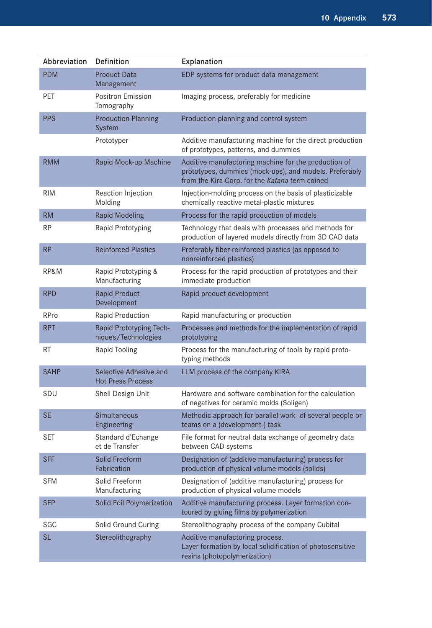| Abbreviation | Definition                                         | Explanation                                                                                                                                                      |
|--------------|----------------------------------------------------|------------------------------------------------------------------------------------------------------------------------------------------------------------------|
| <b>PDM</b>   | <b>Product Data</b><br>Management                  | EDP systems for product data management                                                                                                                          |
| PET          | Positron Emission<br>Tomography                    | Imaging process, preferably for medicine                                                                                                                         |
| <b>PPS</b>   | <b>Production Planning</b><br>System               | Production planning and control system                                                                                                                           |
|              | Prototyper                                         | Additive manufacturing machine for the direct production<br>of prototypes, patterns, and dummies                                                                 |
| <b>RMM</b>   | Rapid Mock-up Machine                              | Additive manufacturing machine for the production of<br>prototypes, dummies (mock-ups), and models. Preferably<br>from the Kira Corp. for the Katana term coined |
| <b>RIM</b>   | Reaction Injection<br>Molding                      | Injection-molding process on the basis of plasticizable<br>chemically reactive metal-plastic mixtures                                                            |
| RM           | <b>Rapid Modeling</b>                              | Process for the rapid production of models                                                                                                                       |
| <b>RP</b>    | Rapid Prototyping                                  | Technology that deals with processes and methods for<br>production of layered models directly from 3D CAD data                                                   |
| <b>RP</b>    | <b>Reinforced Plastics</b>                         | Preferably fiber-reinforced plastics (as opposed to<br>nonreinforced plastics)                                                                                   |
| RP&M         | Rapid Prototyping &<br>Manufacturing               | Process for the rapid production of prototypes and their<br>immediate production                                                                                 |
| <b>RPD</b>   | <b>Rapid Product</b><br>Development                | Rapid product development                                                                                                                                        |
| RPro         | Rapid Production                                   | Rapid manufacturing or production                                                                                                                                |
| <b>RPT</b>   | Rapid Prototyping Tech-<br>niques/Technologies     | Processes and methods for the implementation of rapid<br>prototyping                                                                                             |
| RT           | Rapid Tooling                                      | Process for the manufacturing of tools by rapid proto-<br>typing methods                                                                                         |
| <b>SAHP</b>  | Selective Adhesive and<br><b>Hot Press Process</b> | LLM process of the company KIRA                                                                                                                                  |
| SDU          | Shell Design Unit                                  | Hardware and software combination for the calculation<br>of negatives for ceramic molds (Soligen)                                                                |
| <b>SE</b>    | Simultaneous<br>Engineering                        | Methodic approach for parallel work of several people or<br>teams on a (development-) task                                                                       |
| SET          | Standard d'Echange<br>et de Transfer               | File format for neutral data exchange of geometry data<br>between CAD systems                                                                                    |
| <b>SFF</b>   | Solid Freeform<br>Fabrication                      | Designation of (additive manufacturing) process for<br>production of physical volume models (solids)                                                             |
| <b>SFM</b>   | Solid Freeform<br>Manufacturing                    | Designation of (additive manufacturing) process for<br>production of physical volume models                                                                      |
| <b>SFP</b>   | Solid Foil Polymerization                          | Additive manufacturing process. Layer formation con-<br>toured by gluing films by polymerization                                                                 |
| SGC          | Solid Ground Curing                                | Stereolithography process of the company Cubital                                                                                                                 |
| <b>SL</b>    | Stereolithography                                  | Additive manufacturing process.<br>Layer formation by local solidification of photosensitive<br>resins (photopolymerization)                                     |